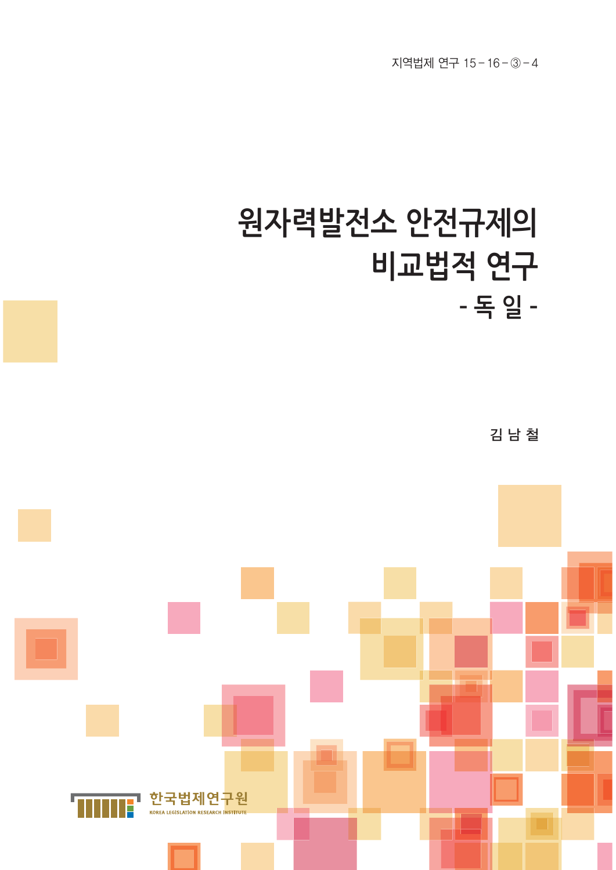## **원자력발전소 안전규제의 비교법적 연구 – 독 일 –**

김 남 철

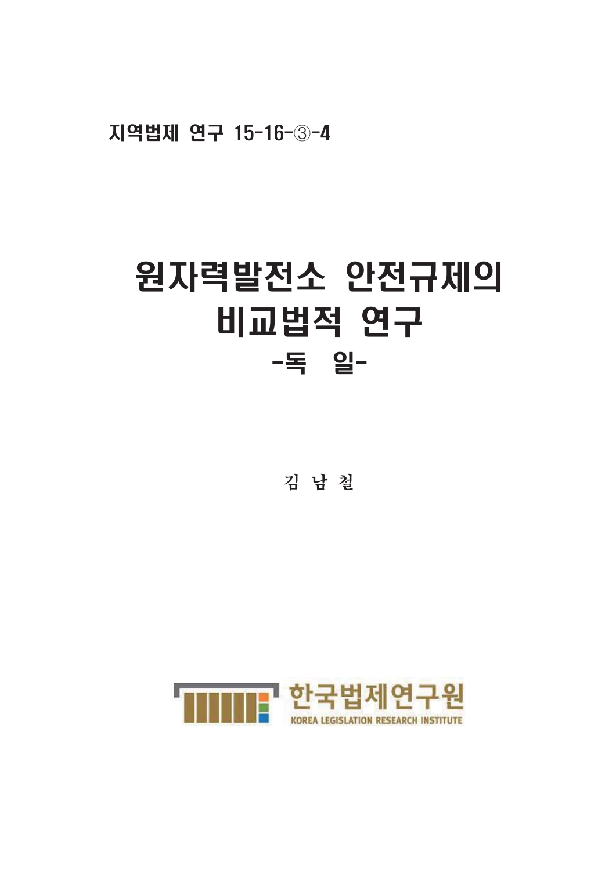지역법제 연구 15-16-3-4

# 원자력발전소 안전규제의 비교법적 연구 -독 일-

김 남 철

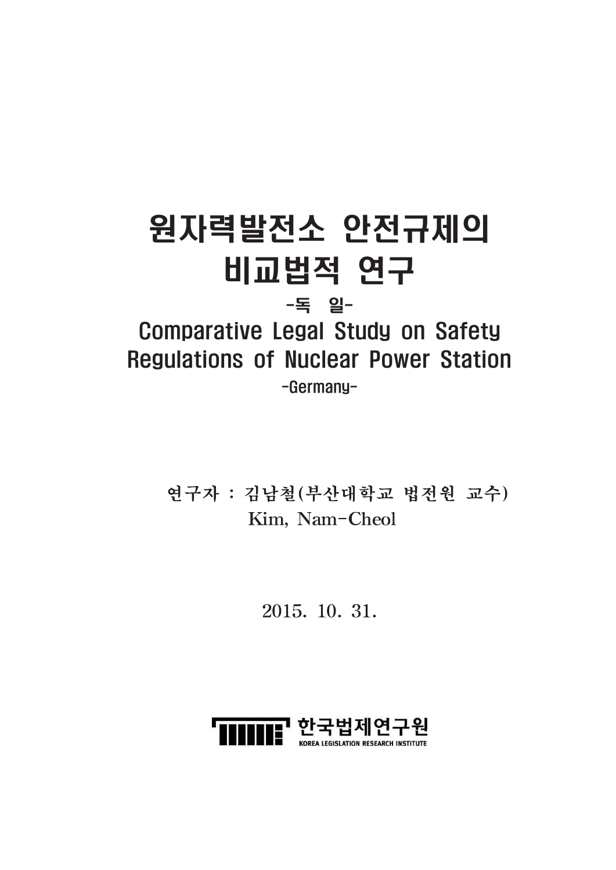## 원자력발전소 안전규제의 비교법적 연구 -독 일-

## **Comparative Legal Study on Safety Regulations of Nuclear Power Station** -Germany-

연구자 : 김남철 (부산대학교 법전원 교수) Kim, Nam-Cheol

2015. 10. 31.

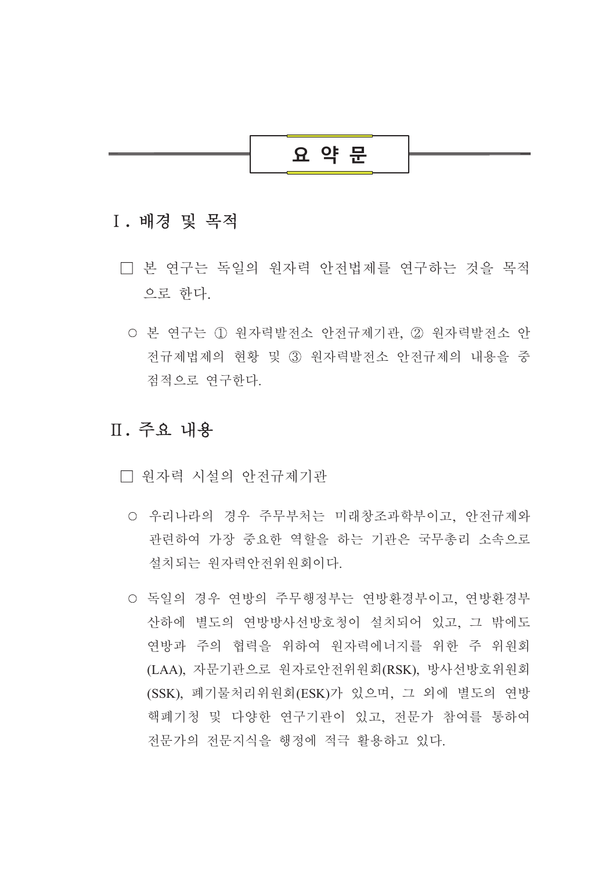

## I. 배경 및 목적

- □ 본 연구는 독일의 원자력 안전법제를 연구하는 것을 목적 으로 하다.
	- 본 여구는 ① 워자력발전소 안전규제기관. ② 워자력발전소 안 전규제법제의 현황 및 3 워자력발전소 안전규제의 내용을 중 점적으로 여구하다

## Ⅱ. 주요 내용

- □ 워자력 시설의 안전규제기관
	- 우리나라의 경우 주무부처는 미래창조과학부이고, 안전규제와 관련하여 가장 중요한 역할을 하는 기관은 국무총리 소속으로 설치되는 워자력안전위워회이다.
	- 독일의 경우 연방의 주무행정부는 연방환경부이고, 연방환경부 산하에 별도의 연방방사선방호청이 설치되어 있고, 그 밖에도 연방과 주의 협력을 위하여 원자력에너지를 위한 주 위원회 (LAA), 자문기관으로 원자로안전위원회(RSK), 방사선방호위원회 (SSK), 폐기물처리위원회(ESK)가 있으며, 그 외에 별도의 연방 핵폐기청 및 다양한 연구기관이 있고, 전문가 참여를 통하여 전문가의 전문지식을 행정에 적극 활용하고 있다.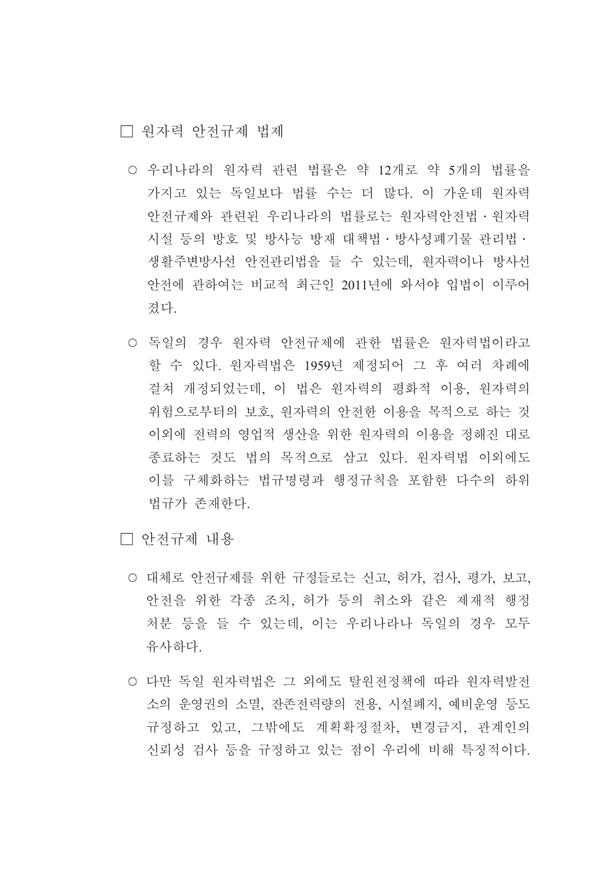□ 워자력 아저규제 법제

- 우리나라의 원자력 관련 법률은 약 12개로 약 5개의 법률을 가지고 있는 독일보다 법률 수는 더 많다. 이 가운데 워자력 안전규제와 관련된 우리나라의 법률로는 원자력안전법 · 원자력 시설 등의 방호 및 방사능 방재 대책법 · 방사성폐기물 관리법 · 생활주변방사선 안전관리법을 들 수 있는데, 원자력이나 방사선 안전에 관하여는 비교적 최근인 2011년에 와서야 입법이 이루어 졌다.
- 독일의 경우 원자력 안전규제에 관한 법률은 원자력법이라고 할 수 있다. 원자력법은 1959년 제정되어 그 후 여러 차례에 걸쳐 개정되었는데, 이 법은 원자력의 평화적 이용, 원자력의 위험으로부터의 보호, 원자력의 안전한 이용을 목적으로 하는 것 이외에 전력의 영업적 생산을 위한 원자력의 이용을 정해진 대로 종료하는 것도 법의 목적으로 삼고 있다. 워자력법 이외에도 이를 구체화하는 법규명령과 행정규칙을 포함한 다수의 하위 법규가 존재하다.

□ 안전규제 내용

- 대체로 안전규제를 위한 규정들로는 신고, 허가, 검사, 평가, 보고, 안전을 위한 각종 조치, 허가 등의 취소와 같은 제재적 행정 처분 등을 들 수 있는데. 이는 우리나라나 독일의 경우 모두 유사하다.
- 다만 독일 워자력법은 그 외에도 탈워전정책에 따라 워자력발전 소의 운영권의 소멸, 잔존전력량의 전용, 시설폐지, 예비운영 등도 규정하고 있고, 그밖에도 계획확정절차, 변경금지, 관계인의 신뢰성 검사 등을 규정하고 있는 점이 우리에 비해 특징적이다.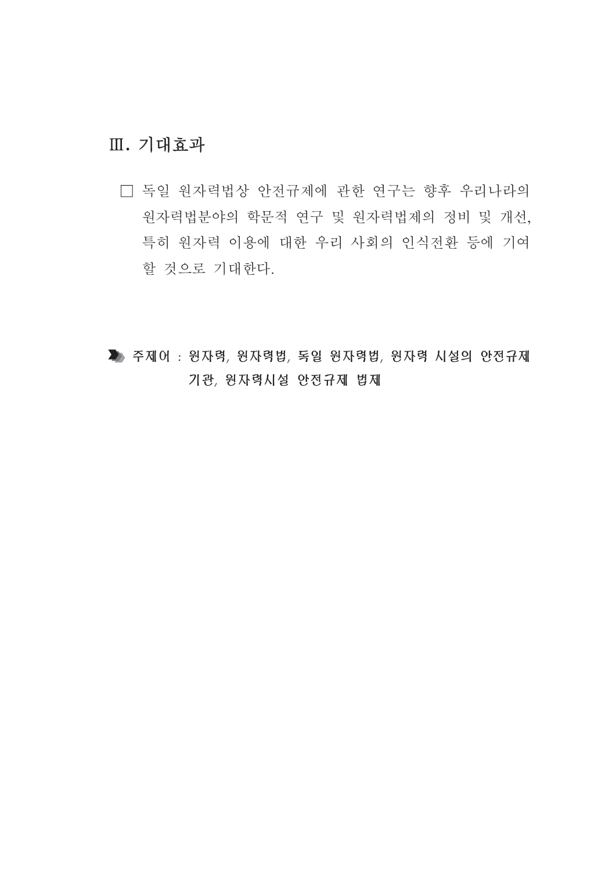## Ⅲ. 기대효과

- □ 독일 원자력법상 안전규제에 관한 연구는 향후 우리나라의 원자력법분야의 학문적 연구 및 원자력법제의 정비 및 개선, 특히 워자력 이용에 대한 우리 사회의 인식전환 등에 기여 할 것으로 기대한다.
- ▶ 주제어 : 원자력, 원자력법, 독일 원자력법, 원자력 시설의 안전규제 기관, 원자력시설 안전규제 법제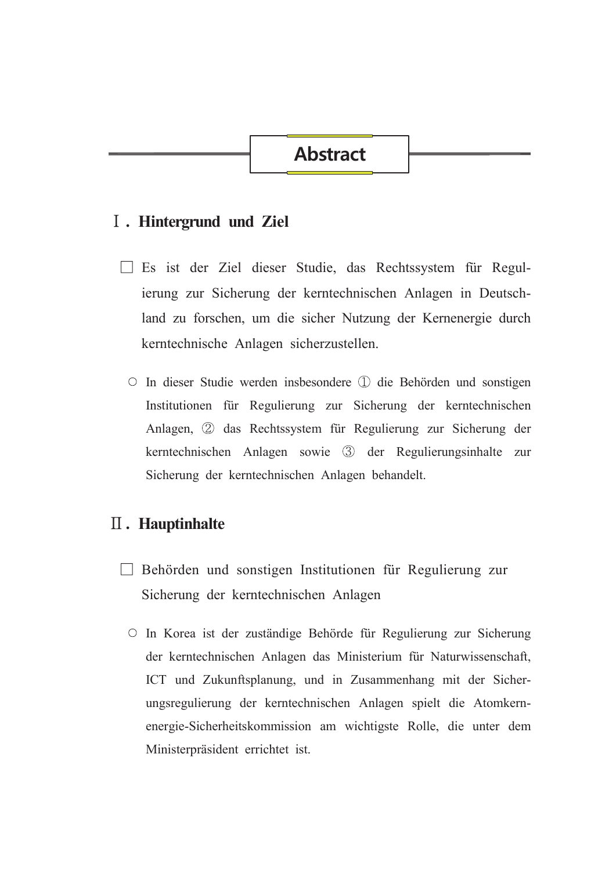## **Abstract**

### I. Hintergrund und Ziel

- □ Es ist der Ziel dieser Studie, das Rechtssystem für Regulierung zur Sicherung der kerntechnischen Anlagen in Deutschland zu forschen, um die sicher Nutzung der Kernenergie durch kerntechnische Anlagen sicherzustellen.
	- O In dieser Studie werden insbesondere ① die Behörden und sonstigen Institutionen für Regulierung zur Sicherung der kerntechnischen Anlagen, 2 das Rechtssystem für Regulierung zur Sicherung der kerntechnischen Anlagen sowie 3 der Regulierungsinhalte zur Sicherung der kerntechnischen Anlagen behandelt.

## $\mathbf I$ . Hauptinhalte

- $\Box$  Behörden und sonstigen Institutionen für Regulierung zur Sicherung der kerntechnischen Anlagen
	- O In Korea ist der zuständige Behörde für Regulierung zur Sicherung der kerntechnischen Anlagen das Ministerium für Naturwissenschaft, ICT und Zukunftsplanung, und in Zusammenhang mit der Sicherungsregulierung der kerntechnischen Anlagen spielt die Atomkernenergie-Sicherheitskommission am wichtigste Rolle, die unter dem Ministerpräsident errichtet ist.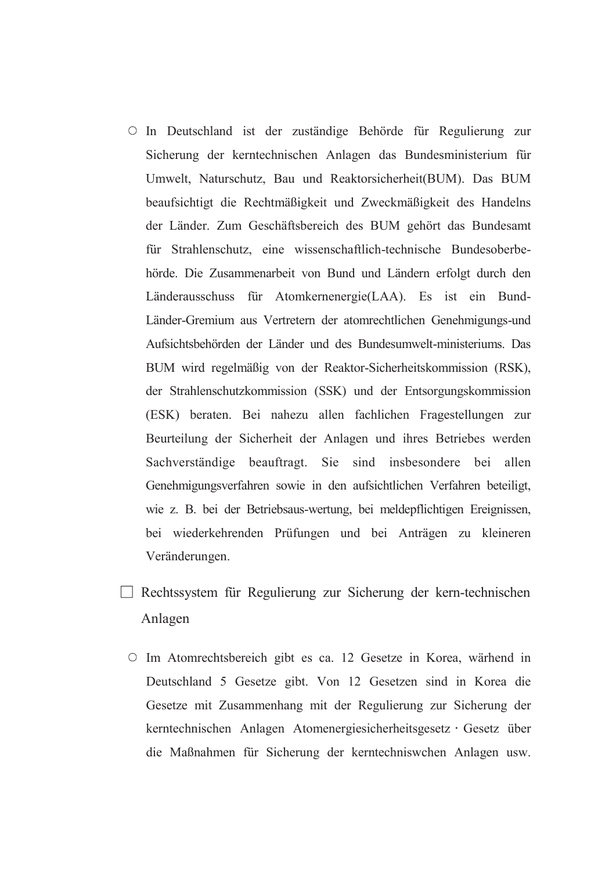- O In Deutschland ist der zuständige Behörde für Regulierung zur Sicherung der kerntechnischen Anlagen das Bundesministerium für Umwelt, Naturschutz, Bau und Reaktorsicherheit(BUM). Das BUM beaufsichtigt die Rechtmäßigkeit und Zweckmäßigkeit des Handelns der Länder. Zum Geschäftsbereich des BUM gehört das Bundesamt für Strahlenschutz, eine wissenschaftlich-technische Bundesoberbehörde. Die Zusammenarbeit von Bund und Ländern erfolgt durch den Länderausschuss für Atomkernenergie(LAA). Es ist ein Bund-Länder-Gremium aus Vertretern der atomrechtlichen Genehmigungs-und Aufsichtsbehörden der Länder und des Bundesumwelt-ministeriums. Das BUM wird regelmäßig von der Reaktor-Sicherheitskommission (RSK), der Strahlenschutzkommission (SSK) und der Entsorgungskommission (ESK) beraten. Bei nahezu allen fachlichen Fragestellungen zur Beurteilung der Sicherheit der Anlagen und ihres Betriebes werden Sachverständige beauftragt. Sie sind insbesondere bei allen Genehmigungsverfahren sowie in den aufsichtlichen Verfahren beteiligt, wie z. B. bei der Betriebsaus-wertung, bei meldepflichtigen Ereignissen, bei wiederkehrenden Prüfungen und bei Anträgen zu kleineren Veränderungen.
- Rechtssystem für Regulierung zur Sicherung der kern-technischen Anlagen
	- O Im Atomrechtsbereich gibt es ca. 12 Gesetze in Korea, wärhend in Deutschland 5 Gesetze gibt. Von 12 Gesetzen sind in Korea die Gesetze mit Zusammenhang mit der Regulierung zur Sicherung der kerntechnischen Anlagen Atomenergiesicherheitsgesetz · Gesetz über die Maßnahmen für Sicherung der kerntechniswehen Anlagen usw.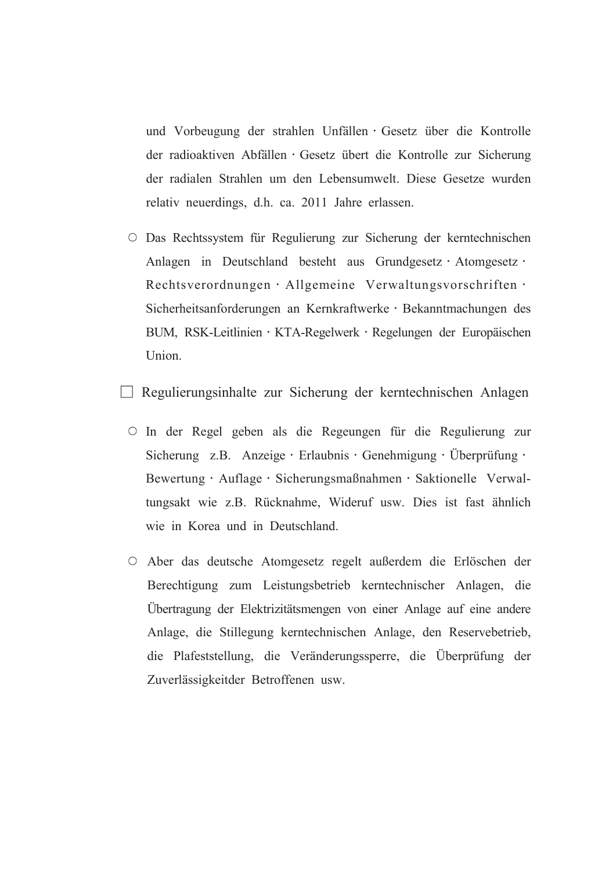und Vorbeugung der strahlen Unfällen · Gesetz über die Kontrolle der radioaktiven Abfällen · Gesetz übert die Kontrolle zur Sicherung der radialen Strahlen um den Lebensumwelt. Diese Gesetze wurden relativ neuerdings, d.h. ca. 2011 Jahre erlassen.

O Das Rechtssystem für Regulierung zur Sicherung der kerntechnischen Anlagen in Deutschland besteht aus Grundgesetz · Atomgesetz · Rechtsverordnungen · Allgemeine Verwaltungsvorschriften · Sicherheitsanforderungen an Kernkraftwerke · Bekanntmachungen des BUM, RSK-Leitlinien · KTA-Regelwerk · Regelungen der Europäischen Union.

Regulierungsinhalte zur Sicherung der kerntechnischen Anlagen

- O In der Regel geben als die Regeungen für die Regulierung zur Sicherung z.B. Anzeige · Erlaubnis · Genehmigung · Überprüfung · Bewertung · Auflage · Sicherungsmaßnahmen · Saktionelle Verwaltungsakt wie z.B. Rücknahme, Wideruf usw. Dies ist fast ähnlich wie in Korea und in Deutschland.
- O Aber das deutsche Atomgesetz regelt außerdem die Erlöschen der Berechtigung zum Leistungsbetrieb kerntechnischer Anlagen, die Übertragung der Elektrizitätsmengen von einer Anlage auf eine andere Anlage, die Stillegung kerntechnischen Anlage, den Reservebetrieb, die Plafeststellung, die Veränderungssperre, die Überprüfung der Zuverlässigkeitder Betroffenen usw.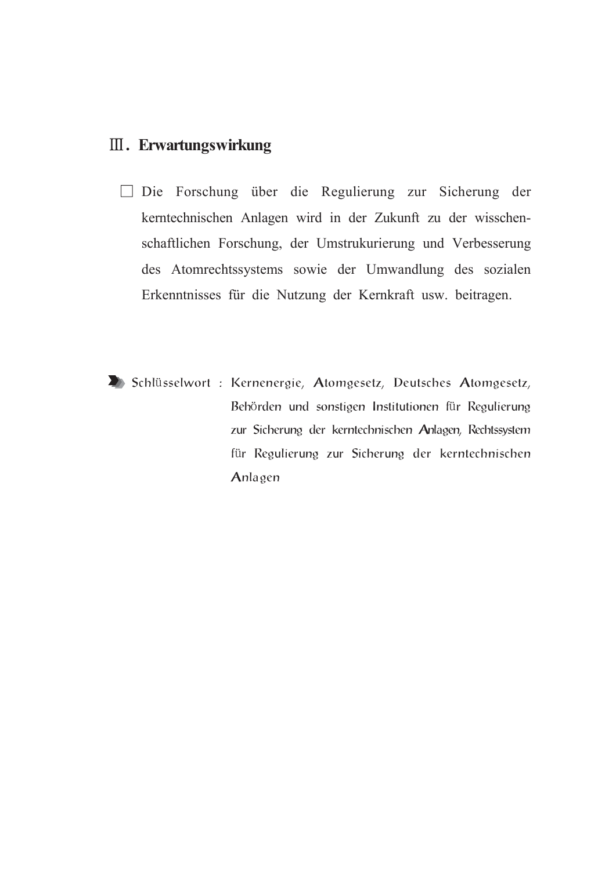## **III.** Erwartungswirkung

- □ Die Forschung über die Regulierung zur Sicherung der kerntechnischen Anlagen wird in der Zukunft zu der wisschenschaftlichen Forschung, der Umstrukurierung und Verbesserung des Atomrechtssystems sowie der Umwandlung des sozialen Erkenntnisses für die Nutzung der Kernkraft usw. beitragen.
- Schlüsselwort: Kernenergie, Atomgesetz, Deutsches Atomgesetz, Behörden und sonstigen Institutionen für Regulierung zur Sicherung der kerntechnischen Anlagen, Rechtssystem für Regulierung zur Sicherung der kerntechnischen Anlagen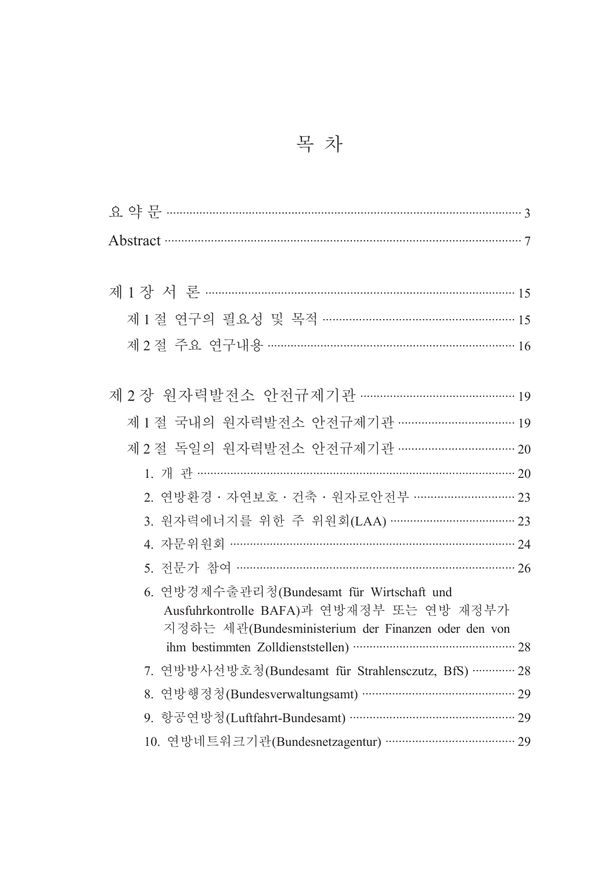| Abstract 37                                                                           |
|---------------------------------------------------------------------------------------|
|                                                                                       |
|                                                                                       |
| 제1절 연구의 필요성 및 목적 ………………………………………………… 15                                               |
|                                                                                       |
|                                                                                       |
| 제 2 장 원자력발전소 안전규제기관 ……………………………………… 19                                                |
| 제 1 절 국내의 원자력발전소 안전규제기관 …………………………… 19                                                |
| 제 2 절 독일의 원자력발전소 안전규제기관 …………………………… 20                                                |
|                                                                                       |
| 2. 연방환경 · 자연보호 · 건축 · 원자로안전부 ····························· 23                         |
| 3. 원자력에너지를 위한 주 위원회(LAA) ……………………………… 23                                              |
| 4. 자문위원회 …………………………………………………………………… 24                                                |
| 5. 전문가 참여 …………………………………………………………………… 26                                               |
| 6. 연방경제수출관리청(Bundesamt für Wirtschaft und<br>Ausfuhrkontrolle BAFA)과 연방재정부 또는 연방 재정부가 |
| 지정하는 세관(Bundesministerium der Finanzen oder den von                                   |
| 7. 연방방사선방호청(Bundesamt für Strahlensczutz, BfS) ………… 28                                |
| 연방행정청(Bundesverwaltungsamt) ……………………………………… 29<br>8.                                  |
| 9. 항공연방청(Luftfahrt-Bundesamt) ………………………………………… 29                                     |
| 10. 연방네트워크기관(Bundesnetzagentur) ……………………………… 29                                       |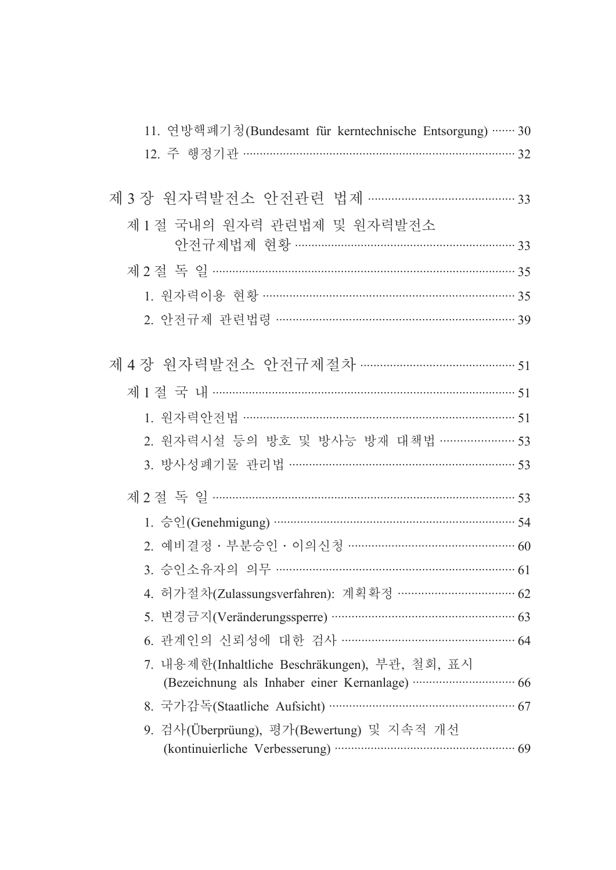| 11. 연방핵폐기청(Bundesamt für kerntechnische Entsorgung) …… 30                      |  |
|--------------------------------------------------------------------------------|--|
| 12. 주 행정기관 …………………………………………………………………… 32                                       |  |
|                                                                                |  |
| 제 3 장 원자력발전소 안전관련 법제 …………………………………… 33                                         |  |
| 제1절 국내의 원자력 관련법제 및 원자력발전소                                                      |  |
| 안전규제법제 현황 …………………………………………………… 33                                              |  |
|                                                                                |  |
| 1. 원자력이용 현황 …………………………………………………………… 35                                         |  |
| 2. 안전규제 관련법령 ………………………………………………………… 39                                         |  |
|                                                                                |  |
| 제 4 장 원자력발전소 안전규제절차 …………………………………… 51                                          |  |
|                                                                                |  |
| 1. 원자력안전법 ……………………………………………………………………… 51                                       |  |
| 2. 원자력시설 등의 방호 및 방사능 방재 대책법 ………………… 53                                         |  |
| 3. 방사성폐기물 관리법 ……………………………………………………… 53                                         |  |
|                                                                                |  |
|                                                                                |  |
| 2. 예비결정 · 부분승인 · 이의신청 ………………………………………… 60                                      |  |
| 3. 승인소유자의 의무 ………………………………………………………… 61                                         |  |
| 4. 허가절차(Zulassungsverfahren): 계획확정 …………………………… 62                              |  |
| 5. 변경금지(Veränderungssperre) ………………………………………………… 63                             |  |
| 6. 관계인의 신뢰성에 대한 검사 ………………………………………… 64                                         |  |
| 7. 내용제한(Inhaltliche Beschräkungen), 부관, 철회, 표시                                 |  |
| (Bezeichnung als Inhaber einer Kernanlage) ································ 66 |  |
| 8. 국가감독(Staatliche Aufsicht) …………………………………………………… 67                           |  |
| 9. 검사(Überprüung), 평가(Bewertung) 및 지속적 개선                                      |  |
|                                                                                |  |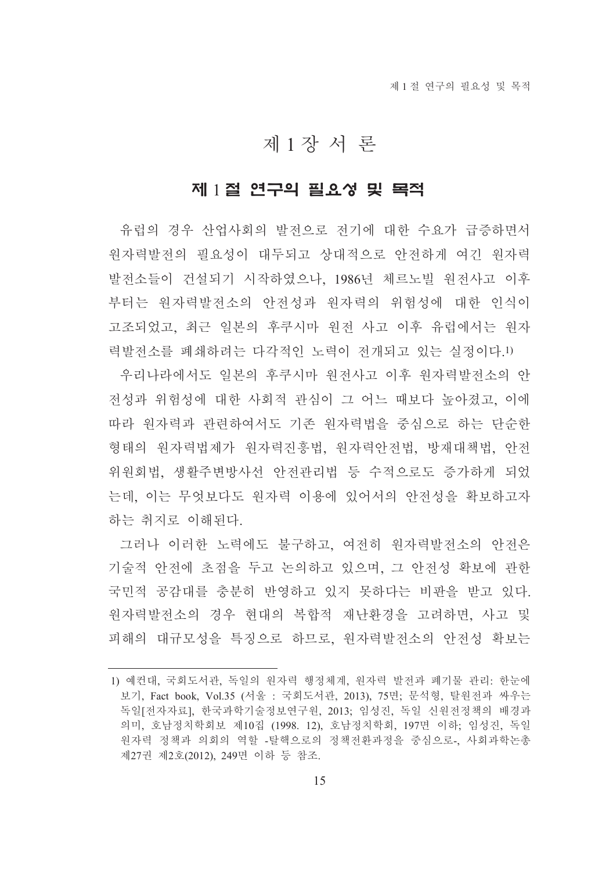## 제1장서 론

#### 제 1절 연구의 필요성 및 목적

유럽의 경우 산업사회의 발전으로 전기에 대한 수요가 급증하면서 워자력발전의 필요성이 대두되고 상대적으로 안전하게 여긴 워자력 발전소들이 건설되기 시작하였으나, 1986년 체르노빌 원전사고 이후 부터는 워자력발전소의 안전성과 워자력의 위험성에 대한 인식이 고조되었고, 최근 일본의 후쿠시마 원전 사고 이후 유럽에서는 원자 력발전소를 폐쇄하려는 다각적인 노력이 전개되고 있는 실정이다.1)

우리나라에서도 일본의 후쿠시마 워전사고 이후 워자력발전소의 안 전성과 위험성에 대한 사회적 관심이 그 어느 때보다 높아졌고, 이에 따라 워자력과 관련하여서도 기존 워자력법을 중심으로 하는 단수한 형태의 워자력법제가 워자력진흥법, 워자력안전법, 방재대책법, 안전 위원회법, 생활주변방사선 안전관리법 등 수적으로도 증가하게 되었 는데, 이는 무엇보다도 워자력 이용에 있어서의 안전성을 확보하고자 하는 취지로 이해되다.

그러나 이러한 노력에도 불구하고, 여전히 워자력발전소의 안전은 기술적 안전에 초점을 두고 논의하고 있으며, 그 안전성 확보에 관한 국민적 공감대를 충분히 반영하고 있지 못하다는 비판을 받고 있다. 원자력발전소의 경우 현대의 복합적 재난환경을 고려하면, 사고 및 피해의 대규모성을 특징으로 하므로 워자력발전소의 안전성 확보는

<sup>1)</sup> 예컨대, 국회도서관, 독일의 원자력 행정체계, 원자력 발전과 폐기물 관리: 한눈에 보기, Fact book, Vol.35 (서울 : 국회도서관, 2013), 75면; 문석형, 탈원전과 싸우는 독일[전자자료]. 한국과학기술정보연구원, 2013: 임성진, 독일 신원전정책의 배경과 의미, 호남정치학회보 제10집 (1998. 12), 호남정치학회, 197면 이하; 임성진, 독일 워자력 정책과 의회의 역할 -탈핵으로의 정책전환과정을 중심으로-, 사회과학논총 제27권 제2호(2012), 249면 이하 등 참조.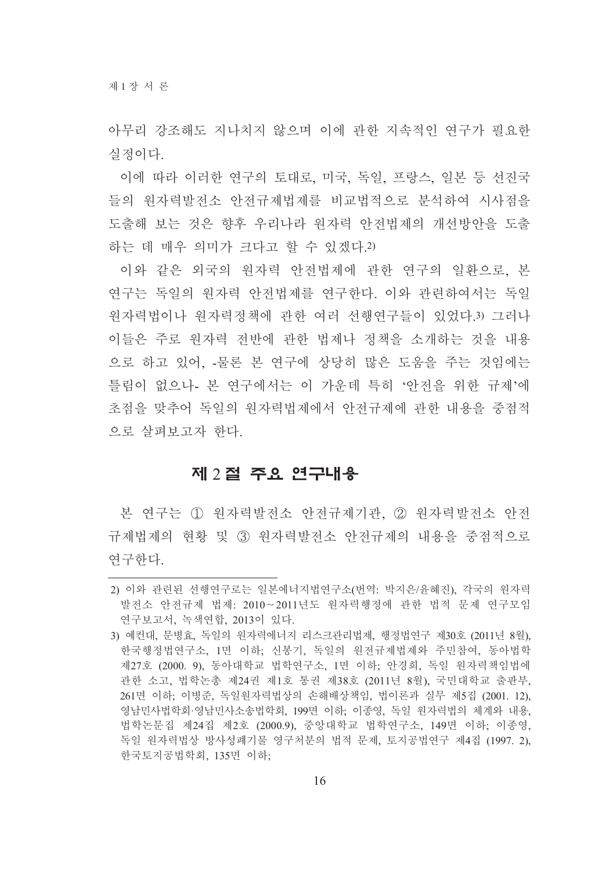아무리 강조해도 지나치지 않으며 이에 과한 지속적인 여구가 필요한 실정이다

이에 따라 이러한 연구의 토대로, 미국, 독일, 프랑스, 일본 등 선진국 들의 원자력발전소 안전규제법제를 비교법적으로 분석하여 시사점을 도출해 보는 것은 향후 우리나라 원자력 안전법제의 개선방안을 도출 하는 데 매우 의미가 크다고 할 수 있겠다.2)

이와 같은 외국의 원자력 안전법제에 관한 연구의 일환으로, 본 연구는 독일의 원자력 안전법제를 연구한다. 이와 관련하여서는 독일 원자력법이나 원자력정책에 관한 여러 선행연구들이 있었다.3) 그러나 이들은 주로 워자력 전반에 관한 법제나 정책을 소개하는 것을 내용 으로 하고 있어. -물론 본 여구에 상당히 많은 도움을 주는 것임에는 틀림이 없으나- 본 연구에서는 이 가운데 특히 '안전을 위한 규제'에 초점을 맞추어 독일의 워자력법제에서 안전규제에 관한 내용을 중점적 으로 살펴보고자 한다.

## 제 2절 주요 연구내용

본 연구는 ① 원자력발전소 안전규제기관, ② 원자력발전소 안전 규제법제의 현황 및 3) 원자력발전소 안전규제의 내용을 중점적으로 여구하다.

<sup>2)</sup> 이와 관련된 선행연구로는 일본에너지법연구소(번역: 박지은/윤혜진), 각국의 원자력 발전소 안전규제 법제: 2010~2011년도 원자력행정에 관한 법적 문제 연구모임 연구보고서, 녹색연합, 2013이 있다.

<sup>3)</sup> 예컨대, 문병효, 독일의 워자력에너지 리스크관리법제, 행정법연구 제30호 (2011년 8월). 한국행정법연구소, 1면 이하, 신봉기, 독일의 원전규제법제와 주민참여, 동아법학 제27호 (2000. 9). 동아대학교 법학연구소, 1면 이하: 안경희, 독일 원자력책임법에 관한 소고, 법학논총 제24권 제1호 통권 제38호 (2011년 8월), 국민대학교 출판부, 261면 이하; 이병준, 독일원자력법상의 손해배상책임, 법이론과 실무 제5집 (2001. 12). 영남민사법학회 영남민사소송법학회, 199면 이하, 이종영, 독일 워자력법의 체계와 내용, 법학논문집 제24집 제2호 (2000.9), 중앙대학교 법학연구소, 149면 이하; 이종영, 독일 워자력법상 방사성폐기물 영구처분의 법적 문제, 토지공법연구 제4집 (1997. 2). 한국토지공법학회, 135면 이하;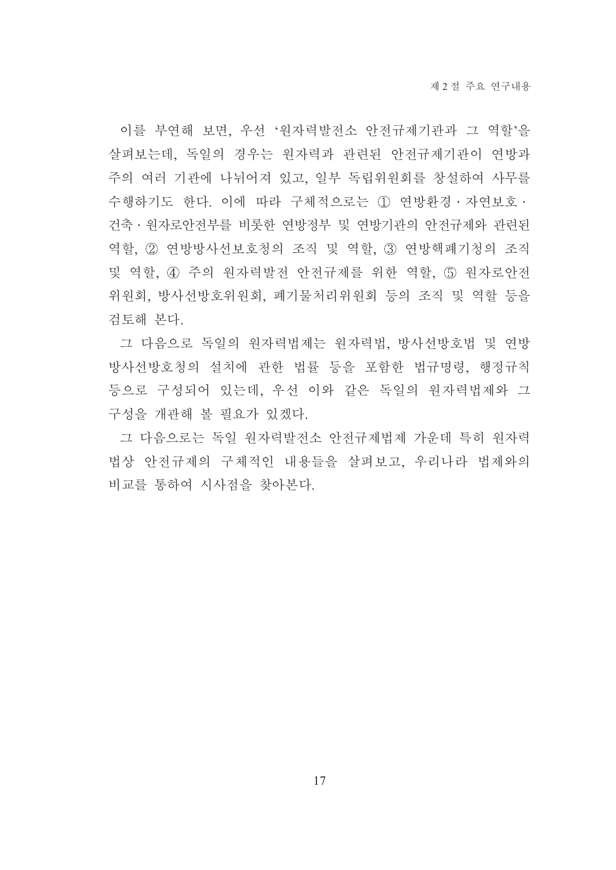이를 부연해 보면, 우선 '워자력발전소 안전규제기관과 그 역할'을 살펴보는데, 독일의 경우는 원자력과 관련된 안전규제기관이 연방과 주의 여러 기관에 나뉘어져 있고, 일부 독립위원회를 창설하여 사무를 수행하기도 한다. 이에 따라 구체적으로는 ① 연방환경 · 자연보호 · 건축 · 워자로안전부를 비롯한 연방정부 및 연방기관의 안전규제와 관련된 역할, ② 연방방사선보호청의 조직 및 역할, ③ 연방핵폐기청의 조직 및 역할, 4 주의 원자력발전 안전규제를 위한 역할, 5 원자로안전 위원회, 방사선방호위원회, 폐기물처리위원회 등의 조직 및 역할 등을 검토해 본다.

그 다음으로 독일의 원자력법제는 원자력법, 방사선방호법 및 연방 방사선방호청의 설치에 관한 법률 등을 포함한 법규명령, 행정규칙 등으로 구성되어 있는데, 우선 이와 같은 독일의 원자력법제와 그 구성을 개관해 볼 필요가 있겠다.

그 다음으로는 독일 워자력발전소 안전규제법제 가운데 특히 워자력 법상 안전규제의 구체적인 내용들을 살펴보고, 우리나라 법제와의 비교를 통하여 시사점을 찾아본다.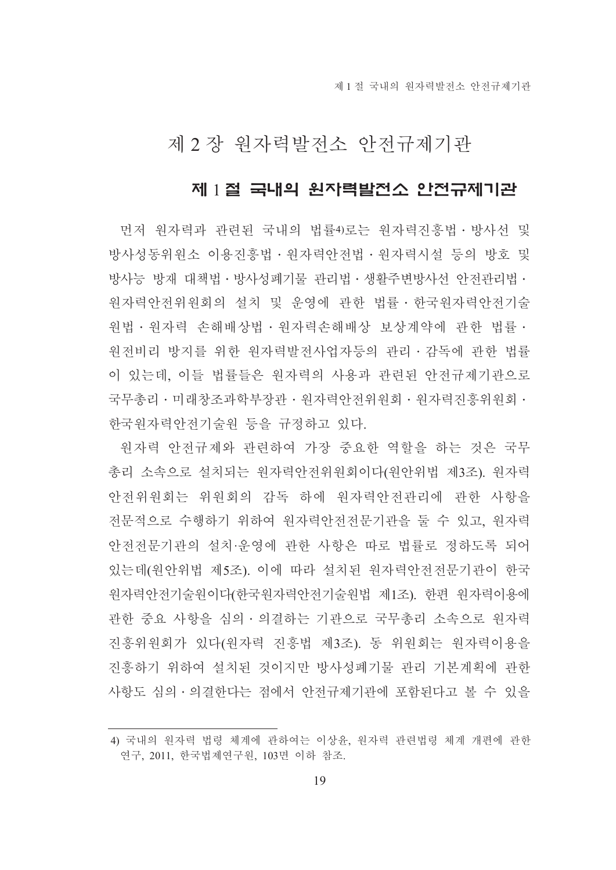## 제 2 장 원자력발전소 안전규제기관

### 제 1절 국내의 원자력발전소 안전규제기관

먼저 워자력과 관련된 국내의 법률4)로는 워자력진흥법ㆍ방사선 및 방사성동위워소 이용진흥법 · 워자력안전법 · 워자력시설 등의 방호 및 방사능 방재 대책법 · 방사성폐기물 관리법 · 생활주변방사선 안전관리법 · 워자력안전위워회의 설치 및 운영에 관한 법률 • 한국워자력안전기술 원법 · 원자력 손해배상법 · 원자력손해배상 보상계약에 관한 법률 · 원전비리 방지를 위한 원자력발전사업자등의 관리·감독에 관한 법률 이 있는데, 이들 법률들은 원자력의 사용과 관련된 안전규제기관으로 국무총리 • 미래창조과학부장관 • 워자력안전위원회 • 워자력진흥위워회 • 한국워자력안전기술워 등을 규정하고 있다.

워자력 안전규제와 관련하여 가장 중요한 역할을 하는 것은 국무 총리 소속으로 설치되는 워자력아저위워회이다(워아위법 제3조) 워자력 안전위원회는 위원회의 감독 하에 원자력안전관리에 관한 사항을 전문적으로 수행하기 위하여 원자력안전전문기관을 둘 수 있고, 원자력 안전전문기관의 설치·운영에 관한 사항은 따로 법률로 정하도록 되어 있는데(원안위법 제5조). 이에 따라 설치된 원자력안전전문기관이 한국 원자력안전기술원이다(한국원자력안전기술원법 제1조). 한편 원자력이용에 관한 중요 사항을 심의 · 의결하는 기관으로 국무총리 소속으로 원자력 진흥위원회가 있다(원자력 진흥법 제3조). 동 위원회는 원자력이용을 진흥하기 위하여 설치된 것이지만 방사성폐기물 관리 기본계획에 관한 사항도 심의 · 의결한다는 점에서 안전규제기관에 포함된다고 볼 수 있을

<sup>4)</sup> 국내의 원자력 법령 체계에 관하여는 이상윤, 원자력 관련법령 체계 개편에 관한 연구, 2011, 한국법제연구원, 103면 이하 참조.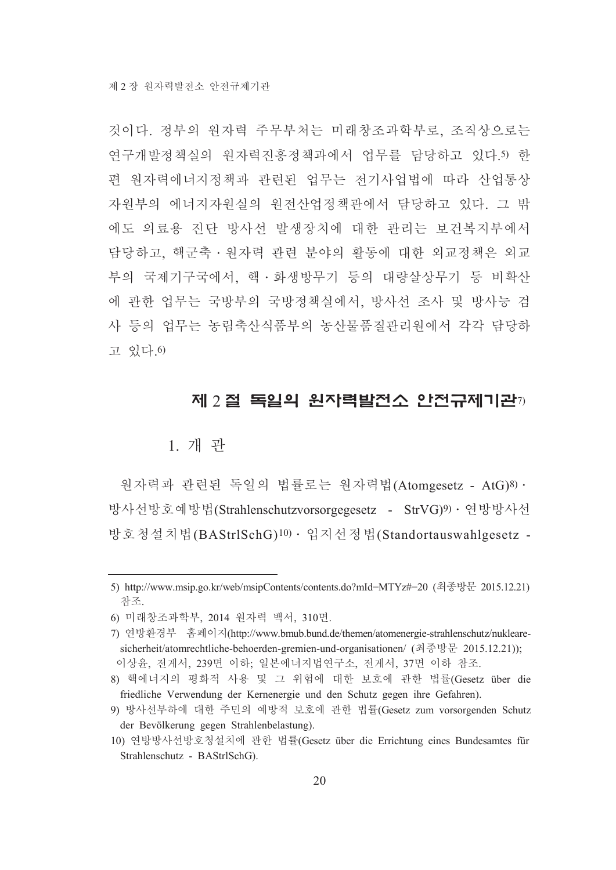것이다. 정부의 워자력 주무부처는 미래창조과학부로, 조직상으로는 연구개발정책실의 워자력진흥정책과에서 업무를 담당하고 있다.5) 한 편 워자력에너지정책과 관련된 업무는 전기사업법에 따라 산업통상 자원부의 에너지자원실의 원전산업정책관에서 담당하고 있다. 그 밖 에도 의료용 진단 방사선 발생장치에 대한 관리는 보건복지부에서 담당하고, 핵군축·원자력 관련 분야의 활동에 대한 외교정책은 외교 부의 국제기구국에서 핵 · 화생방무기 등의 대량살상무기 등 비확산 에 관한 업무는 국방부의 국방정책실에서, 방사선 조사 및 방사능 검 사 등의 업무는 농림축산식품부의 농산물품질관리원에서 각각 담당하 고 있다.6)

#### 제 2절 독일의 원자력발전소 안전규제기관7)

#### 1. 개 관

워자력과 관련된 독일의 법률로는 워자력법(Atomgesetz - AtG)8) · 방사선방호예방법(Strahlenschutzvorsorgegesetz - StrVG)9) · 연방방사선 방호청설치법(BAStrlSchG)<sup>10)</sup> · 입지선정법(Standortauswahlgesetz -

<sup>5)</sup> http://www.msip.go.kr/web/msipContents/contents.do?mId=MTYz#=20 (최종방문 2015.12.21) 참조.

<sup>6)</sup> 미래창조과학부 2014 워자력 백서 310면.

<sup>7)</sup> 연방환경부 홈페이지(http://www.bmub.bund.de/themen/atomenergie-strahlenschutz/nuklearesicherheit/atomrechtliche-behoerden-gremien-und-organisationen/ (최종방문 2015.12.21)); 이상윤, 전게서, 239면 이하; 일본에너지법연구소, 전게서, 37면 이하 참조.

<sup>8)</sup> 핵에너지의 평화적 사용 및 그 위험에 대한 보호에 관한 법률(Gesetz über die friedliche Verwendung der Kernenergie und den Schutz gegen ihre Gefahren).

<sup>9)</sup> 방사선부하에 대한 주민의 예방적 보호에 관한 법률(Gesetz zum vorsorgenden Schutz der Bevölkerung gegen Strahlenbelastung).

<sup>10)</sup> 연방방사선방호청설치에 관한 법률(Gesetz über die Errichtung eines Bundesamtes für Strahlenschutz - BAStrlSchG).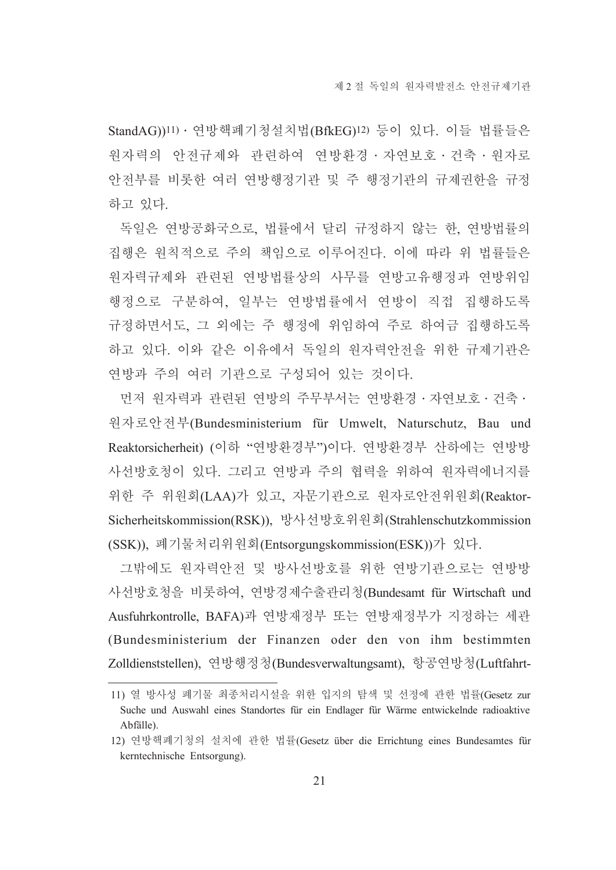StandAG))11) · 연방핵폐기청설치법(BfkEG)12) 등이 있다. 이들 법률들은 원자력의 안전규제와 관련하여 연방환경 · 자연보호 · 건축 · 원자로 안전부를 비롯한 여러 연방행정기관 및 주 행정기관의 규제권한을 규정 하고 있다.

독일은 여방공화국으로 법률에서 달리 규정하지 않는 한 여방법률의 집행은 원칙적으로 주의 책임으로 이루어진다. 이에 따라 위 법률들은 원자력규제와 관련된 연방법률상의 사무를 연방고유행정과 연방위임 행정으로 구분하여. 일부는 여방법률에서 여방이 직접 집행하도록 규정하면서도, 그 외에는 주 행정에 위임하여 주로 하여금 집행하도록 하고 있다. 이와 같은 이유에서 독일의 워자력안전을 위한 규제기관은 연방과 주의 여러 기관으로 구성되어 있는 것이다.

먼저 원자력과 관련된 연방의 주무부서는 연방환경 · 자연보호 · 건축 · 워자로안전부(Bundesministerium für Umwelt, Naturschutz, Bau und Reaktorsicherheit) (이하 "연방환경부")이다. 연방환경부 산하에는 연방방 사선방호청이 있다. 그리고 여방과 주의 협력을 위하여 워자력에너지를 위한 주 위원회(LAA)가 있고, 자문기관으로 원자로안전위원회(Reaktor-Sicherheitskommission(RSK)), 방사선방호위원회(Strahlenschutzkommission (SSK)), 폐기물처리위원회(Entsorgungskommission(ESK))가 있다.

그밖에도 원자력안전 및 방사선방호를 위한 연방기관으로는 연방방 사선방호청을 비롯하여, 연방경제수출관리청(Bundesamt für Wirtschaft und Ausfuhrkontrolle, BAFA)과 연방재정부 또는 연방재정부가 지정하는 세관 (Bundesministerium der Finanzen oder den von ihm bestimmten Zolldienststellen), 연방행정청(Bundesverwaltungsamt), 항공연방청(Luftfahrt-

<sup>11)</sup> 열 방사성 폐기물 최종처리시설을 위한 입지의 탐색 및 선정에 관한 법률(Gesetz zur Suche und Auswahl eines Standortes für ein Endlager für Wärme entwickelnde radioaktive Abfälle).

<sup>12)</sup> 연방핵폐기청의 설치에 관한 법률(Gesetz über die Errichtung eines Bundesamtes für kerntechnische Entsorgung).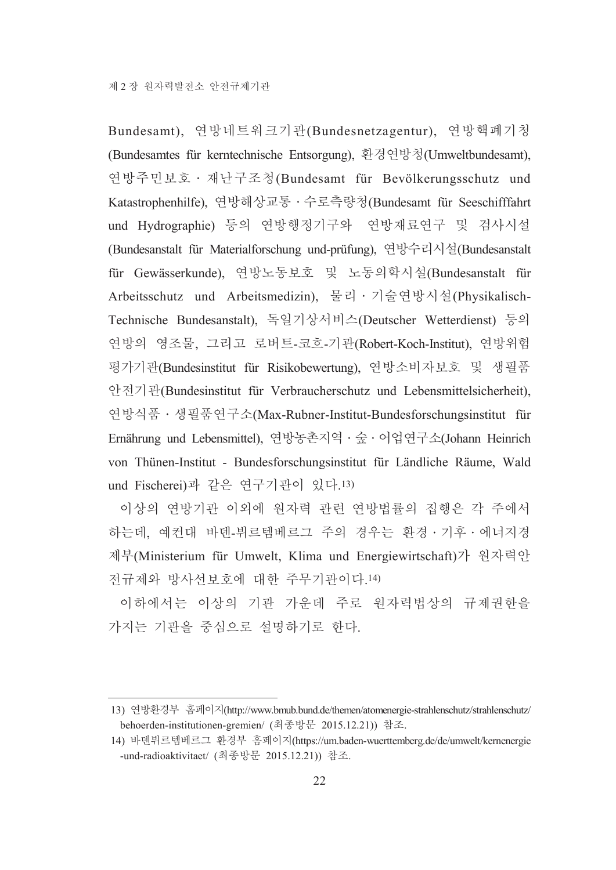Bundesamt), 연방네트워크기관(Bundesnetzagentur), 연방핵폐기청 (Bundesamtes für kerntechnische Entsorgung), 환경연방청(Umweltbundesamt), 연방주민보호 · 재난구조청(Bundesamt für Bevölkerungsschutz und Katastrophenhilfe), 연방해상교통 · 수로측량청(Bundesamt für Seeschifffahrt und Hydrographie) 등의 연방행정기구와 연방재료연구 및 검사시설 (Bundesanstalt für Materialforschung und-prüfung), 연방수리시설(Bundesanstalt für Gewässerkunde), 연방노동보호 및 노동의학시설(Bundesanstalt für Arbeitsschutz und Arbeitsmedizin), 물리 · 기술연방시설(Physikalisch-Technische Bundesanstalt), 독일기상서비스(Deutscher Wetterdienst) 등의 연방의 영조물, 그리고 로버트-코흐-기관(Robert-Koch-Institut), 연방위험 평가기관(Bundesinstitut für Risikobewertung), 연방소비자보호 및 생필품 안전기관(Bundesinstitut für Verbraucherschutz und Lebensmittelsicherheit), 연방식품 · 생필품연구소(Max-Rubner-Institut-Bundesforschungsinstitut für Ernährung und Lebensmittel), 연방농촌지역 · 숲 · 어업연구소(Johann Heinrich von Thünen-Institut - Bundesforschungsinstitut für Ländliche Räume, Wald und Fischerei)과 같은 연구기관이 있다.13)

이상의 여방기관 이외에 워자력 관련 여방법률의 집행은 각 주에서 하는데, 예컨대 바덴-뷔르템베르그 주의 경우는 화경 · 기후 · 에너지경 제부(Ministerium für Umwelt, Klima und Energiewirtschaft)가 워자력안 전규제와 방사선보호에 대한 주무기관이다.14)

이하에서는 이상의 기관 가운데 주로 워자력법상의 규제권한을 가지는 기관을 중심으로 설명하기로 한다.

<sup>13)</sup> 연방환경부 홈페이지(http://www.bmub.bund.de/themen/atomenergie-strahlenschutz/strahlenschutz/ behoerden-institutionen-gremien/ (최종방문 2015.12.21)) 참조.

<sup>14)</sup> 바덴뷔르템베르그 환경부 홈페이지(https://um.baden-wuerttemberg.de/de/umwelt/kernenergie -und-radioaktivitaet/ (최종방문 2015.12.21)) 참조.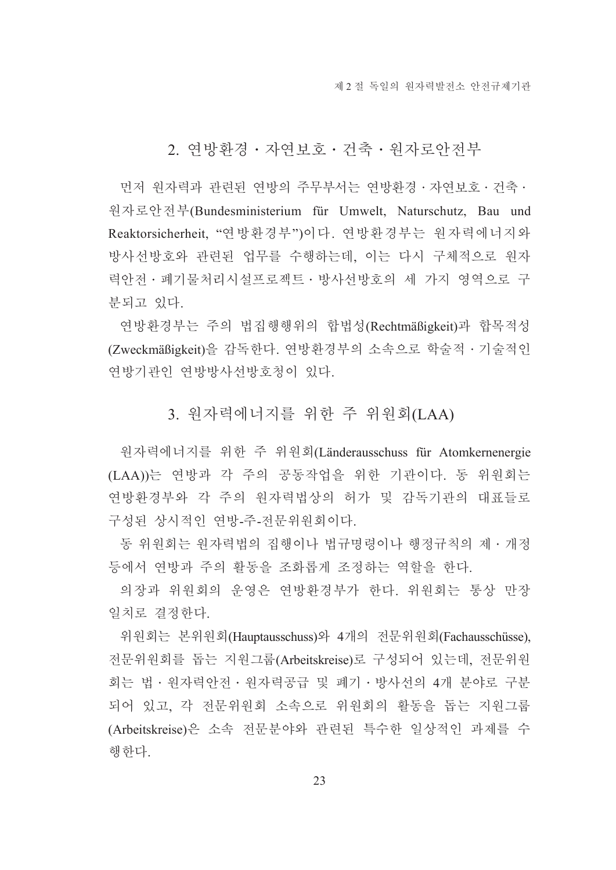## 2. 여방화경 · 자연보호 · 건축 · 워자로아저부

먼저 워자력과 관련된 연방의 주무부서는 연방환경 · 자연보호 · 건축 · 원자로안전부(Bundesministerium für Umwelt, Naturschutz, Bau und Reaktorsicherheit, "연방환경부")이다. 연방환경부는 원자력에너지와 방사선방호와 관련된 업무를 수행하는데, 이는 다시 구체적으로 원자 력안전 · 폐기물처리시설프로젝트 · 방사선방호의 세 가지 영역으로 구 부되고 있다.

연방환경부는 주의 법집행행위의 합법성(Rechtmäßigkeit)과 합목적성 (Zweckmäßigkeit)을 감독한다. 연방환경부의 소속으로 학술적 · 기술적인 연방기관인 연방방사선방호청이 있다.

### 3. 워자력에너지를 위한 주 위워회(LAA)

워자력에너지를 위한 주 위워회(Länderausschuss für Atomkernenergie (LAA))는 연방과 각 주의 공동작업을 위한 기관이다. 동 위원회는 연방환경부와 각 주의 원자력법상의 허가 및 감독기관의 대표들로 구성된 상시적인 연방-주-전문위원회이다.

동 위원회는 원자력법의 집행이나 법규명령이나 행정규칙의 제 · 개정 등에서 여방과 주의 활동을 조화롭게 조정하는 역할을 하다.

의장과 위워회의 운영은 여방화경부가 한다. 위워회는 통상 만장 일치로 결정한다.

위원회는 본위원회(Hauptausschuss)와 4개의 전문위원회(Fachausschüsse), 전문위원회를 돕는 지원그룹(Arbeitskreise)로 구성되어 있는데, 전문위원 회는 법 · 원자력안전 · 원자력공급 및 폐기 · 방사선의 4개 분야로 구분 되어 있고, 각 전문위원회 소속으로 위원회의 활동을 돕는 지원그룹 (Arbeitskreise)은 소속 전문분야와 관련된 특수한 일상적인 과제를 수 행한다.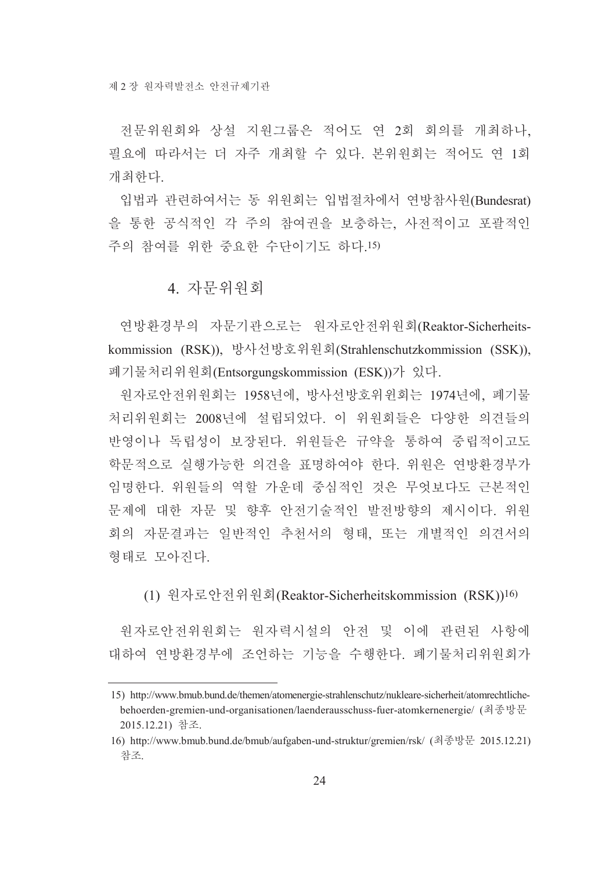전문위원회와 상설 지원그룹은 적어도 연 2회 회의를 개최하나. 필요에 따라서는 더 자주 개최할 수 있다. 본위워회는 적어도 여 1회 개최하다.

입법과 관련하여서는 동 위원회는 입법절차에서 연방참사원(Bundesrat) 을 통한 공식적인 각 주의 참여권을 보충하는 사전적이고 포괄적인 주의 참여를 위한 중요한 수단이기도 하다.15)

## 4. 자문위워회

연방환경부의 자문기관으로는 원자로안전위원회(Reaktor-Sicherheitskommission (RSK)), 방사선방호위원회(Strahlenschutzkommission (SSK)), 폐기물처리위원회(Entsorgungskommission (ESK))가 있다.

워자로안전위워회는 1958년에, 방사선방호위위회는 1974년에, 폐기물 처리위원회는 2008년에 설립되었다. 이 위원회들은 다양한 의견들의 반영이나 독립성이 보장된다. 위원들은 규약을 통하여 중립적이고도 학문적으로 실행가능한 의견을 표명하여야 한다. 위원은 연방환경부가 임명한다. 위원들의 역할 가운데 중심적인 것은 무엇보다도 근본적인 문제에 대한 자문 및 향후 안전기술적인 발전방향의 제시이다. 위원 회의 자문결과는 일반적인 추천서의 형태, 또는 개별적인 의견서의 형태로 모아지다.

(1) 원자로안전위원회(Reaktor-Sicherheitskommission (RSK))<sup>16)</sup>

워자로안전위워회는 워자력시설의 안전 및 이에 관련된 사항에 대하여 여방화경부에 조언하는 기능을 수행하다 폐기물처리위워회가

<sup>15)</sup> http://www.bmub.bund.de/themen/atomenergie-strahlenschutz/nukleare-sicherheit/atomrechtlichebehoerden-gremien-und-organisationen/laenderausschuss-fuer-atomkernenergie/ (최종방문 2015.12.21) 참조.

<sup>16)</sup> http://www.bmub.bund.de/bmub/aufgaben-und-struktur/gremien/rsk/ (최종방문 2015.12.21) 참조.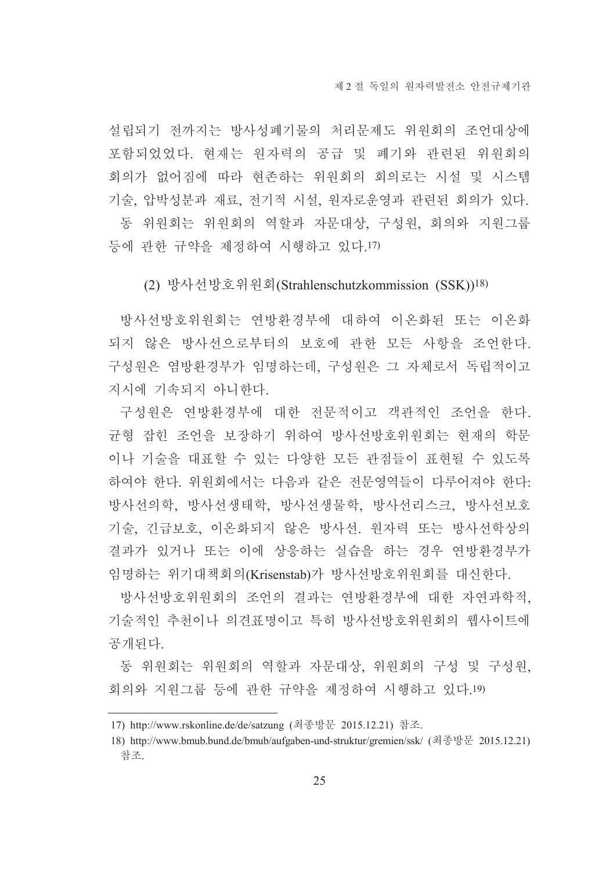설립되기 전까지는 방사성폐기물의 처리문제도 위원회의 조언대상에 포함되었었다. 현재는 원자력의 공급 및 폐기와 관련된 위원회의 회의가 없어짐에 따라 현존하는 위원회의 회의로는 시설 및 시스템 기술, 압박성분과 재료, 전기적 시설, 원자로운영과 관련된 회의가 있다. 동 위원회는 위원회의 역할과 자문대상, 구성원, 회의와 지원그룹 등에 관한 규약을 제정하여 시행하고 있다.17)

(2) 방사선방호위원회(Strahlenschutzkommission (SSK))<sup>18)</sup>

방사선방호위원회는 연방환경부에 대하여 이온화된 또는 이온화 되지 않은 방사선으로부터의 보호에 관한 모든 사항을 조언한다. 구성원은 염방환경부가 임명하는데, 구성원은 그 자체로서 독립적이고 지시에 기속되지 아니한다.

구성원은 연방환경부에 대한 전문적이고 객관적인 조언을 한다. 균형 잡힌 조언을 보장하기 위하여 방사선방호위원회는 현재의 학문 이나 기술을 대표할 수 있는 다양한 모든 관점들이 표현될 수 있도록 하여야 한다. 위워회에서는 다음과 같은 전문영역들이 다루어져야 한다: 방사선의학, 방사선생태학, 방사선생물학, 방사선리스크, 방사선보호 기술, 긴급보호, 이온화되지 않은 방사선, 워자력 또는 방사선학상의 결과가 있거나 또는 이에 상응하는 실습을 하는 경우 연방환경부가 임명하는 위기대책회의(Krisenstab)가 방사선방호위원회를 대신한다.

방사선방호위원회의 조언의 결과는 연방환경부에 대한 자연과학적, 기술적인 추천이나 의견표명이고 특히 방사선방호위워회의 웹사이트에 공개되다.

동 위원회는 위원회의 역할과 자문대상, 위원회의 구성 및 구성원, 회의와 지원그룹 등에 관한 규약을 제정하여 시행하고 있다.19)

<sup>17)</sup> http://www.rskonline.de/de/satzung (최종방문 2015.12.21) 참조.

<sup>18)</sup> http://www.bmub.bund.de/bmub/aufgaben-und-struktur/gremien/ssk/ (최종방문 2015.12.21) 참조.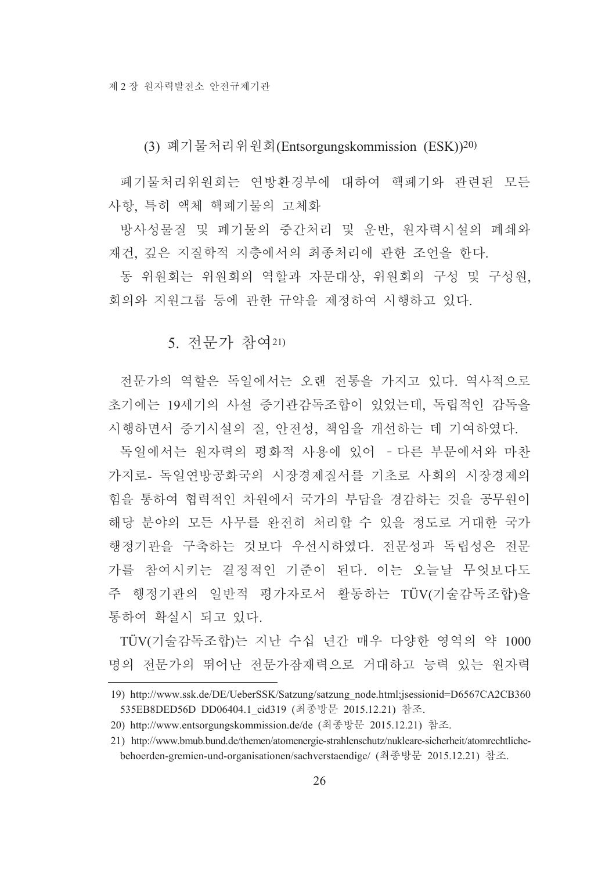(3) 폐기물처리위원회(Entsorgungskommission (ESK))<sup>20)</sup>

폐기물처리위워회는 연방화경부에 대하여 핵폐기와 관련된 모든 사항 특히 액체 핵폐기물의 고체화

방사성물질 및 폐기물의 중간처리 및 운반, 원자력시설의 폐쇄와 재건, 깊은 지질학적 지층에서의 최종처리에 관한 조언을 하다.

동 위워회는 위워회의 역할과 자문대상. 위워회의 구성 및 구성워. 회의와 지워그룹 등에 관한 규약을 제정하여 시행하고 있다.

5. 전문가 참여21)

저문가의 역할은 독일에서는 오랜 전통을 가지고 있다. 역사적으로 초기에는 19세기의 사설 증기관감독조합이 있었는데 독립적인 감독을 시행하면서 증기시설의 질, 안전성, 책임을 개선하는 데 기여하였다.

독일에서는 워자력의 평화적 사용에 있어 -다른 부문에서와 마찬 가지로- 독일연방공화국의 시장경제질서를 기초로 사회의 시장경제의 힘을 통하여 협력적인 차원에서 국가의 부담을 경감하는 것을 공무원이 해당 분야의 모든 사무를 완전히 처리할 수 있을 정도로 거대한 국가 행정기관을 구축하는 것보다 우선시하였다. 전문성과 독립성은 전문 가를 참여시키는 결정적인 기준이 된다. 이는 오늘날 무엇보다도 주 행정기관의 일반적 평가자로서 활동하는 TÜV(기술감독조합)을 통하여 확실시 되고 있다.

TÜV(기술감독조합)는 지난 수십 년간 매우 다양한 영역의 약 1000 명의 전문가의 뛰어난 전문가잠재력으로 거대하고 능력 있는 워자력

<sup>19)</sup> http://www.ssk.de/DE/UeberSSK/Satzung/satzung node.html;jsessionid=D6567CA2CB360 535EB8DED56D DD06404.1 cid319 (최종방문 2015.12.21) 참조.

<sup>20)</sup> http://www.entsorgungskommission.de/de (최종방문 2015.12.21) 참조.

<sup>21)</sup> http://www.bmub.bund.de/themen/atomenergie-strahlenschutz/nukleare-sicherheit/atomrechtlichebehoerden-gremien-und-organisationen/sachverstaendige/ (최종방문 2015.12.21) 참조.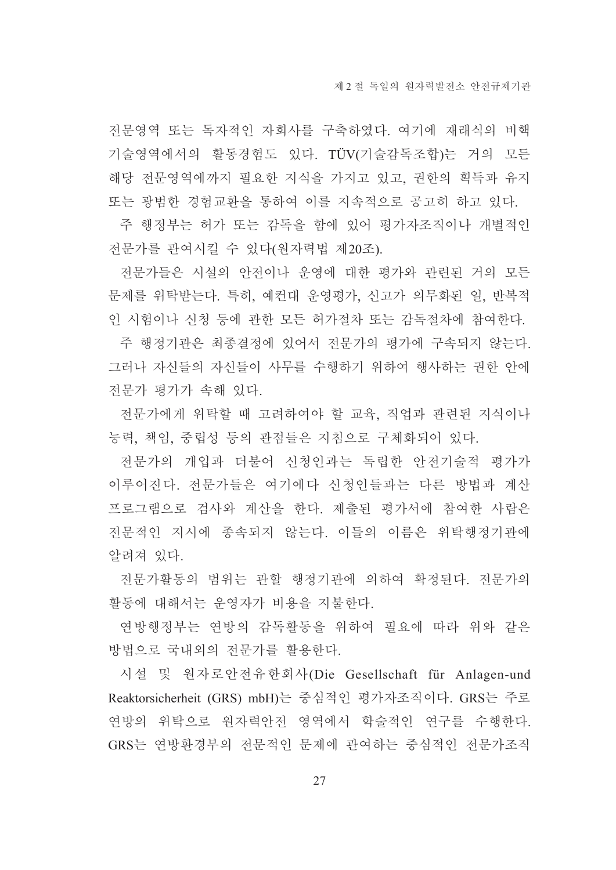전문영역 또는 독자적인 자회사를 구축하였다. 여기에 재래식의 비핵 기술영역에서의 활동경험도 있다. TÜV(기술감독조합)는 거의 모든 해당 전문영역에까지 필요한 지식을 가지고 있고, 권한의 획득과 유지 또는 광범한 경험교환을 통하여 이를 지속적으로 공고히 하고 있다.

주 행정부는 허가 또는 감독을 함에 있어 평가자조직이나 개별적인 전문가를 관여시킬 수 있다(원자력법 제20조).

전문가들은 시설의 안전이나 운영에 대한 평가와 관련된 거의 모든 문제를 위탁받는다. 특히, 예컨대 운영평가, 신고가 의무화된 일, 반복적 인 시험이나 신청 등에 관한 모든 허가절차 또는 감독절차에 참여한다.

주 행정기관은 최종결정에 있어서 전문가의 평가에 구속되지 않는다. 그러나 자신들의 자신들이 사무를 수행하기 위하여 행사하는 권한 안에 전문가 평가가 속해 있다.

전문가에게 위탁할 때 고려하여야 할 교육, 직업과 관련된 지식이나 능력, 책임, 중립성 등의 관점들은 지침으로 구체화되어 있다.

전문가의 개입과 더불어 신청인과는 독립한 안전기술적 평가가 이루어진다. 전문가들은 여기에다 신청인들과는 다른 방법과 계산 프로그램으로 검사와 계산을 한다. 제출된 평가서에 참여한 사람은 전문적인 지시에 종속되지 않는다. 이들의 이름은 위탁행정기관에 알려져 있다.

전문가활동의 범위는 관할 행정기관에 의하여 확정되다. 저무가의 활동에 대해서는 운영자가 비용을 지불한다.

여방행정부는 여방의 감독활동을 위하여 필요에 따라 위와 같은 방법으로 국내외의 전문가를 활용한다.

시설 및 워자로안전유한회사(Die Gesellschaft für Anlagen-und Reaktorsicherheit (GRS) mbH)는 중심적인 평가자조직이다. GRS는 주로 연방의 위탁으로 원자력안전 영역에서 학술적인 연구를 수행한다. GRS는 연방환경부의 전문적인 문제에 관여하는 중심적인 전문가조직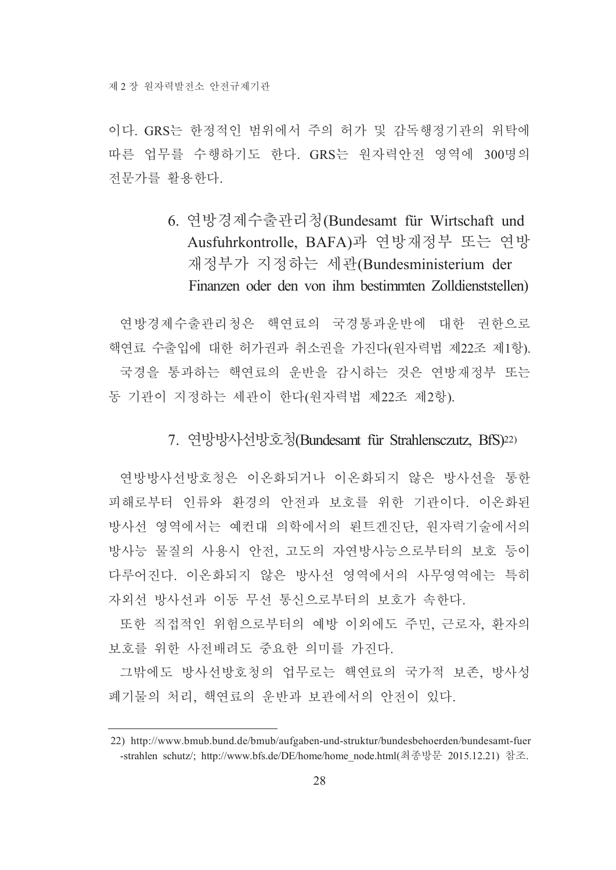이다. GRS는 한정적인 범위에서 주의 허가 및 감독행정기관의 위탁에 따른 업무를 수행하기도 한다. GRS는 원자력안전 영역에 300명의 전문가를 활용한다.

## 6. 연방경제수출관리청(Bundesamt für Wirtschaft und Ausfuhrkontrolle, BAFA)과 연방재정부 또는 연방 재정부가 지정하는 세관(Bundesministerium der Finanzen oder den von ihm bestimmten Zolldienststellen)

연방경제수출관리청은 핵연료의 국경통과우반에 대한 권한으로 핵연료 수출입에 대한 허가권과 취소권을 가진다(원자력법 제22조 제1항). 국경을 통과하는 핵연료의 운반을 감시하는 것은 연방재정부 또는 동 기관이 지정하는 세관이 한다(워자력법 제22조 제2항).

## 7. 연방방사선방호청(Bundesamt für Strahlensczutz, BfS)<sup>22)</sup>

연방방사선방호청은 이온화되거나 이온화되지 않은 방사선을 통한 피해로부터 인류와 환경의 안전과 보호를 위한 기관이다. 이온화된 방사선 영역에서는 예컨대 의학에서의 뢴트겐진단, 원자력기술에서의 방사능 물질의 사용시 안전, 고도의 자연방사능으로부터의 보호 등이 다루어진다. 이온화되지 않은 방사선 영역에서의 사무영역에는 특히 자외선 방사선과 이동 무선 통신으로부터의 보호가 속하다.

또한 직접적인 위험으로부터의 예방 이외에도 주민, 근로자, 환자의 보호를 위한 사전배려도 중요한 의미를 가진다.

그밖에도 방사선방호청의 업무로는 핵연료의 국가적 보존, 방사성 폐기물의 처리, 핵연료의 운반과 보관에서의 안전이 있다.

<sup>22)</sup> http://www.bmub.bund.de/bmub/aufgaben-und-struktur/bundesbehoerden/bundesamt-fuer -strahlen schutz/; http://www.bfs.de/DE/home/home node.html(최종방문 2015.12.21) 참조.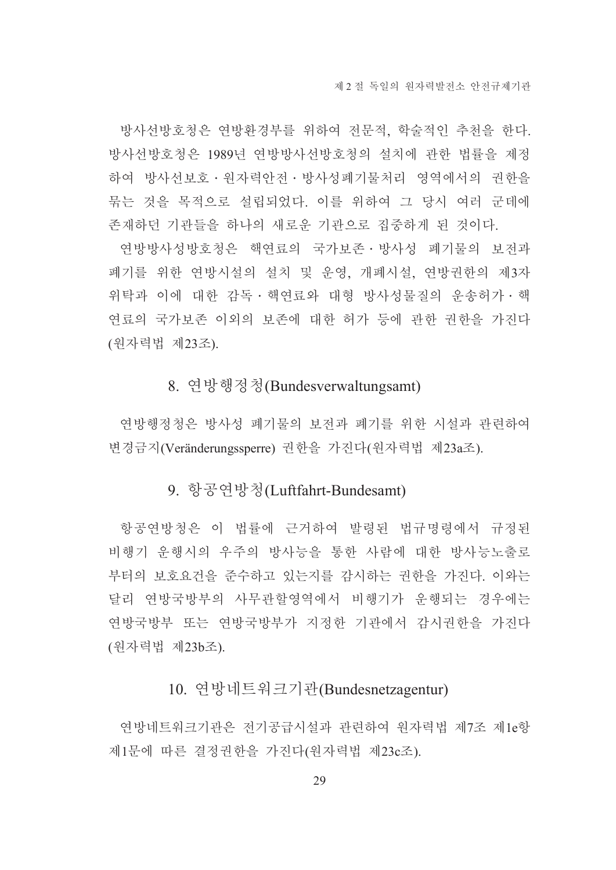방사선방호청은 연방환경부를 위하여 전문적, 학술적인 추천을 한다. 방사선방호청은 1989년 연방방사선방호청의 설치에 관한 법률을 제정 하여 방사선보호 · 원자력안전 · 방사성폐기물처리 영역에서의 권한을 묶는 것을 목적으로 설립되었다. 이를 위하여 그 당시 여러 군데에 존재하던 기관들을 하나의 새로운 기관으로 집중하게 된 것이다.

연방방사성방호청은 핵연료의 국가보존 방사성 폐기물의 보전과 폐기를 위한 연방시설의 설치 및 운영, 개폐시설, 연방권한의 제3자 위탁과 이에 대한 감독 · 핵연료와 대형 방사성물질의 운송허가 · 핵 연료의 국가보존 이외의 보존에 대한 허가 등에 관한 권한을 가진다 (원자력법 제23조).

#### 8. 연방행정청(Bundesverwaltungsamt)

연방행정청은 방사성 폐기물의 보전과 폐기를 위한 시설과 관련하여 변경금지(Veränderungssperre) 권한을 가진다(원자력법 제23a조).

## 9. 항공연방청(Luftfahrt-Bundesamt)

항공연방청은 이 법률에 근거하여 발령된 법규명령에서 규정된 비행기 운행시의 우주의 방사능을 통한 사람에 대한 방사능노출로 부터의 보호요건을 주수하고 있는지를 감시하는 권한을 가진다. 이와는 달리 연방국방부의 사무관할영역에서 비행기가 운행되는 경우에는 연방국방부 또는 연방국방부가 지정한 기관에서 감시권한을 가진다 (원자력법 제23b조).

## 10. 연방네트워크기관(Bundesnetzagentur)

연방네트워크기관은 전기공급시설과 관련하여 원자력법 제7조 제1e항 제1문에 따른 결정권한을 가진다(원자력법 제23c조).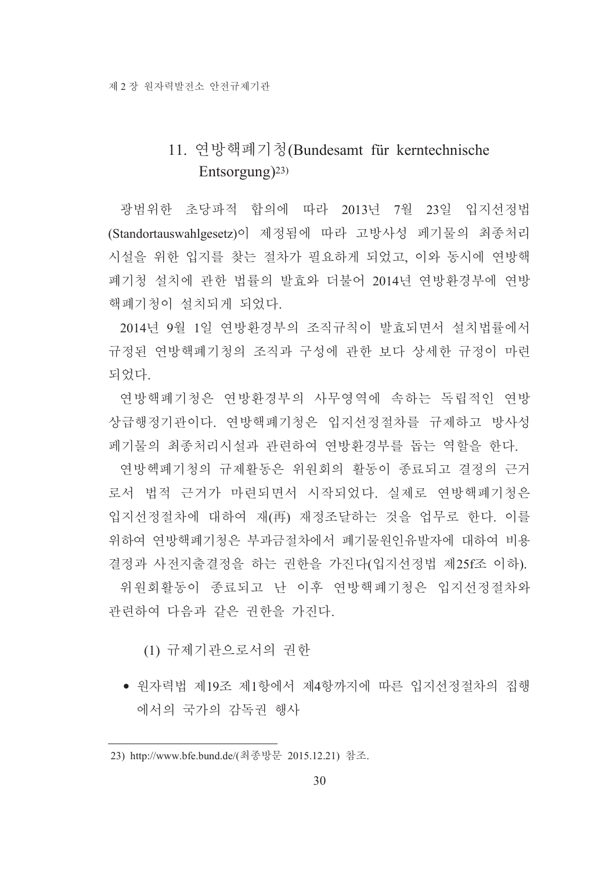## 11. 연방핵폐기청(Bundesamt für kerntechnische Entsorgung)<sup>23)</sup>

광범위한 초당파적 합의에 따라 2013년 7월 23일 입지선정법 (Standortauswahlgesetz)이 제정됨에 따라 고방사성 페기물의 최종처리 시설을 위한 입지를 찾는 절차가 필요하게 되었고, 이와 동시에 여방핵 폐기청 설치에 관한 법률의 발효와 더불어 2014년 연방환경부에 연방 핵폐기청이 설치되게 되었다.

2014년 9월 1일 연방화경부의 조직규칙이 발효되면서 설치법률에서 규정된 연방핵폐기청의 조직과 구성에 관한 보다 상세한 규정이 마련 되었다.

연방핵폐기청은 연방환경부의 사무영역에 속하는 독립적인 연방 상급행정기관이다. 연방핵폐기청은 입지선정절차를 규제하고 방사성 페기물의 최종처리시설과 관련하여 연방환경부를 돕는 역할을 한다.

연방헥폐기청의 규제활동은 위워회의 활동이 종료되고 결정의 근거 로서 법적 근거가 마련되면서 시작되었다. 실제로 연방핵폐기청은 입지선정절차에 대하여 재(再) 재정조달하는 것을 업무로 한다. 이를 위하여 연방핵폐기청은 부과금절차에서 폐기물원인유발자에 대하여 비용 결정과 사전지출결정을 하는 권한을 가진다(입지선정법 제25f조 이하).

위워회활동이 종료되고 나 이후 여방핵폐기청은 입지선정절차와 관련하여 다음과 같은 권한을 가진다.

(1) 규제기관으로서의 권한

• 워자력법 제19조 제1항에서 제4항까지에 따른 입지선정절차의 집행 에서의 국가의 감독권 행사

<sup>23)</sup> http://www.bfe.bund.de/(최종방문 2015.12.21) 참조.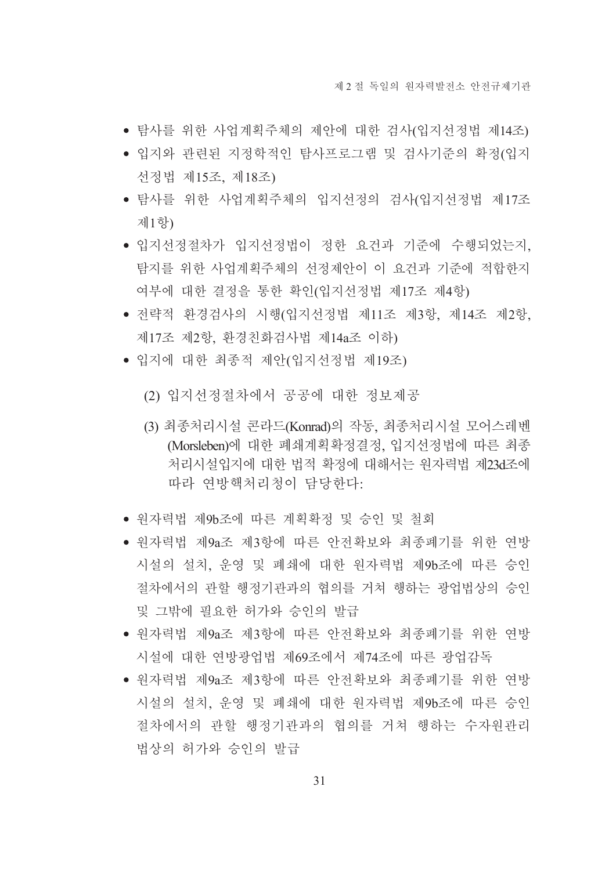- 탐사를 위한 사업계획주체의 제안에 대한 검사(입지선정법 제14조)
- 입지와 관련된 지정학적인 탐사프로그램 및 검사기준의 확정(입지 선정법 제15조, 제18조)
- 탐사를 위한 사업계획주체의 입지선정의 검사(입지선정법 제17조 제1항)
- 입지선정절차가 입지선정법이 정한 요건과 기준에 수행되었는지. 탐지를 위한 사업계획주체의 선정제안이 이 요건과 기준에 적합한지 여부에 대한 결정을 통한 확인(입지선정법 제17조 제4항)
- 전략적 환경검사의 시행(입지선정법 제11조 제3항, 제14조 제2항, 제17조 제2항, 환경친화검사법 제14a조 이하)
- 입지에 대한 최종적 제안(입지선정법 제19조)
	- (2) 입지선정절차에서 공공에 대한 정보제공
	- (3) 최종처리시설 콘라드(Konrad)의 작동, 최종처리시설 모어스레벤 (Morsleben)에 대한 폐쇄계획확정결정, 입지선정법에 따른 최종 처리시설입지에 대한 법적 확정에 대해서는 워자력법 제23d조에 따라 여방핵처리청이 담당하다:
- 원자력법 제9b조에 따른 계획확정 및 승인 및 철회
- 워자력법 제9a조 제3항에 따른 안전확보와 최종폐기를 위한 여방 시설의 설치, 운영 및 폐쇄에 대한 원자력법 제9b조에 따른 승인 절차에서의 관할 행정기관과의 협의를 거쳐 행하는 광업법상의 승인 및 그밖에 필요한 허가와 승인의 발급
- 원자력법 제9a조 제3항에 따른 안전확보와 최종폐기를 위한 연방 시설에 대한 연방광업법 제69조에서 제74조에 따른 광업감독
- 워자력법 제9a조 제3항에 따른 안전확보와 최종폐기를 위한 연방 시설의 설치, 운영 및 폐쇄에 대한 원자력법 제9b조에 따른 승인 절차에서의 관할 행정기관과의 협의를 거쳐 행하는 수자워관리 법상의 허가와 승인의 발급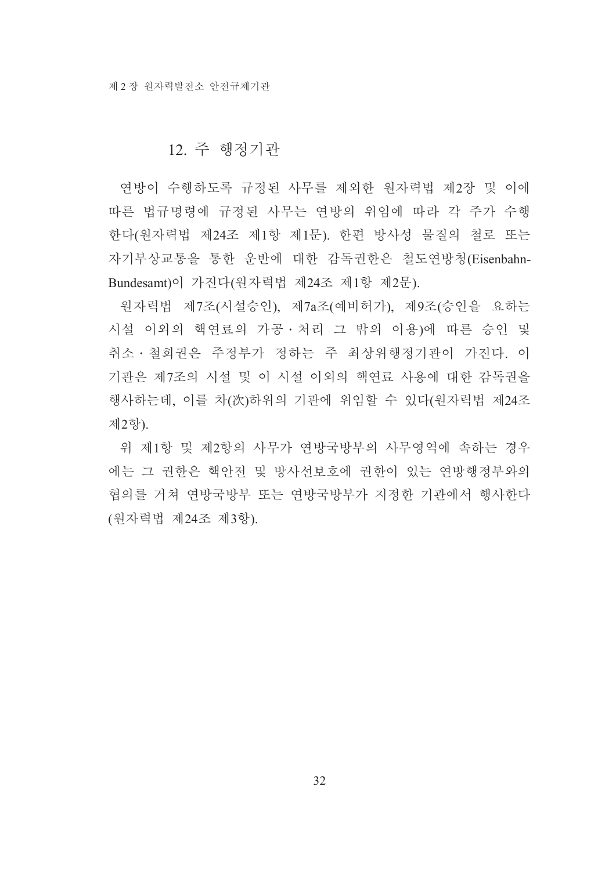#### 12. 주 행정기관

연방이 수행하도록 규정된 사무를 제외한 원자력법 제2장 및 이에 따른 법규명령에 규정된 사무는 연방의 위임에 따라 각 주가 수행 한다(원자력법 제24조 제1항 제1문). 한편 방사성 물질의 철로 또는 자기부상교통을 통한 운반에 대한 감독권한은 철도연방청(Eisenbahn-Bundesamt)이 가진다(워자력법 제24조 제1항 제2문).

원자력법 제7조(시설승인), 제7a조(예비허가), 제9조(승인을 요하는 시설 이외의 핵연료의 가공 · 처리 그 밖의 이용)에 따른 승인 및 취소 · 철회권은 주정부가 정하는 주 최상위행정기관이 가진다. 이 기관은 제7조의 시설 및 이 시설 이외의 핵연료 사용에 대한 감독권을 행사하는데, 이를 차(次)하위의 기관에 위임할 수 있다(원자력법 제24조 제2항).

위 제1항 및 제2항의 사무가 연방국방부의 사무영역에 속하는 경우 에는 그 권한은 핵안전 및 방사선보호에 권한이 있는 여방행정부와의 협의를 거쳐 연방국방부 또는 연방국방부가 지정한 기관에서 행사한다 (원자력법 제24조 제3항).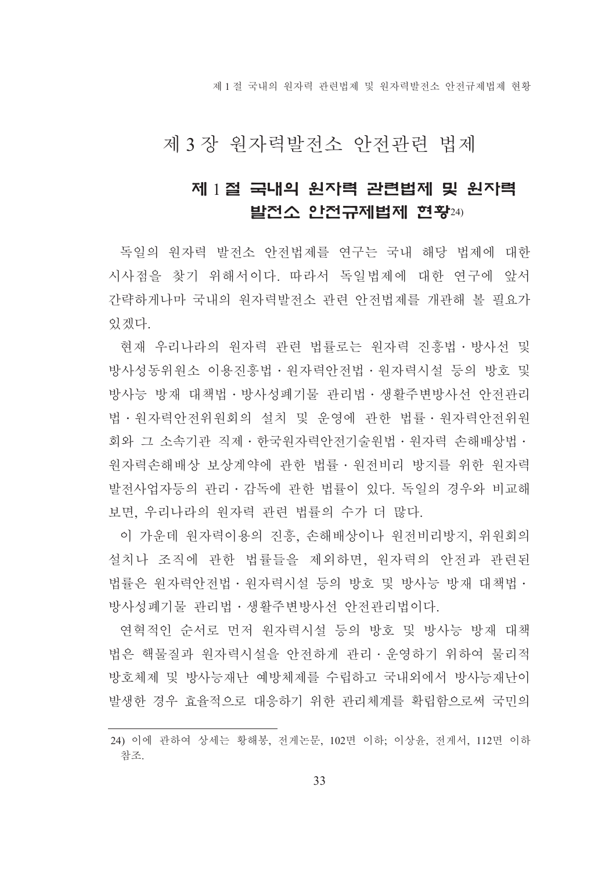제 1 절 국내의 워자력 관련법제 및 워자력발전소 안전규제법제 현황

## 제 3 장 원자력발전소 안전관련 법제

## 제 1절 국내의 원자력 관련법제 및 원자력 발전소 안전규제법제 현황24)

독일의 워자력 발전소 안전법제를 연구는 국내 해당 법제에 대한 시사점을 찾기 위해서이다. 따라서 독일법제에 대한 연구에 앞서 간략하게나마 국내의 원자력발전소 관련 안전법제를 개관해 볼 필요가 있겠다.

현재 우리나라의 워자력 관련 법률로는 워자력 진흥법 · 방사선 및 방사성동위워소 이용진흥법ㆍ워자력아전법ㆍ워자력시설 등의 방호 및 방사능 방재 대책법 • 방사성폐기물 관리법 • 생활주변방사선 안전관리 법·원자력안전위원회의 설치 및 운영에 관한 법률·원자력안전위원 회와 그 소속기관 직제 · 한국워자력안전기술워법 · 워자력 손해배상법 · 워자력손해배상 보상계약에 관한 법률·원전비리 방지를 위한 원자력 발전사업자등의 관리 · 감독에 관한 법률이 있다. 독일의 경우와 비교해 보면, 우리나라의 워자력 관련 법률의 수가 더 많다.

이 가운데 원자력이용의 진흥, 손해배상이나 원전비리방지, 위원회의 설치나 조직에 관한 법률들을 제외하면, 원자력의 안전과 관련된 법률은 워자력안전법 · 워자력시설 등의 방호 및 방사능 방재 대책법 · 방사성폐기물 관리법 • 생활주변방사선 안전관리법이다.

연혁적인 순서로 먼저 워자력시설 등의 방호 및 방사능 방재 대책 법은 핵물질과 원자력시설을 안전하게 관리 · 운영하기 위하여 물리적 방호체제 및 방사능재난 예방체제를 수립하고 국내외에서 방사능재난이 발생한 경우 효율적으로 대응하기 위한 관리체계를 확립함으로써 국민의

<sup>24)</sup> 이에 관하여 상세는 황해봉, 전게논문, 102면 이하; 이상윤, 전게서, 112면 이하 참조.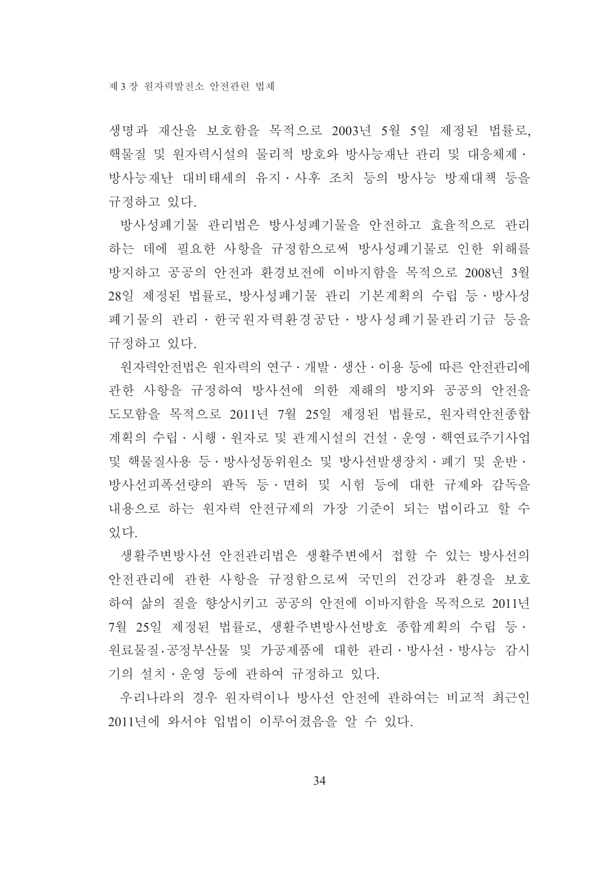생명과 재산을 보호함을 목적으로 2003년 5월 5일 제정된 법률로, 핵물질 및 원자력시설의 물리적 방호와 방사능재난 관리 및 대응체제 · 방사능재난 대비태세의 유지 사후 조치 등의 방사능 방재대책 등을 규정하고 있다.

방사성폐기물 관리법은 방사성폐기물을 안전하고 효율적으로 관리 하는 데에 필요한 사항을 규정함으로써 방사성폐기물로 인한 위해를 방지하고 공공의 안전과 환경보전에 이바지함을 목적으로 2008년 3월 28일 제정된 법률로, 방사성폐기물 관리 기본계획의 수립 등·방사성 폐기물의 관리·한국원자력환경공단·방사성폐기물관리기금 등을 규정하고 있다.

워자력안전법은 워자력의 연구 • 개발 • 생산 • 이용 등에 따른 안전관리에 관한 사항을 규정하여 방사선에 의한 재해의 방지와 공공의 안전을 도모함을 목적으로 2011년 7월 25일 제정된 법률로, 워자력안전종합 계획의 수립 · 시행 · 워자로 및 관계시설의 건설 · 운영 · 핵연료주기사업 및 핵물질사용 등·방사성동위원소 및 방사선발생장치·폐기 및 운반· 방사선피폭선량의 판독 등ㆍ면허 및 시험 등에 대한 규제와 감독을 내용으로 하는 워자력 안전규제의 가장 기준이 되는 법이라고 할 수 있다

생활주변방사선 안전관리법은 생활주변에서 접할 수 있는 방사선의 안전관리에 관한 사항을 규정함으로써 국민의 건강과 환경을 보호 하여 삶의 질을 향상시키고 공공의 안전에 이바지함을 목적으로 2011년 7월 25일 제정된 법률로, 생활주변방사선방호 종합계획의 수립 등ㆍ 워료물질 공정부산물 및 가공제품에 대한 관리 · 방사선 · 방사능 감시 기의 설치 · 운영 등에 관하여 규정하고 있다.

우리나라의 경우 워자력이나 방사선 안전에 관하여는 비교적 최근인 2011년에 와서야 입법이 이루어졌음을 알 수 있다.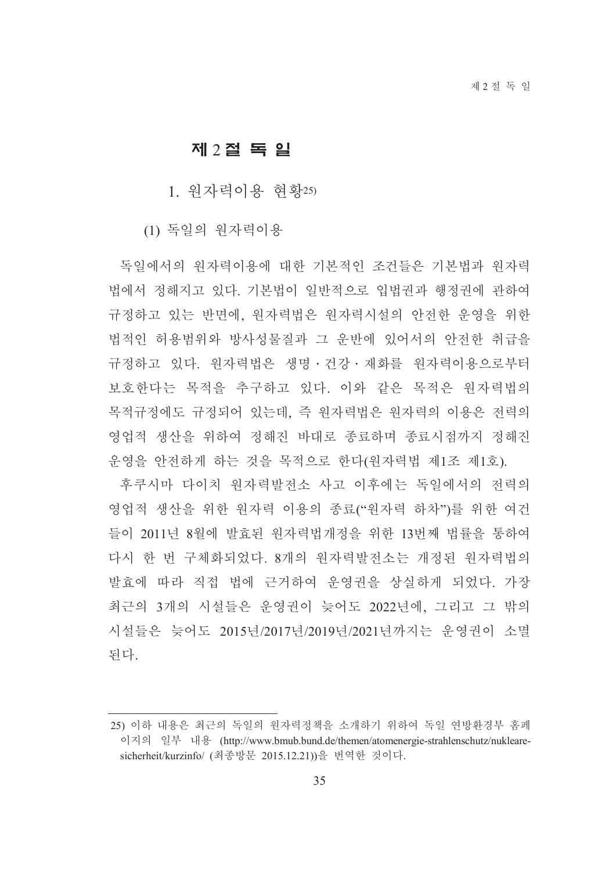#### 제 2절 독 일

1. 워자력이용 혂황25)

(1) 독일의 원자력이용

독일에서의 워자력이용에 대한 기본적인 조건들은 기본법과 워자력 법에서 정해지고 있다. 기본법이 일반적으로 입법권과 행정권에 관하여 규정하고 있는 반면에, 원자력법은 원자력시설의 안전한 운영을 위한 법적인 허용범위와 방사성물질과 그 운반에 있어서의 안전한 취급을 규정하고 있다. 워자력법은 생명 · 건강 · 재화를 워자력이용으로부터 보호한다는 목적을 추구하고 있다. 이와 같은 목적은 원자력법의 목적규정에도 규정되어 있는데 즉 워자력법은 워자력의 이용은 저력의 영업적 생산을 위하여 정해진 바대로 종료하며 종료시점까지 정해진 운영을 안전하게 하는 것을 목적으로 한다(원자력법 제1조 제1호).

후쿠시마 다이치 워자력발저소 사고 이후에는 독일에서의 저력의 영업적 생산을 위한 원자력 이용의 종료("원자력 하차")를 위한 여건 들이 2011년 8월에 발효된 워자력법개정을 위한 13번째 법률을 통하여 다시 한 번 구체화되었다. 8개의 원자력발전소는 개정된 원자력법의 발효에 따라 직접 법에 근거하여 운영권을 상실하게 되었다. 가장 최근의 3개의 시설들은 우영권이 늦어도 2022년에. 그리고 그 밖의 시설들은 늦어도 2015년/2017년/2019년/2021년까지는 운영권이 소멸 되다.

<sup>25)</sup> 이하 내용은 최근의 독일의 워자력정책을 소개하기 위하여 독일 연방환경부 홈페 이지의 일부 내용 (http://www.bmub.bund.de/themen/atomenergie-strahlenschutz/nuklearesicherheit/kurzinfo/ (최종방문 2015.12.21))을 번역한 것이다.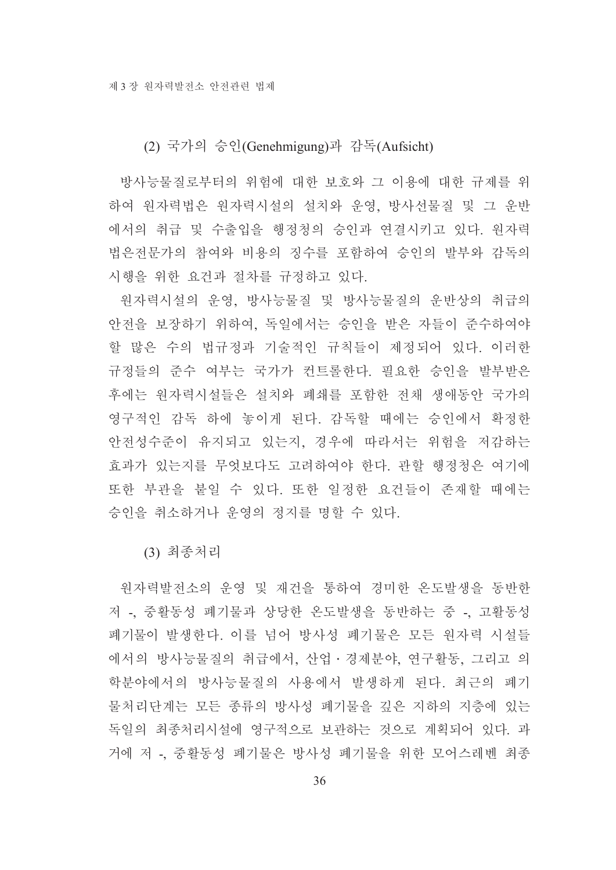(2) 국가의 승인(Genehmigung)과 감독(Aufsicht)

방사능물질로부터의 위험에 대한 보호와 그 이용에 대한 규제를 위 하여 원자력법은 원자력시설의 설치와 운영, 방사선물질 및 그 운반 에서의 취급 및 수출입을 행정청의 승인과 연결시키고 있다. 원자력 법은전문가의 참여와 비용의 징수를 포함하여 승인의 발부와 감독의 시행을 위한 요건과 절차를 규정하고 있다.

원자력시설의 운영, 방사능물질 및 방사능물질의 운반상의 취급의 안전을 보장하기 위하여, 독일에서는 승인을 받은 자들이 준수하여야 할 많은 수의 법규정과 기술적인 규칙들이 제정되어 있다. 이러한 규정들의 준수 여부는 국가가 컨트롤한다. 필요한 승인을 발부받은 후에는 원자력시설들은 설치와 폐쇄를 포함한 전채 생애동안 국가의 영구적인 감독 하에 놓이게 된다. 감독할 때에는 승인에서 확정한 안전성수준이 유지되고 있는지, 경우에 따라서는 위험을 저감하는 효과가 있는지를 무엇보다도 고려하여야 한다. 관할 행정청은 여기에 또한 부관을 붙일 수 있다. 또한 일정한 요건들이 존재할 때에는 승인을 취소하거나 운영의 정지를 명할 수 있다.

(3) 최종처리

워자력발전소의 운영 및 재건을 통하여 경미한 온도발생을 동반한 저 -, 중활동성 폐기물과 상당한 온도발생을 동반하는 중 -, 고활동성 폐기물이 발생한다. 이를 넘어 방사성 폐기물은 모든 워자력 시설들 에서의 방사능물질의 취급에서, 산업·경제분야, 연구활동, 그리고 의 학분야에서의 방사능물질의 사용에서 발생하게 된다. 최근의 폐기 물처리단계는 모든 종류의 방사성 폐기물을 깊은 지하의 지층에 있는 독일의 최종처리시설에 영구적으로 보관하는 것으로 계획되어 있다. 과 거에 저 - 중활동성 폐기물은 방사성 폐기물을 위한 모어스레벤 최종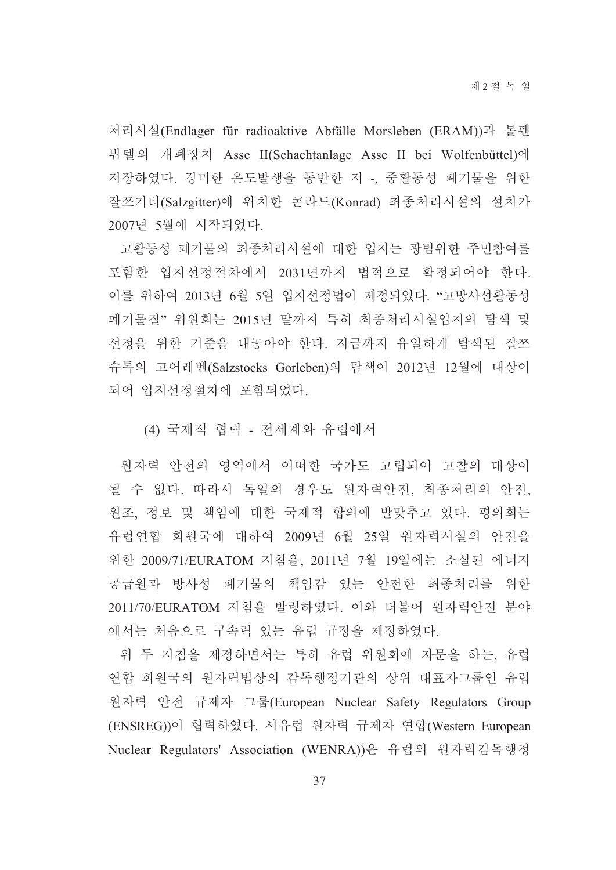처리시설(Endlager für radioaktive Abfälle Morsleben (ERAM))과 볼펜 뷔텔의 개폐장치 Asse II(Schachtanlage Asse II bei Wolfenbüttel)에 저장하였다. 경미한 온도발생을 동반한 저 -, 중활동성 폐기물을 위한 잘쯔기터(Salzgitter)에 위치한 콘라드(Konrad) 최종처리시설의 설치가 2007년 5월에 시작되었다.

고활동성 폐기물의 최종처리시설에 대한 입지는 광범위한 주민참여를 포함한 입지선정절차에서 2031년까지 법적으로 확정되어야 한다. 이를 위하여 2013년 6월 5일 입지선정법이 제정되었다. "고방사선활동성 폐기물질"위원회는 2015년 말까지 특히 최종처리시설입지의 탐색 및 선정을 위한 기준을 내놓아야 한다. 지금까지 유일하게 탐색된 잘쯔 슈톡의 고어레벤(Salzstocks Gorleben)의 탐색이 2012년 12월에 대상이 되어 입지선정절차에 포함되었다.

(4) 국제적 협력 - 전세계와 유럽에서

원자력 안전의 영역에서 어떠한 국가도 고립되어 고찰의 대상이 될 수 없다. 따라서 독일의 경우도 원자력안전, 최종처리의 안전, 원조, 정보 및 책임에 대한 국제적 합의에 발맞추고 있다. 평의회는 유럽연합 회원국에 대하여 2009년 6월 25일 원자력시설의 안전을 위한 2009/71/EURATOM 지침을, 2011년 7월 19일에는 소실된 에너지 공급원과 방사성 폐기물의 책임감 있는 안전한 최종처리를 위한 2011/70/EURATOM 지침을 발령하였다. 이와 더불어 워자력안전 부야 에서는 처음으로 구속력 있는 유럽 규정을 제정하였다.

위 두 지침을 제정하면서는 특히 유럽 위원회에 자문을 하는, 유럽 연합 회원국의 원자력법상의 감독행정기관의 상위 대표자그룹인 유럽 원자력 안전 규제자 그룹(European Nuclear Safety Regulators Group (ENSREG))이 협력하였다. 서유럽 원자력 규제자 연합(Western European Nuclear Regulators' Association (WENRA))은 유럽의 원자력감독행정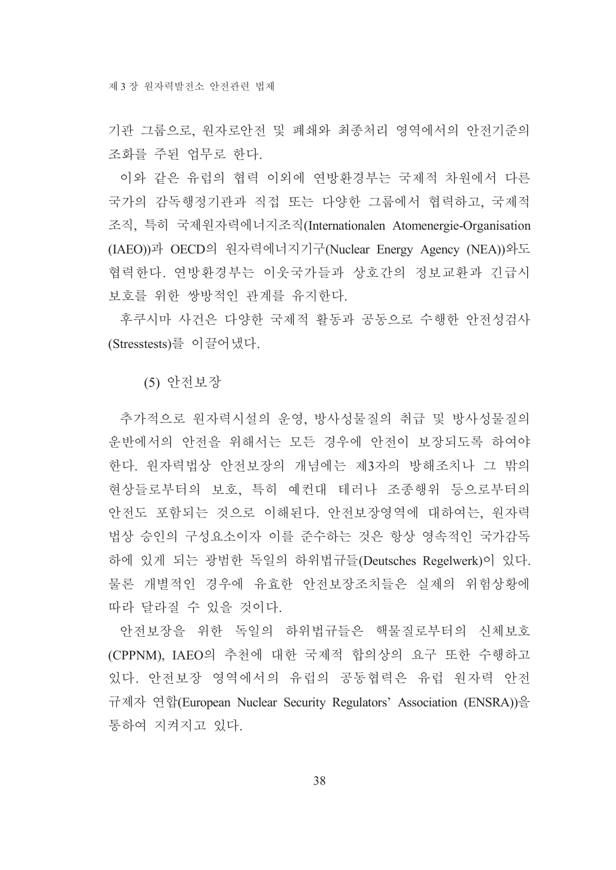기관 그룹으로, 워자로안전 및 폐쇄와 최종처리 영역에서의 안전기준의 조화를 주된 업무로 한다.

이와 같은 유럽의 협력 이외에 연방환경부는 국제적 차원에서 다른 국가의 감독행정기관과 직접 또는 다양한 그룹에서 협력하고, 국제적 조직, 특히 국제워자력에너지조직(Internationalen Atomenergie-Organisation (IAEO))과 OECD의 원자력에너지기구(Nuclear Energy Agency (NEA))와도 협력한다. 연방환경부는 이웃국가들과 상호간의 정보교환과 긴급시 보호를 위한 쌍방적인 관계를 유지한다.

후쿠시마 사건은 다양한 국제적 활동과 공동으로 수행한 안전성검사 (Stresstests)를 이끌어냈다.

(5) 안전보장

추가적으로 원자력시설의 운영, 방사성물질의 취급 및 방사성물질의 운반에서의 안전을 위해서는 모든 경우에 안전이 보장되도록 하여야 한다. 원자력법상 안전보장의 개념에는 제3자의 방해조치나 그 밖의 현상들로부터의 보호, 특히 예컨대 테러나 조종행위 등으로부터의 안전도 포함되는 것으로 이해된다. 안전보장영역에 대하여는, 원자력 법상 승인의 구성요소이자 이를 준수하는 것은 항상 영속적인 국가감독 하에 있게 되는 광범한 독일의 하위법규들(Deutsches Regelwerk)이 있다. 물론 개별적인 경우에 유효한 안전보장조치들은 실제의 위험상황에 따라 달라질 수 있을 것이다.

안전보장을 위한 독일의 하위법규들은 핵물질로부터의 신체보호 (CPPNM), IAEO의 추천에 대한 국제적 합의상의 요구 또한 수행하고 있다. 안전보장 영역에서의 유럽의 공동협력은 유럽 원자력 안전 규제자 연합(European Nuclear Security Regulators' Association (ENSRA))을 통하여 지켜지고 있다.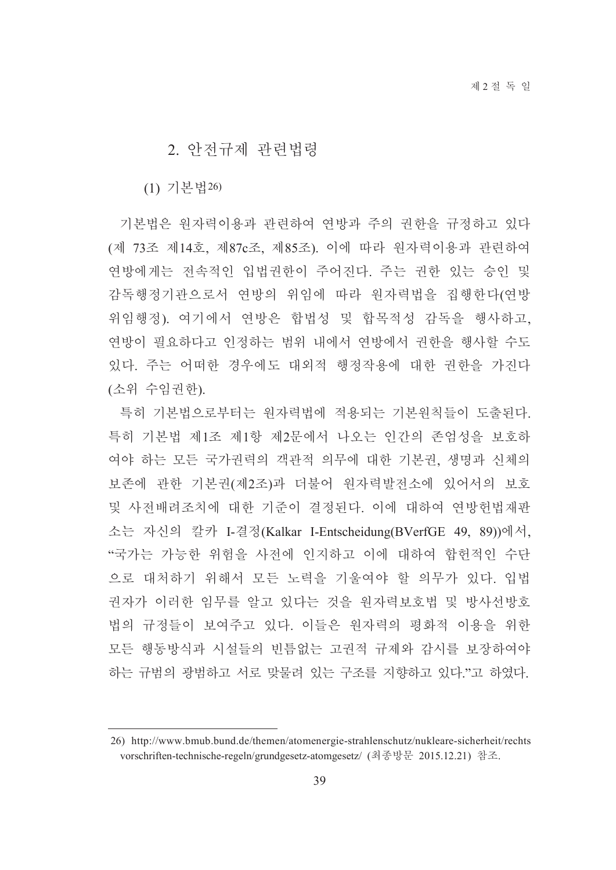#### 2. 아저규제 과려법령

(1) 기본법26)

기본법은 워자력이용과 관련하여 연방과 주의 권한을 규정하고 있다 (제 73조 제14호, 제87c조, 제85조). 이에 따라 워자력이용과 관련하여 연방에게는 전속적인 입법권한이 주어진다. 주는 권한 있는 승인 및 감독행정기관으로서 연방의 위임에 따라 원자력법을 집행한다(연방 위임행정). 여기에서 연방은 합법성 및 합목적성 감독을 행사하고, 연방이 필요하다고 인정하는 범위 내에서 연방에서 권한을 행사할 수도 있다. 주는 어떠한 경우에도 대외적 행정작용에 대한 권한을 가진다 (소위 수임권한).

특히 기본법으로부터는 워자력법에 적용되는 기본워칙들이 도출되다. 특히 기본법 제1조 제1항 제2문에서 나오는 인간의 존엄성을 보호하 여야 하는 모든 국가권력의 객관적 의무에 대한 기본권, 생명과 신체의 보존에 관한 기본권(제2조)과 더불어 워자력발전소에 있어서의 보호 및 사전배려조치에 대한 기준이 결정된다. 이에 대하여 여방헌법재판 소는 자신의 칼카 I-결정(Kalkar I-Entscheidung(BVerfGE 49, 89))에서, "국가는 가능한 위험을 사전에 인지하고 이에 대하여 합헌적인 수단 으로 대처하기 위해서 모든 노력을 기울여야 할 의무가 있다. 입법 권자가 이러한 임무를 알고 있다는 것을 원자력보호법 및 방사선방호 법의 규정들이 보여주고 있다. 이들은 원자력의 평화적 이용을 위한 모든 행동방식과 시설들의 빈틈없는 고권적 규제와 감시를 보장하여야 하는 규범의 광범하고 서로 맞물려 있는 구조를 지향하고 있다."고 하였다.

<sup>26)</sup> http://www.bmub.bund.de/themen/atomenergie-strahlenschutz/nukleare-sicherheit/rechts vorschriften-technische-regeln/grundgesetz-atomgesetz/ (최종방문 2015.12.21) 참조.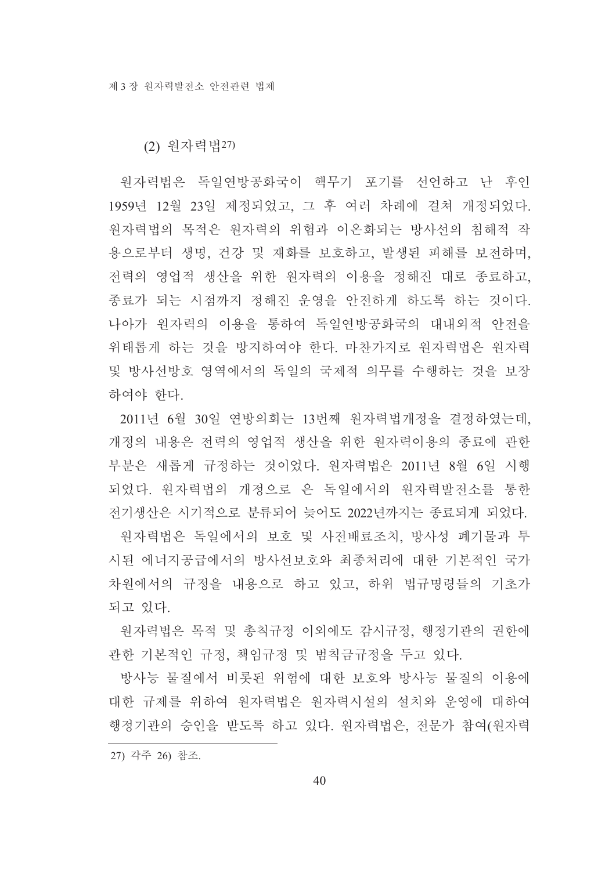(2) 워자력법27)

원자력법은 독일연방공화국이 핵무기 포기를 선언하고 난 후인 1959년 12월 23일 제정되었고, 그 후 여러 차례에 걸쳐 개정되었다. 원자력법의 목적은 원자력의 위험과 이온화되는 방사선의 침해적 작 용으로부터 생명, 건강 및 재화를 보호하고, 발생된 피해를 보전하며, 전력의 영업적 생산을 위한 워자력의 이용을 정해진 대로 종료하고. 종료가 되는 시점까지 정해진 운영을 안전하게 하도록 하는 것이다. 나아가 원자력의 이용을 통하여 독일연방공화국의 대내외적 안전을 위태롭게 하는 것을 방지하여야 한다. 마찬가지로 워자력법은 워자력 및 방사선방호 영역에서의 독일의 국제적 의무를 수행하는 것을 보장 하여야 한다.

2011년 6월 30일 연방의회는 13번째 원자력법개정을 결정하였는데, 개정의 내용은 전력의 영업적 생산을 위한 원자력이용의 종료에 관한 부분은 새롭게 규정하는 것이었다. 원자력법은 2011년 8월 6일 시행 되었다. 원자력법의 개정으로 은 독일에서의 원자력발전소를 통한 전기생산은 시기적으로 분류되어 늦어도 2022년까지는 종료되게 되었다.

워자력법은 독일에서의 보호 및 사전배료조치, 방사성 폐기물과 투 시된 에너지공급에서의 방사선보호와 최종처리에 대한 기본적인 국가 차원에서의 규정을 내용으로 하고 있고, 하위 법규명령들의 기초가 되고 있다.

원자력법은 목적 및 총칙규정 이외에도 감시규정, 행정기관의 권한에 관한 기본적인 규정, 책임규정 및 범칙금규정을 두고 있다.

방사능 물질에서 비롯된 위험에 대한 보호와 방사능 물질의 이용에 대한 규제를 위하여 워자력법은 워자력시설의 설치와 운영에 대하여 행정기관의 승인을 받도록 하고 있다. 원자력법은, 전문가 참여(원자력

27) 각주 26) 참조.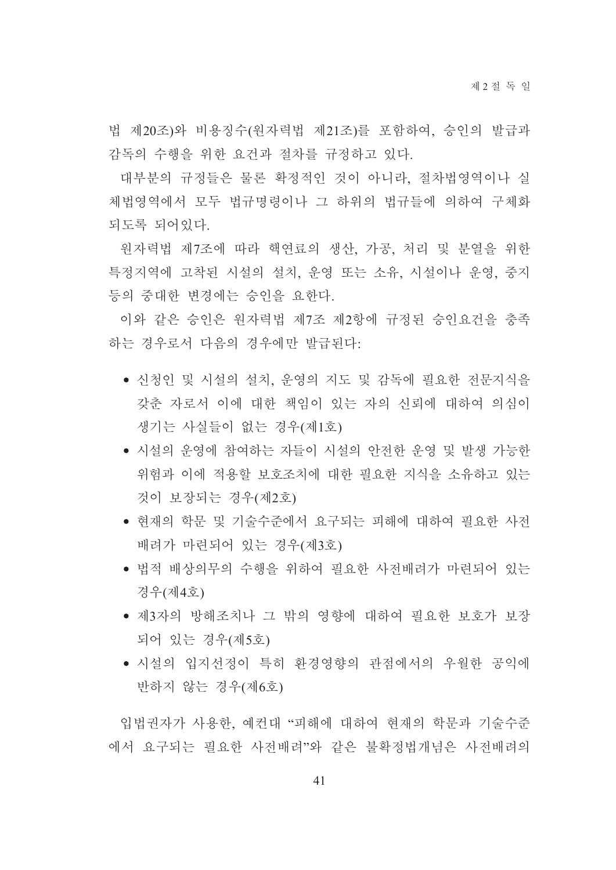법 제20조)와 비용징수(원자력법 제21조)를 포함하여, 승인의 발급과 감독의 수행을 위한 요건과 절차를 규정하고 있다.

대부분의 규정들은 물론 확정적인 것이 아니라, 절차법영역이나 실 체법영역에서 모두 법규명령이나 그 하위의 법규들에 의하여 구체화 되도록 되어있다.

원자력법 제7조에 따라 핵연료의 생산, 가공, 처리 및 분열을 위한 특정지역에 고착된 시설의 설치, 운영 또는 소유, 시설이나 운영, 중지 등의 중대한 변경에는 승인을 요한다.

이와 같은 승인은 워자력법 제7조 제2항에 규정된 승인요건을 충족 하는 경우로서 다음의 경우에만 발급된다.

- 신청인 및 시설의 설치, 운영의 지도 및 감독에 필요한 전문지식을 갖춘 자로서 이에 대한 책임이 있는 자의 신뢰에 대하여 의심이 생기는 사실들이 없는 경우(제1호)
- 시설의 운영에 참여하는 자들이 시설의 안전한 운영 및 발생 가능한 위험과 이에 적용할 보호조치에 대한 필요한 지식을 소유하고 있는 것이 보장되는 경우(제2호)
- 현재의 학문 및 기술수준에서 요구되는 피해에 대하여 필요한 사전 배려가 마련되어 있는 경우(제3호)
- 법적 배상의무의 수행을 위하여 필요한 사전배려가 마련되어 있는 경우(제4호)
- 제3자의 방해조치나 그 밖의 영향에 대하여 필요한 보호가 보장 되어 있는 경우(제5호)
- 시설의 입지선정이 특히 환경영향의 관점에서의 우월한 공익에 반하지 않는 경우(제6호)

입법권자가 사용한, 예컨대 "피해에 대하여 현재의 학문과 기술수준 에서 요구되는 필요한 사전배려"와 같은 불확정법개념은 사전배려의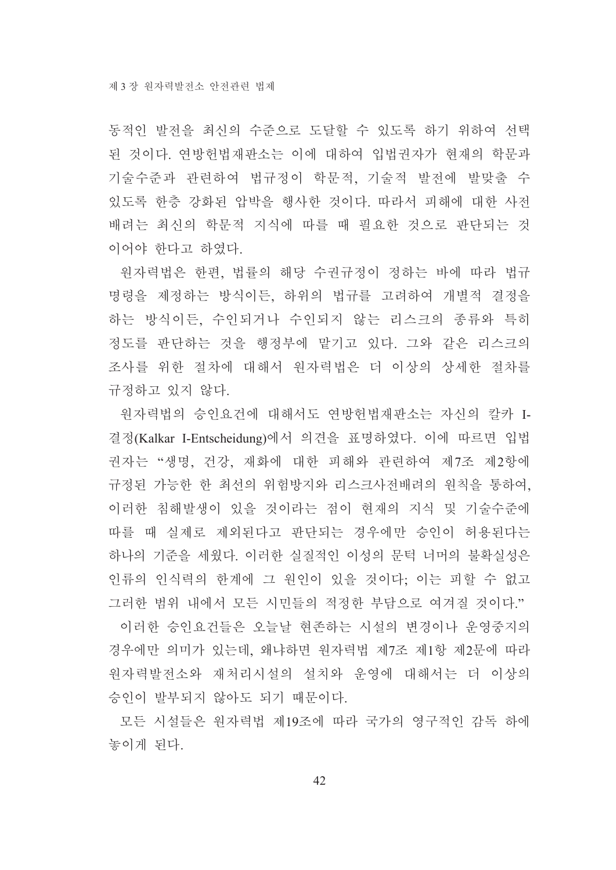동적인 발전을 최신의 수준으로 도달할 수 있도록 하기 위하여 선택 된 것이다. 연방헌법재판소는 이에 대하여 입법권자가 현재의 학문과 기술수준과 관련하여 법규정이 학문적, 기술적 발전에 발맞출 수 있도록 한층 강화된 압박을 행사한 것이다. 따라서 피해에 대한 사전 배려는 최신의 학문적 지식에 따를 때 필요한 것으로 판단되는 것 이어야 한다고 하였다.

원자력법은 한편, 법률의 해당 수권규정이 정하는 바에 따라 법규 명령을 제정하는 방식이든, 하위의 법규를 고려하여 개별적 결정을 하는 방식이든, 수인되거나 수인되지 않는 리스크의 종류와 특히 정도를 판단하는 것을 행정부에 맡기고 있다. 그와 같은 리스크의 조사를 위한 절차에 대해서 워자력법은 더 이상의 상세한 절차를 규정하고 있지 않다.

워자력법의 승인요건에 대해서도 연방헌법재판소는 자신의 칼카 I-결정(Kalkar I-Entscheidung)에서 의견을 표명하였다. 이에 따르면 입법 권자는 "생명, 건강, 재화에 대한 피해와 관련하여 제7조 제2항에 규정된 가능한 한 최선의 위험방지와 리스크사전배려의 워칙을 통하여. 이러한 침해발생이 있을 것이라는 점이 현재의 지식 및 기술수준에 따를 때 실제로 제외된다고 판단되는 경우에만 승인이 허용된다는 하나의 기준을 세웠다. 이러한 실질적인 이성의 문턱 너머의 불확실성은 인류의 인식력의 한계에 그 원인이 있을 것이다; 이는 피할 수 없고 그러한 범위 내에서 모든 시민들의 적정한 부담으로 여겨질 것이다."

이러한 승인요건들은 오늘날 현존하는 시설의 변경이나 운영중지의 경우에만 의미가 있는데, 왜냐하면 원자력법 제7조 제1항 제2문에 따라 워자력발전소와 재처리시설의 설치와 운영에 대해서는 더 이상의 승인이 발부되지 않아도 되기 때문이다.

모든 시설들은 워자력법 제19조에 따라 국가의 영구적인 감독 하에 놓이게 된다.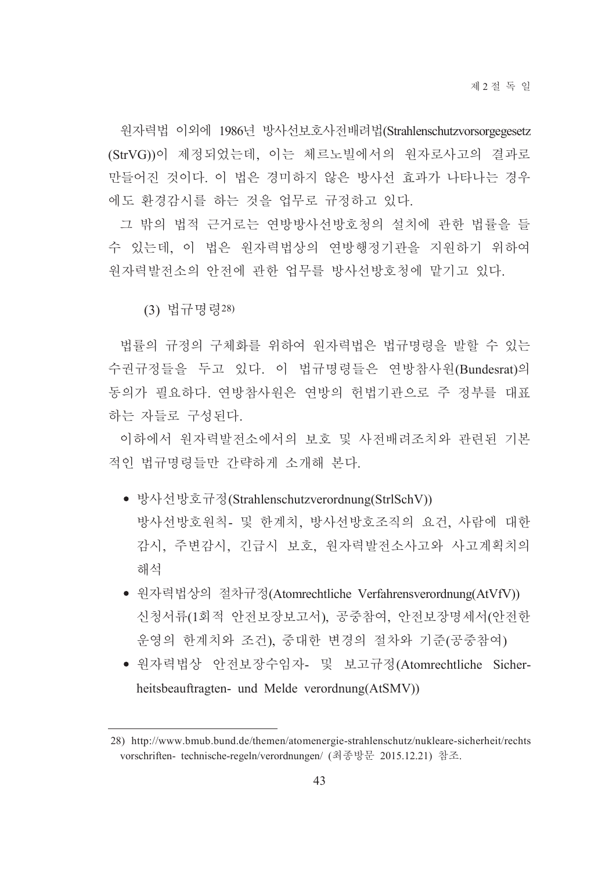워자력법 이외에 1986년 방사선보호사전배려법(Strahlenschutzvorsorgegesetz (StrVG))이 제정되었는데, 이는 체르노빌에서의 워자로사고의 결과로 만들어진 것이다. 이 법은 경미하지 않은 방사선 효과가 나타나는 경우 에도 환경감시를 하는 것을 업무로 규정하고 있다.

그 밖의 법적 근거로는 연방방사선방호청의 설치에 관한 법률을 들 수 있는데, 이 법은 원자력법상의 연방행정기관을 지원하기 위하여 원자력발전소의 안전에 관한 업무를 방사선방호청에 맡기고 있다.

(3) 법규명령28)

법률의 규정의 구체화를 위하여 워자력법은 법규명령을 발할 수 있는 수권규정들을 두고 있다. 이 법규명령들은 연방참사원(Bundesrat)의 동의가 필요하다. 여방참사워은 여방의 헌법기관으로 주 정부를 대표 하는 자들로 구성되다.

이하에서 워자력발전소에서의 보호 및 사전배려조치와 관련된 기본 적인 법규명령들만 간략하게 소개해 본다.

- 방사선방호규정(Strahlenschutzverordnung(StrlSchV)) 방사선방호원칙- 및 한계치, 방사선방호조직의 요건, 사람에 대한 감시, 주변감시, 긴급시 보호, 원자력발전소사고와 사고계획치의 해석
- 원자력법상의 절차규정(Atomrechtliche Verfahrensverordnung(AtVfV)) 신청서류(1회적 안전보장보고서). 공중참여. 안전보장명세서(안전한 운영의 한계치와 조건), 중대한 변경의 절차와 기준(공중참여)
- 원자력법상 안전보장수임자- 및 보고규정(Atomrechtliche Sicherheitsbeauftragten- und Melde verordnung(AtSMV))

<sup>28)</sup> http://www.bmub.bund.de/themen/atomenergie-strahlenschutz/nukleare-sicherheit/rechts vorschriften- technische-regeln/verordnungen/ (최종방문 2015.12.21) 참조.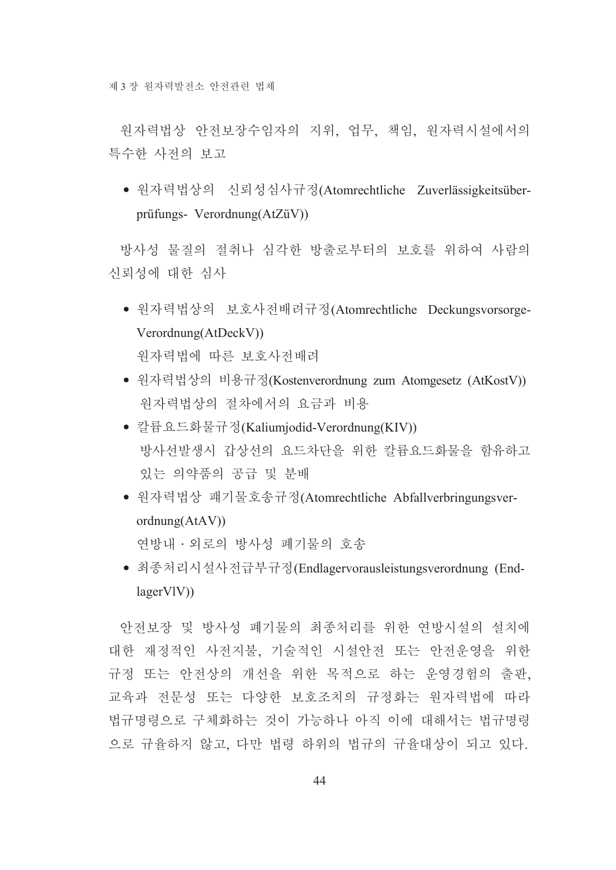원자력법상 안전보장수임자의 지위, 업무, 책임, 원자력시설에서의 특수한 사전의 보고

• 원자력법상의 신뢰성심사규정(Atomrechtliche Zuverlässigkeitsüberprüfungs- Verordnung(AtZüV))

방사성 물질의 절취나 심각한 방출로부터의 보호를 위하여 사람의 신뢰성에 대한 심사

• 원자력법상의 보호사전배려규정(Atomrechtliche Deckungsvorsorge- $Verordnung(AtDeckV))$ 

워자력법에 따른 보호사전배려

- 원자력법상의 비용규정(Kostenverordnung zum Atomgesetz (AtKostV)) 원자력법상의 절차에서의 요금과 비용
- 칼륨요드화물규정(Kaliumjodid-Verordnung(KIV)) 방사선발생시 갑상선의 요드차단을 위한 칼륨요드화물을 함유하고 있는 의약품의 공급 및 분배
- 원자력법상 퍠기물호송규정(Atomrechtliche Abfallverbringungsver $ordnung(AtAV))$ 연방내 · 외로의 방사성 폐기물의 호송
- 최종처리시설사전급부규정(Endlagervorausleistungsverordnung (End $lager VIV)$

안전보장 및 방사성 폐기물의 최종처리를 위한 여방시설의 설치에 대한 재정적인 사전지불, 기술적인 시설안전 또는 안전운영을 위한 규정 또는 안전상의 개선을 위한 목적으로 하는 운영경험의 출판. 교육과 전문성 또는 다양한 보호조치의 규정화는 워자력법에 따라 법규명령으로 구체화하는 것이 가능하나 아직 이에 대해서는 법규명령 으로 규율하지 않고, 다만 법령 하위의 법규의 규율대상이 되고 있다.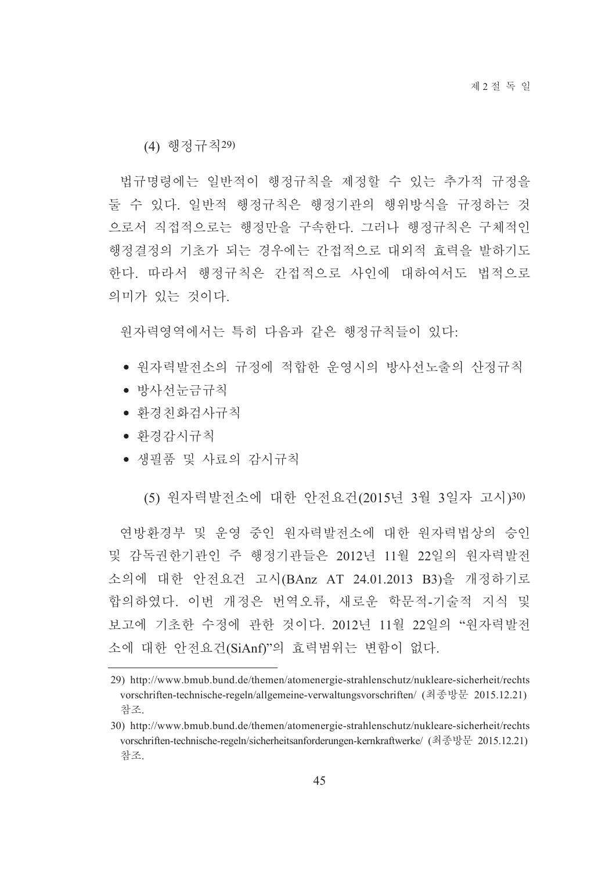(4) 행정규칙29)

법규명령에는 일반적이 행정규칙을 제정할 수 있는 추가적 규정을 둘 수 있다. 일반적 행정규칙은 행정기관의 행위방식을 규정하는 것 으로서 직접적으로는 행정만을 구속한다. 그러나 행정규칙은 구체적인 행정결정의 기초가 되는 경우에는 간접적으로 대외적 효력을 발하기도 한다. 따라서 행정규칙은 간접적으로 사인에 대하여서도 법적으로 의미가 있는 것이다.

원자력영역에서는 특히 다음과 같은 행정규칙들이 있다:

- 워자력발전소의 규정에 적합한 우영시의 방사선노출의 산정규칙
- 방사선눈금규칙
- 화경친화검사규칙
- 화경감시규칙
- 생필품 및 사료의 감시규칙

(5) 원자력발전소에 대한 안전요건(2015년 3월 3일자 고시)30)

연방환경부 및 운영 중인 원자력발전소에 대한 원자력법상의 승인 및 감독권한기관인 주 행정기관들은 2012년 11월 22일의 원자력발전 소의에 대한 안전요건 고시(BAnz AT 24.01.2013 B3)을 개정하기로 합의하였다. 이번 개정은 번역오류, 새로운 학문적-기술적 지식 및 보고에 기초한 수정에 관한 것이다. 2012년 11월 22일의 "원자력발전 소에 대한 안전요건(SiAnf)"의 효력범위는 변함이 없다.

<sup>29)</sup> http://www.bmub.bund.de/themen/atomenergie-strahlenschutz/nukleare-sicherheit/rechts vorschriften-technische-regeln/allgemeine-verwaltungsvorschriften/ (최종방문 2015.12.21) 참조

<sup>30)</sup> http://www.bmub.bund.de/themen/atomenergie-strahlenschutz/nukleare-sicherheit/rechts vorschriften-technische-regeln/sicherheitsanforderungen-kernkraftwerke/ (최종방문 2015.12.21) 참조.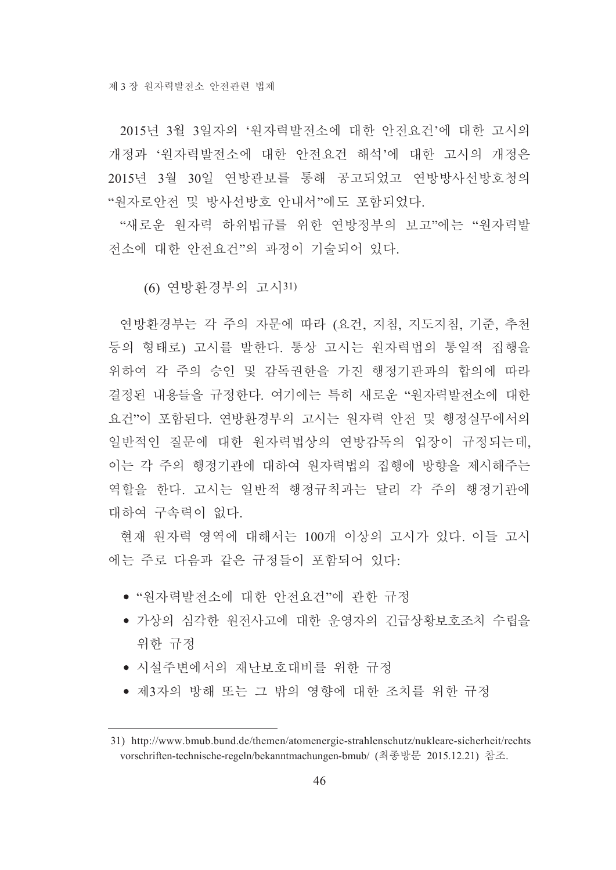2015년 3월 3일자의 '워자력발전소에 대한 안전요건'에 대한 고시의 개정과 '워자력발전소에 대한 안전요건 해석'에 대한 고시의 개정은 2015년 3월 30일 연방관보를 통해 공고되었고 연방방사선방호청의 "워자로안전 및 방사선방호 안내서"에도 포함되었다.

"새로운 원자력 하위법규를 위한 연방정부의 보고"에는 "원자력발 전소에 대한 안전요건"의 과정이 기술되어 있다.

(6) 연방환경부의 고시31)

연방환경부는 각 주의 자문에 따라 (요건, 지침, 지도지침, 기준, 추천 등의 형태로) 고시를 발한다. 통상 고시는 원자력법의 통일적 집행을 위하여 각 주의 승인 및 감독권한을 가진 행정기관과의 합의에 따라 결정된 내용들을 규정한다. 여기에는 특히 새로운 "원자력발전소에 대한 요건"이 포함된다. 연방환경부의 고시는 원자력 안전 및 행정실무에서의 일반적인 질문에 대한 원자력법상의 연방감독의 입장이 규정되는데, 이는 각 주의 행정기관에 대하여 원자력법의 집행에 방향을 제시해주는 역할을 한다. 고시는 일반적 행정규칙과는 달리 각 주의 행정기관에 대하여 구속력이 없다.

현재 워자력 영역에 대해서는 100개 이상의 고시가 있다. 이들 고시 에는 주로 다음과 같은 규정들이 포함되어 있다.

- "워자력발전소에 대한 안전요건"에 관한 규정
- 가상의 심각한 원전사고에 대한 운영자의 긴급상황보호조치 수립을 위한 규정
- 시설주변에서의 재난보호대비를 위한 규정
- 제3자의 방해 또는 그 밖의 영향에 대한 조치를 위한 규정

<sup>31)</sup> http://www.bmub.bund.de/themen/atomenergie-strahlenschutz/nukleare-sicherheit/rechts vorschriften-technische-regeln/bekanntmachungen-bmub/ (최종방문 2015.12.21) 참조.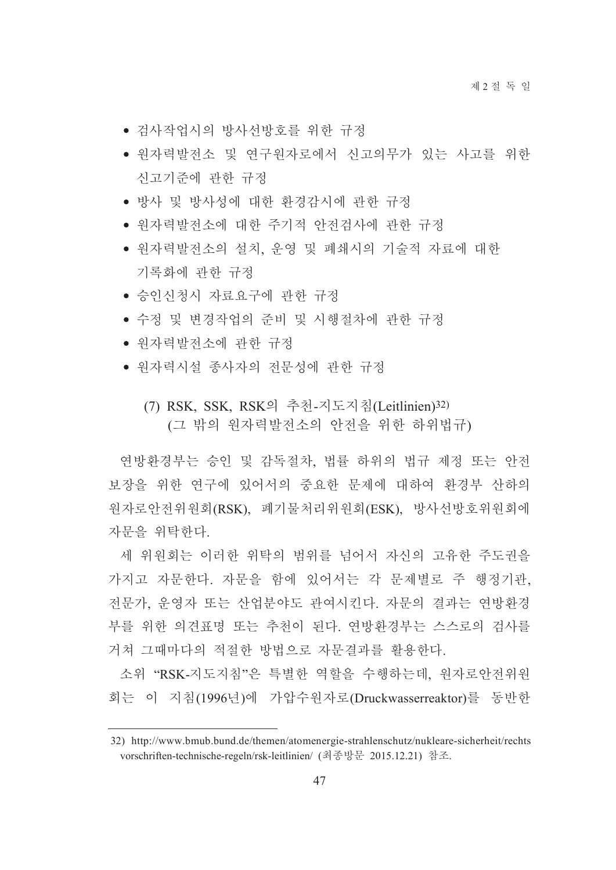- 검사작업시의 방사선방호를 위한 규정
- 워자력발전소 및 여구워자로에서 신고의무가 있는 사고를 위한 신고기준에 관한 규정
- 방사 및 방사성에 대한 환경감시에 관한 규정
- 워자력발전소에 대한 주기적 안전검사에 관한 규정
- 원자력발전소의 설치, 운영 및 폐쇄시의 기술적 자료에 대한 기록화에 관한 규정
- 승인신청시 자료요구에 관한 규정
- 수정 및 변경작업의 준비 및 시행절차에 관한 규정
- 원자력발전소에 관한 규정
- 원자력시설 종사자의 전문성에 관한 규정
	- (7) RSK, SSK, RSK의 추천-지도지침(Leitlinien)32) (그 밖의 원자력발전소의 안전을 위한 하위법규)

연방환경부는 승인 및 감독절차, 법률 하위의 법규 제정 또는 안전 보장을 위한 연구에 있어서의 중요한 문제에 대하여 화경부 산하의 워자로안전위원회(RSK), 폐기물처리위원회(ESK), 방사선방호위원회에 자문을 위탁한다.

세 위원회는 이러한 위탁의 범위를 넘어서 자신의 고유한 주도권을 가지고 자문한다. 자문을 함에 있어서는 각 문제별로 주 행정기관, 전문가, 운영자 또는 산업분야도 관여시킨다. 자문의 결과는 연방환경 부를 위한 의견표명 또는 추천이 된다. 연방환경부는 스스로의 검사를 거쳐 그때마다의 적절한 방법으로 자문결과를 활용한다.

소위 "RSK-지도지침"은 특별한 역할을 수행하는데, 원자로안전위원 회는 이 지침(1996년)에 가압수워자로(Druckwasserreaktor)를 동반한

<sup>32)</sup> http://www.bmub.bund.de/themen/atomenergie-strahlenschutz/nukleare-sicherheit/rechts vorschriften-technische-regeln/rsk-leitlinien/ (최종방문 2015.12.21) 참조.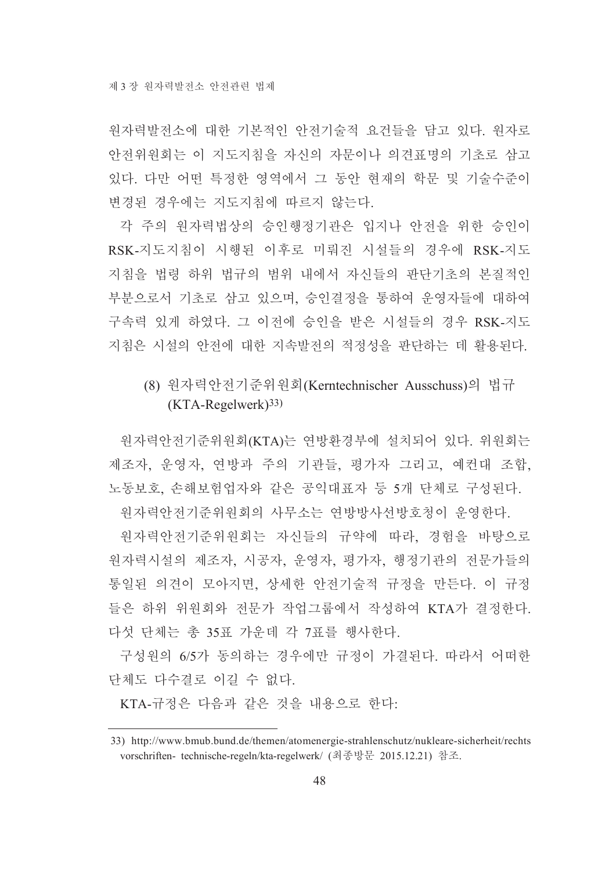워자력발전소에 대한 기본적인 안전기술적 요건들을 담고 있다. 워자로 안전위원회는 이 지도지침을 자신의 자문이나 의견표명의 기초로 삼고 있다. 다만 어떤 특정한 영역에서 그 동안 현재의 학문 및 기술수준이 변경된 경우에는 지도지침에 따르지 않는다.

각 주의 원자력법상의 승인행정기관은 입지나 안전을 위한 승인이 RSK-지도지침이 시행된 이후로 미뤄진 시설들의 경우에 RSK-지도 지침을 법령 하위 법규의 범위 내에서 자신들의 판단기초의 본질적인 부분으로서 기초로 삼고 있으며, 승인결정을 통하여 운영자들에 대하여 구속력 있게 하였다. 그 이전에 승인을 받은 시설들의 경우 RSK-지도 지침은 시설의 안전에 대한 지속발전의 적정성을 판단하는 데 활용된다.

## (8) 원자력안전기준위원회(Kerntechnischer Ausschuss)의 법규  $(KTA-Regelwerk)<sup>33</sup>$

원자력안전기준위원회(KTA)는 연방환경부에 설치되어 있다. 위원회는 제조자, 운영자, 연방과 주의 기관들, 평가자 그리고, 예컨대 조합. 노동보호, 손해보험업자와 같은 공익대표자 등 5개 단체로 구성된다.

원자력안전기준위원회의 사무소는 연방방사선방호청이 운영한다.

원자력안전기준위원회는 자신들의 규약에 따라, 경험을 바탕으로 원자력시설의 제조자, 시공자, 운영자, 평가자, 행정기관의 전문가들의 통일된 의견이 모아지면, 상세한 안전기술적 규정을 만든다. 이 규정 들은 하위 위워회와 전문가 작업그룹에서 작성하여 KTA가 결정하다. 다섯 단체는 총 35표 가운데 각 7표를 행사한다.

구성원의 6/5가 동의하는 경우에만 규정이 가결된다. 따라서 어떠한 단체도 다수결로 이길 수 없다.

KTA-규정은 다음과 같은 것을 내용으로 하다:

<sup>33)</sup> http://www.bmub.bund.de/themen/atomenergie-strahlenschutz/nukleare-sicherheit/rechts vorschriften- technische-regeln/kta-regelwerk/ (최종방문 2015.12.21) 참조.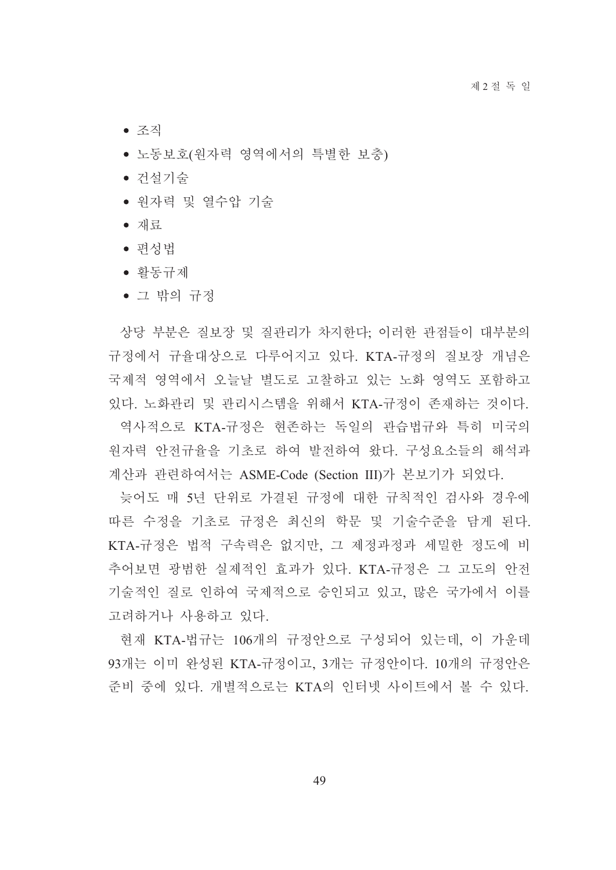- 조직
- 노동보호(원자력 영역에서의 특별한 보충)
- 건설기술
- 원자력 및 열수압 기술
- 재료
- 편성법
- 활동규제
- 그 밖의 규정

상당 부분은 질보장 및 질관리가 차지한다. 이러한 관점들이 대부분의 규정에서 규율대상으로 다루어지고 있다. KTA-규정의 질보장 개념은 국제적 영역에서 오늘날 별도로 고찰하고 있는 노화 영역도 포함하고 있다. 노화관리 및 관리시스템을 위해서 KTA-규정이 존재하는 것이다.

역사적으로 KTA-규정은 현존하는 독일의 관습법규와 특히 미국의 워자력 안전규율을 기초로 하여 발전하여 왔다. 구성요소들의 해석과 계산과 관련하여서는 ASME-Code (Section III)가 본보기가 되었다.

늦어도 매 5년 단위로 가결된 규정에 대한 규칙적인 검사와 경우에 따른 수정을 기초로 규정은 최신의 학문 및 기술수준을 담게 된다. KTA-규정은 법적 구속력은 없지만, 그 제정과정과 세밀한 정도에 비 추어보면 광범한 실제적인 효과가 있다. KTA-규정은 그 고도의 안전 기술적인 질로 인하여 국제적으로 승인되고 있고, 많은 국가에서 이를 고려하거나 사용하고 있다.

현재 KTA-법규는 106개의 규정안으로 구성되어 있는데, 이 가운데 93개는 이미 완성된 KTA-규정이고, 3개는 규정안이다. 10개의 규정안은 준비 중에 있다. 개별적으로는 KTA의 인터넷 사이트에서 볼 수 있다.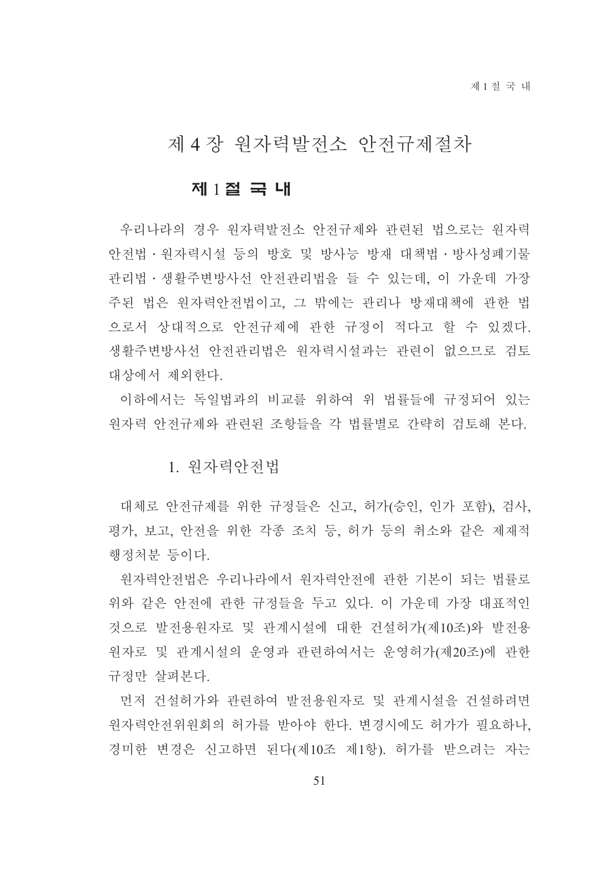## 제 4 장 원자력발전소 안전규제절차

#### 제 1절 국 내

우리나라의 경우 원자력발전소 안전규제와 관련된 법으로는 원자력 안전법 · 원자력시설 등의 방호 및 방사능 방재 대책법 · 방사성폐기물 관리법·생활주변방사선 안전관리법을 들 수 있는데, 이 가운데 가장 주된 법은 원자력안전법이고, 그 밖에는 관리나 방재대책에 관한 법 으로서 상대적으로 안전규제에 관한 규정이 적다고 할 수 있겠다. 생활주변방사선 안전관리법은 원자력시설과는 관련이 없으므로 검토 대상에서 제외한다.

이하에서는 독일법과의 비교를 위하여 위 법률들에 규정되어 있는 원자력 안전규제와 관련된 조항들을 각 법률별로 간략히 검토해 본다.

1. 워자력아저법

대체로 안전규제를 위한 규정들은 신고, 허가(승인, 인가 포함), 검사, 평가, 보고, 안전을 위한 각종 조치 등, 허가 등의 취소와 같은 제재적 행정처분 등이다.

원자력안전법은 우리나라에서 원자력안전에 관한 기본이 되는 법률로 위와 같은 안전에 관한 규정들을 두고 있다. 이 가운데 가장 대표적인 것으로 발전용원자로 및 관계시설에 대한 건설허가(제10조)와 발전용 원자로 및 관계시설의 운영과 관련하여서는 운영허가(제20조)에 관한 규정만 살펴본다.

먼저 건설허가와 관련하여 발전용원자로 및 관계시설을 건설하려면 워자력안전위원회의 허가를 받아야 한다. 변경시에도 허가가 필요하나. 경미한 변경은 신고하면 된다(제10조 제1항). 허가를 받으려는 자는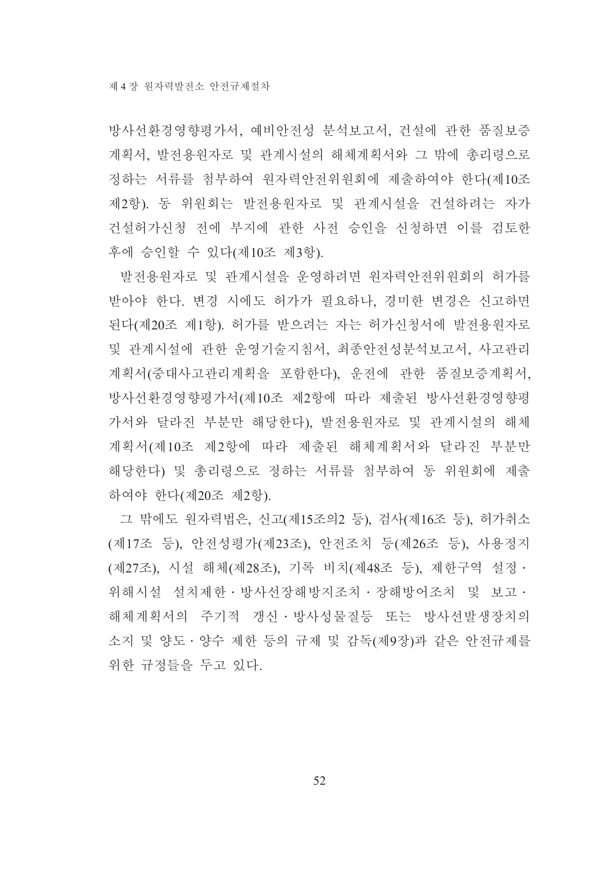방사선환경영향평가서, 예비안전성 분석보고서, 건설에 관한 품질보증 계획서, 발전용원자로 및 관계시설의 해체계획서와 그 밖에 총리령으로 정하는 서류를 첨부하여 워자력안전위원회에 제출하여야 한다(제10조 제2항). 동 위원회는 발전용원자로 및 관계시설을 건설하려는 자가 건설허가신청 전에 부지에 관한 사전 승인을 신청하면 이를 검토한 후에 승인할 수 있다(제10조 제3항).

발전용원자로 및 관계시설을 운영하려면 원자력안전위원회의 허가를 받아야 한다. 변경 시에도 허가가 필요하나, 경미한 변경은 신고하면 된다(제20조 제1항). 허가를 받으려는 자는 허가신청서에 발전용원자로 및 관계시설에 관한 운영기술지침서, 최종안전성분석보고서, 사고관리 계획서(중대사고관리계획을 포함한다), 운전에 관한 품질보증계획서, 방사선환경영향평가서(제10조 제2항에 따라 제출된 방사선환경영향평 가서와 달라진 부분만 해당한다), 발전용원자로 및 관계시설의 해체 계획서(제10조 제2항에 따라 제출된 해체계획서와 달라진 부분만 해당한다) 및 총리령으로 정하는 서류를 첨부하여 동 위원회에 제출 하여야 한다(제20조 제2항).

그 밖에도 원자력법은, 신고(제15조의2 등), 검사(제16조 등), 허가취소 (제17조 등), 안전성평가(제23조), 안전조치 등(제26조 등), 사용정지 (제27조), 시설 해체(제28조), 기록 비치(제48조 등), 제한구역 설정 · 위해시설 설치제한 · 방사선장해방지조치 · 장해방어조치 및 보고 · 해체계획서의 주기적 갱신 · 방사성물질등 또는 방사선발생장치의 소지 및 양도 • 양수 제한 등의 규제 및 감독(제9장)과 같은 안전규제를 위한 규정들을 두고 있다.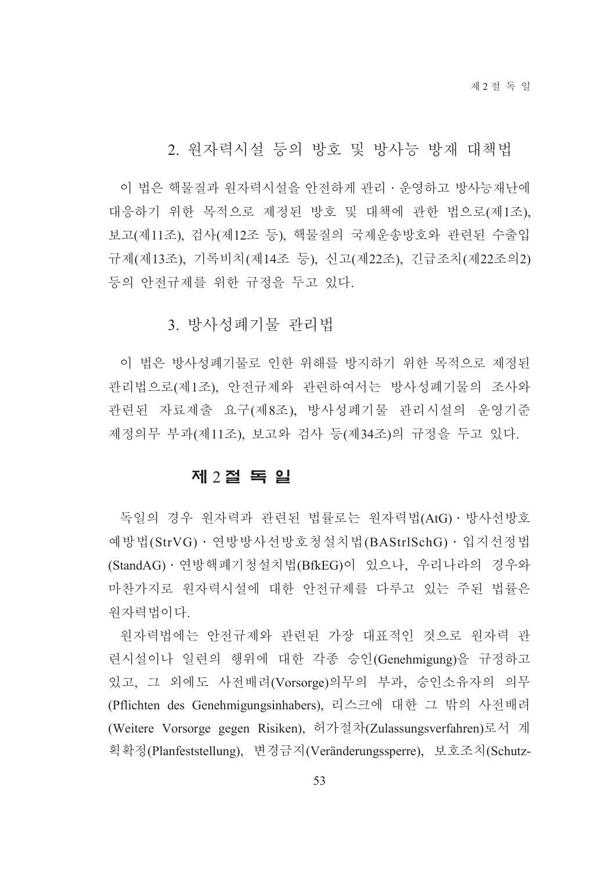2. 워자력시설 등의 방호 및 방사능 방재 대책법

이 법은 핵물질과 워자력시설을 안전하게 관리 · 운영하고 방사능재난에 대응하기 위한 목적으로 제정된 방호 및 대책에 관한 법으로(제1조), 보고(제11조), 검사(제12조 등), 핵물질의 국제운송방호와 관련된 수출입 규제(제13조), 기록비치(제14조 등), 신고(제22조), 긴급조치(제22조의2) 등의 안전규제를 위한 규정을 두고 있다.

3. 방사성폐기물 관리법

이 법은 방사성폐기물로 인한 위해를 방지하기 위한 목적으로 제정된 관리법으로(제1조), 안전규제와 관련하여서는 방사성폐기물의 조사와 관련된 자료제출 요구(제8조), 방사성폐기물 관리시설의 운영기준 제정의무 부과(제11조), 보고와 검사 등(제34조)의 규정을 두고 있다.

#### 제 2절 독 일

독일의 경우 원자력과 관련된 법률로는 원자력법(AtG) · 방사선방호 예방법(StrVG) · 연방방사선방호청설치법(BAStrlSchG) · 입지선정법 (StandAG) · 연방핵폐기청설치법(BfkEG)이 있으나, 우리나라의 경우와 마찬가지로 원자력시설에 대한 안전규제를 다루고 있는 주된 법률은 원자력법이다.

원자력법에는 안전규제와 관련된 가장 대표적인 것으로 원자력 관 련시설이나 일련의 행위에 대한 각종 승인(Genehmigung)을 규정하고 있고, 그 외에도 사전배려(Vorsorge)의무의 부과, 승인소유자의 의무 (Pflichten des Genehmigungsinhabers), 리스크에 대한 그 밖의 사전배려 (Weitere Vorsorge gegen Risiken), 허가절차(Zulassungsverfahren)로서 계 획확정(Planfeststellung), 변경금지(Veränderungssperre), 보호조치(Schutz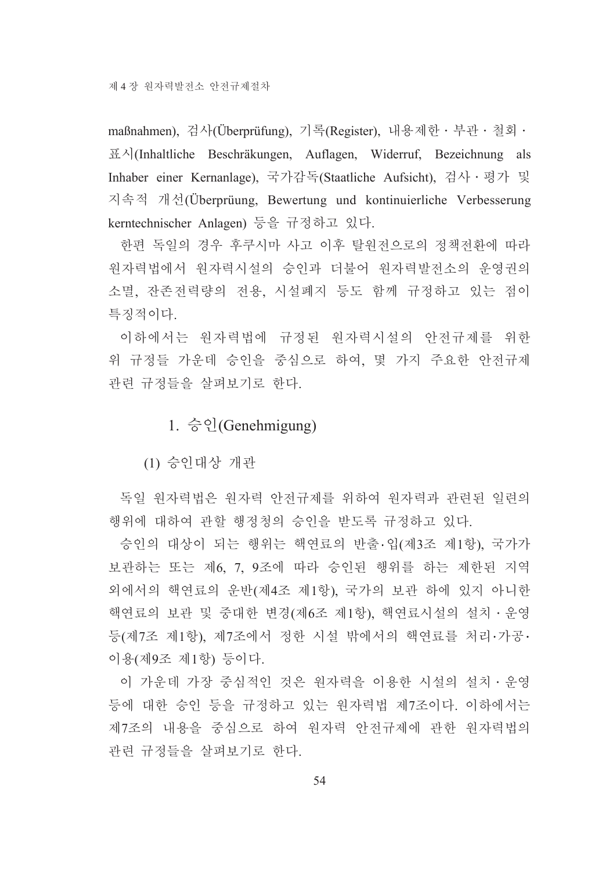maßnahmen), 검사(Überprüfung), 기록(Register), 내용제한 · 부관 · 철회 · 표시(Inhaltliche Beschräkungen, Auflagen, Widerruf, Bezeichnung als Inhaber einer Kernanlage), 국가감독(Staatliche Aufsicht), 검사 · 평가 및 지속적 개선(Überprüung, Bewertung und kontinuierliche Verbesserung kerntechnischer Anlagen) 등을 규정하고 있다.

한편 독일의 경우 후쿠시마 사고 이후 탈워전으로의 정책전화에 따라 워자력법에서 워자력시설의 승인과 더불어 워자력발전소의 운영권의 소멸. 잔존전력량의 전용. 시설폐지 등도 함께 규정하고 있는 점이 특징적이다.

이하에서는 워자력법에 규정된 워자력시설의 안전규제를 위한 위 규정들 가우데 승인을 중심으로 하여, 몇 가지 주요한 안전규제 관련 규정들을 살펴보기로 한다.

### 1.  $\hat{\circ}$  el (Genehmigung)

(1) 승인대상 개관

독일 원자력법은 원자력 안전규제를 위하여 원자력과 관련된 일련의 행위에 대하여 관할 행정청의 승인을 받도록 규정하고 있다.

승인의 대상이 되는 행위는 핵연료의 반출 입(제3조 제1항), 국가가 보관하는 또는 제6, 7, 9조에 따라 승인된 행위를 하는 제한된 지역 외에서의 핵연료의 운반(제4조 제1항), 국가의 보관 하에 있지 아니한 핵연료의 보관 및 중대한 변경(제6조 제1항), 핵연료시설의 설치 · 운영 등(제7조 제1항), 제7조에서 정한 시설 밖에서의 핵연료를 처리·가공· 이용(제9조 제1항) 등이다.

이 가운데 가장 중심적인 것은 원자력을 이용한 시설의 설치ㆍ운영 등에 대한 승인 등을 규정하고 있는 원자력법 제7조이다. 이하에서는 제7조의 내용을 중심으로 하여 원자력 안전규제에 관한 원자력법의 관련 규정들을 살펴보기로 한다.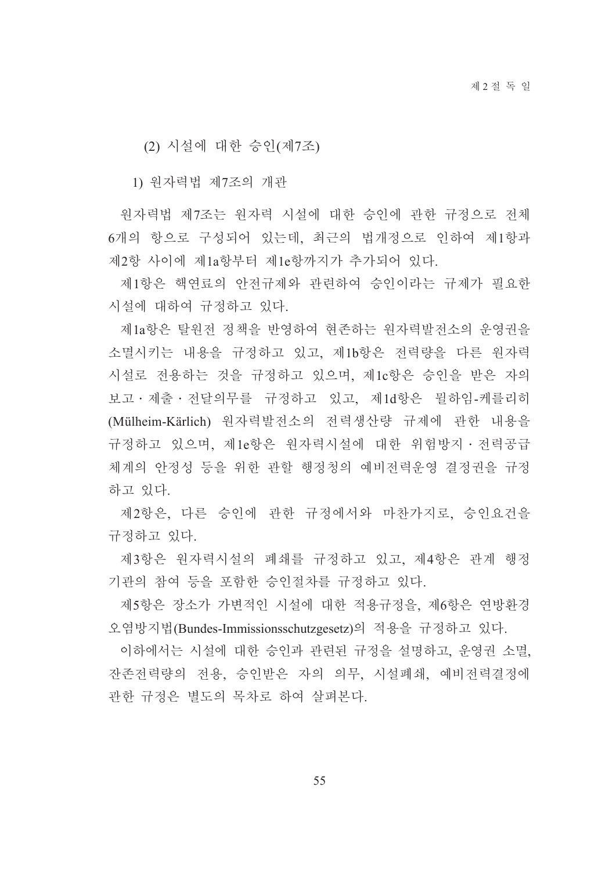(2) 시설에 대한 승인(제7조)

1) 원자력법 제7조의 개관

원자력법 제7조는 원자력 시설에 대한 승인에 관한 규정으로 전체 6개의 항으로 구성되어 있는데, 최근의 법개정으로 인하여 제1항과 제2항 사이에 제1a항부터 제1e항까지가 추가되어 있다.

제1항은 핵연료의 안전규제와 관련하여 승인이라는 규제가 필요한 시설에 대하여 규정하고 있다.

제1a항은 탈워전 정책을 반영하여 현존하는 워자력발전소의 운영권을 소멸시키는 내용을 규정하고 있고, 제1b항은 전력량을 다른 원자력 시설로 전용하는 것을 규정하고 있으며, 제1c항은 승인을 받은 자의 보고 · 제출 · 전달의무를 규정하고 있고, 제1d항은 뮐하임-케를리히 (Mülheim-Kärlich) 원자력발전소의 전력생산량 규제에 관한 내용을 규정하고 있으며, 제1e항은 원자력시설에 대한 위험방지·전력공급 체계의 안정성 등을 위한 관할 행정청의 예비전력운영 결정권을 규정 하고 있다.

제2항은, 다른 승인에 관한 규정에서와 마찬가지로, 승인요건을 규정하고 있다.

제3항은 원자력시설의 폐쇄를 규정하고 있고, 제4항은 관계 행정 기관의 참여 등을 포함한 승인절차를 규정하고 있다.

제5항은 장소가 가변적인 시설에 대한 적용규정을, 제6항은 연방환경 오염방지법(Bundes-Immissionsschutzgesetz)의 적용을 규정하고 있다.

이하에서는 시설에 대한 승인과 관련된 규정을 설명하고, 운영권 소멸, 잔존전력량의 전용, 승인받은 자의 의무, 시설폐쇄, 예비전력결정에 관한 규정은 별도의 목차로 하여 살펴본다.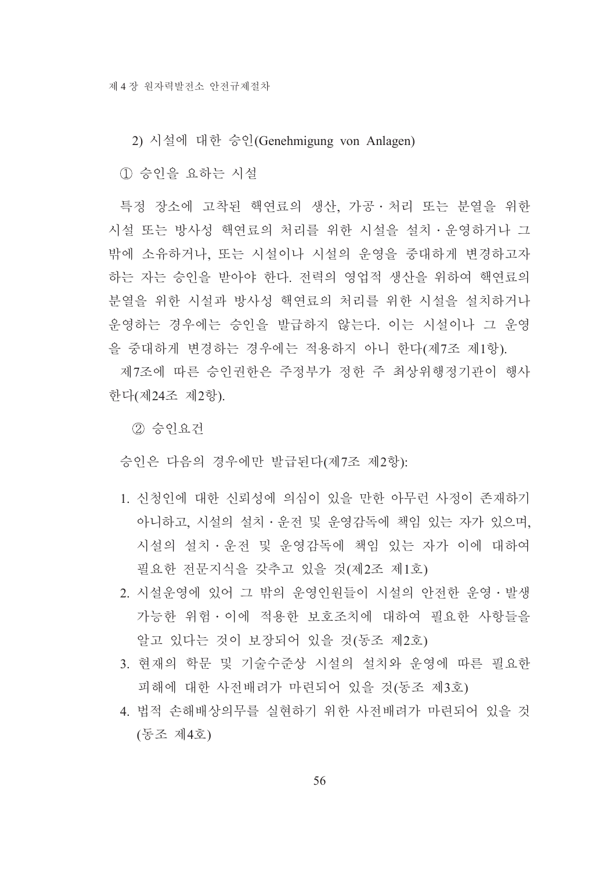2) 시설에 대한 승인(Genehmigung von Anlagen)

1) 승인을 요하는 시설

특정 장소에 고착된 핵연료의 생산, 가공 · 처리 또는 분열을 위한 시설 또는 방사성 핵연료의 처리를 위한 시설을 설치ㆍ운영하거나 그 밖에 소유하거나, 또는 시설이나 시설의 운영을 중대하게 변경하고자 하는 자는 승인을 받아야 한다. 전력의 영업적 생산을 위하여 핵연료의 분열을 위한 시설과 방사성 핵연료의 처리를 위한 시설을 설치하거나 운영하는 경우에는 승인을 발급하지 않는다. 이는 시설이나 그 운영 을 중대하게 변경하는 경우에는 적용하지 아니 한다(제7조 제1항).

제7조에 따른 승인권한은 주정부가 정한 주 최상위행정기관이 행사 한다(제24조 제2항).

2 승인요건

승인은 다음의 경우에만 발급된다(제7조 제2항):

- 1. 신청인에 대한 신뢰성에 의심이 있을 만한 아무런 사정이 존재하기 아니하고, 시설의 설치·운전 및 운영감독에 책임 있는 자가 있으며, 시설의 설치・운전 및 운영감독에 책임 있는 자가 이에 대하여 필요한 전문지식을 갖추고 있을 것(제2조 제1호)
- 2. 시설운영에 있어 그 밖의 운영인원들이 시설의 안전한 운영 발생 가능한 위험 이에 적용한 보호조치에 대하여 필요한 사항들을 알고 있다는 것이 보장되어 있을 것(동조 제2호)
- 3. 현재의 학문 및 기술수준상 시설의 설치와 운영에 따른 필요한 피해에 대한 사전배려가 마련되어 있을 것(동조 제3호)
- 4. 법적 손해배상의무를 실현하기 위한 사전배려가 마련되어 있을 것 (동조 제4호)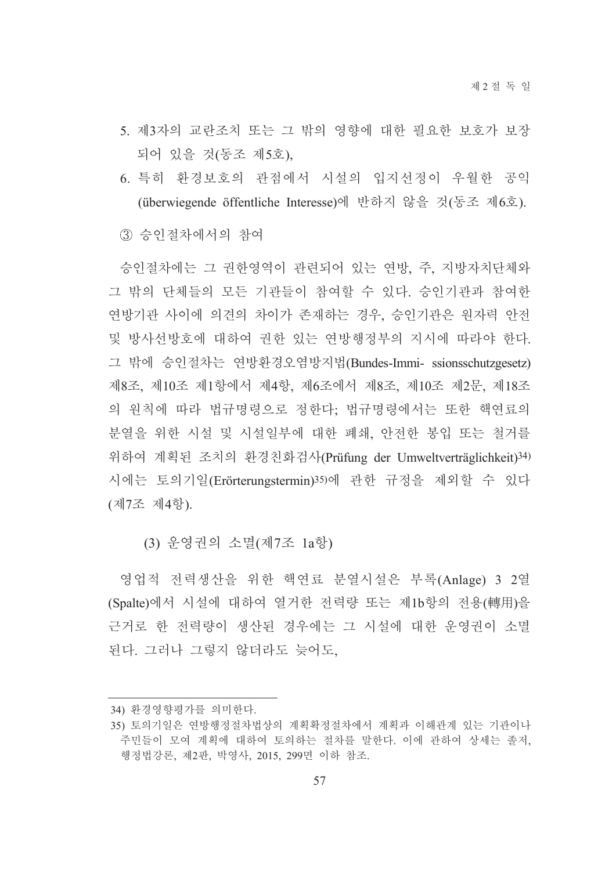- 5. 제3자의 교란조치 또는 그 밖의 영향에 대한 필요한 보호가 보장 되어 있을 것(동조 제5호),
- 6. 특히 환경보호의 관점에서 시설의 입지선정이 우월한 공익 (überwiegende öffentliche Interesse)에 반하지 않을 것(동조 제6호).
- (3) 승인절차에서의 참여

승인절차에는 그 권한영역이 관련되어 있는 연방, 주, 지방자치단체와 그 밖의 단체들의 모든 기관들이 참여할 수 있다. 승인기관과 참여한 연방기관 사이에 의견의 차이가 존재하는 경우, 승인기관은 원자력 안전 및 방사선방호에 대하여 권한 있는 연방행정부의 지시에 따라야 한다. 그 밖에 승인절차는 연방환경오염방지법(Bundes-Immi- ssionsschutzgesetz) 제8조, 제10조 제1항에서 제4항, 제6조에서 제8조, 제10조 제2문, 제18조 의 원칙에 따라 법규명령으로 정한다; 법규명령에서는 또한 핵연료의 분열을 위한 시설 및 시설일부에 대한 폐쇄, 안전한 봉입 또는 철거를 위하여 계획된 조치의 환경친화검사(Prüfung der Umweltverträglichkeit)34) 시에는 토의기일(Erörterungstermin)35)에 관한 규정을 제외할 수 있다 (제7조 제4항).

(3) 유영권의 소멸(제7조 1a항)

영업적 전력생산을 위한 핵연료 분열시설은 부록(Anlage) 3 2열 (Spalte)에서 시설에 대하여 열거한 전력량 또는 제1b항의 전용(轉用)을 근거로 한 전력량이 생산된 경우에는 그 시설에 대한 운영권이 소멸 된다. 그러나 그렇지 않더라도 늦어도,

<sup>34)</sup> 환경영향평가를 의미한다.

<sup>35)</sup> 토의기일은 연방행정절차법상의 계획확정절차에서 계획과 이해관계 있는 기관이나 주민들이 모여 계획에 대하여 토의하는 절차를 말한다. 이에 관하여 상세는 졸저, 행정법강론, 제2판, 박영사, 2015, 299면 이하 참조.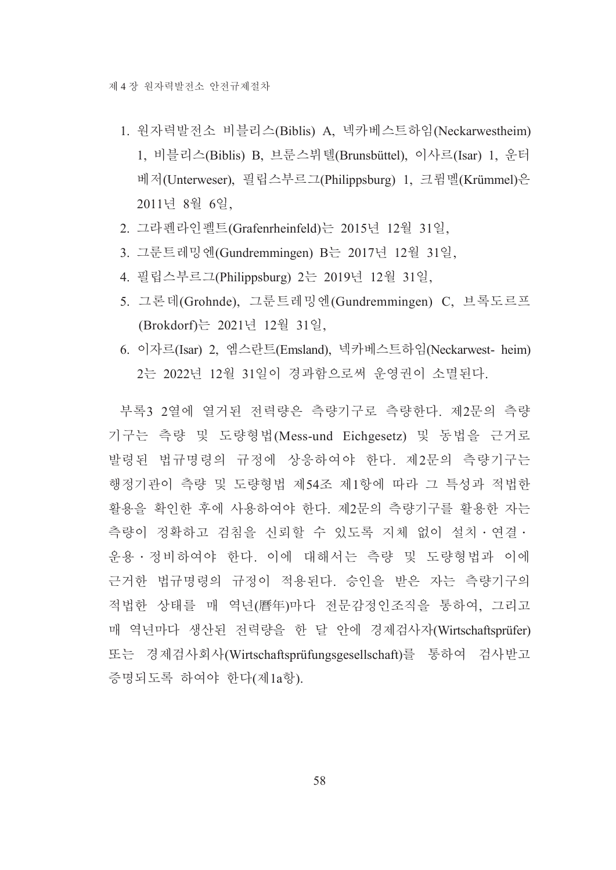- 1. 원자력발전소 비블리스(Biblis) A, 넥카베스트하임(Neckarwestheim) 1, 비블리스(Biblis) B, 브룬스뷔텔(Brunsbüttel), 이사르(Isar) 1, 운터 베저(Unterweser), 필립스부르그(Philippsburg) 1, 크륌멜(Krümmel)은 2011년 8월 6일.
- 2. 그라펜라인펠트(Grafenrheinfeld)는 2015년 12월 31일,
- 3. 그룬트레밍엔(Gundremmingen) B는 2017년 12월 31일,
- 4. 필립스부르그(Philippsburg) 2는 2019년 12월 31일,
- 5. 그론데(Grohnde), 그룬트레밍엔(Gundremmingen) C, 브록도르프 (Brokdorf)는 2021년 12월 31일,
- 6. 이자르(Isar) 2. 엑스란트(Emsland). 넥카베스트하임(Neckarwest- heim) 2는 2022년 12월 31일이 경과함으로써 운영권이 소멸된다.

부록3 2열에 열거된 전력량은 측량기구로 측량한다. 제2문의 측량 기구는 측량 및 도량형법(Mess-und Eichgesetz) 및 동법을 근거로 발령된 법규명령의 규정에 상응하여야 한다. 제2문의 측량기구는 행정기관이 측량 및 도량형법 제54조 제1항에 따라 그 특성과 적법한 활용을 확인한 후에 사용하여야 한다. 제2문의 측량기구를 활용한 자는 측량이 정확하고 검침을 신뢰할 수 있도록 지체 없이 설치 · 연결 · 운용 • 정비하여야 한다. 이에 대해서는 측량 및 도량형법과 이에 근거한 법규명령의 규정이 적용된다. 승인을 받은 자는 측량기구의 적법한 상태를 매 역년(曆年)마다 전문감정인조직을 통하여, 그리고 매 역년마다 생산된 전력량을 한 달 안에 경제검사자(Wirtschaftsprüfer) 또는 경제검사회사(Wirtschaftsprüfungsgesellschaft)를 통하여 검사받고 증명되도록 하여야 한다(제1a항).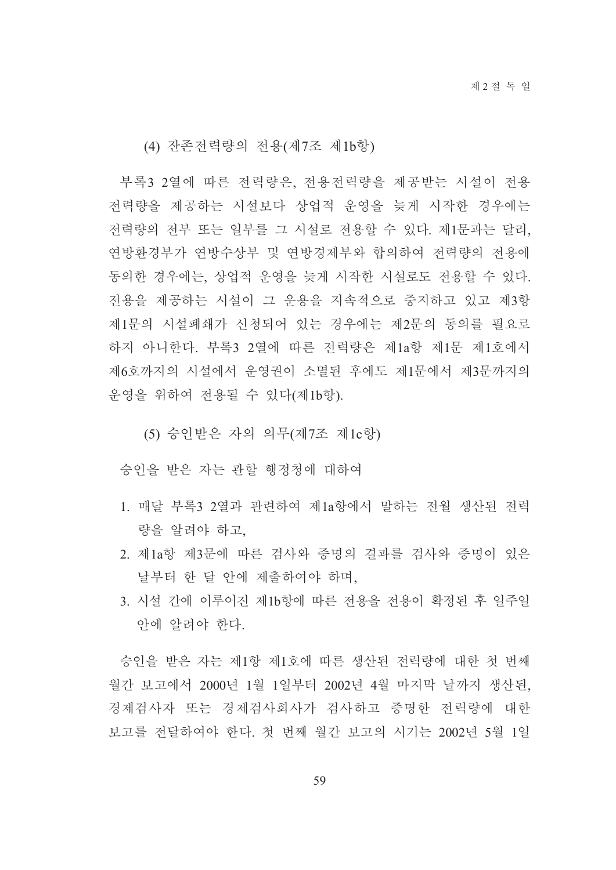(4) 잔존전력량의 전용(제7조 제1b항)

부록3 2열에 따른 전력량은, 전용전력량을 제공받는 시설이 전용 전력량을 제공하는 시설보다 상업적 운영을 늦게 시작한 경우에는 전력량의 전부 또는 일부를 그 시설로 전용할 수 있다. 제1문과는 달리, 연방환경부가 연방수상부 및 연방경제부와 합의하여 전력량의 전용에 동의한 경우에는 상업적 우영을 늦게 시작한 시설로도 전용할 수 있다. 전용을 제공하는 시설이 그 운용을 지속적으로 중지하고 있고 제3항 제1문의 시설폐쇄가 신청되어 있는 경우에는 제2문의 동의를 필요로 하지 아니한다. 부록3 2열에 따른 전력량은 제1a항 제1문 제1호에서 제6호까지의 시설에서 운영권이 소멸된 후에도 제1문에서 제3문까지의 운영을 위하여 전용될 수 있다(제1b항).

(5) 승인받은 자의 의무(제7조 제1c항)

승인을 받은 자는 관할 행정청에 대하여

- 1. 매달 부록3 2열과 과려하여 제1a항에서 말하는 저월 생사된 저력 량을 알려야 하고.
- 2. 제1a항 제3문에 따른 검사와 증명의 결과를 검사와 증명이 있은 날부터 한 달 안에 제출하여야 하며,
- 3. 시설 간에 이루어진 제1b항에 따른 전용을 전용이 확정된 후 일주일 안에 알려야 한다.

승인을 받은 자는 제1항 제1호에 따른 생산된 전력량에 대한 첫 번째 월간 보고에서 2000년 1월 1일부터 2002년 4월 마지막 날까지 생산된, 경제검사자 또는 경제검사회사가 검사하고 증명한 전력량에 대한 보고를 전달하여야 한다. 첫 번째 월간 보고의 시기는 2002년 5월 1일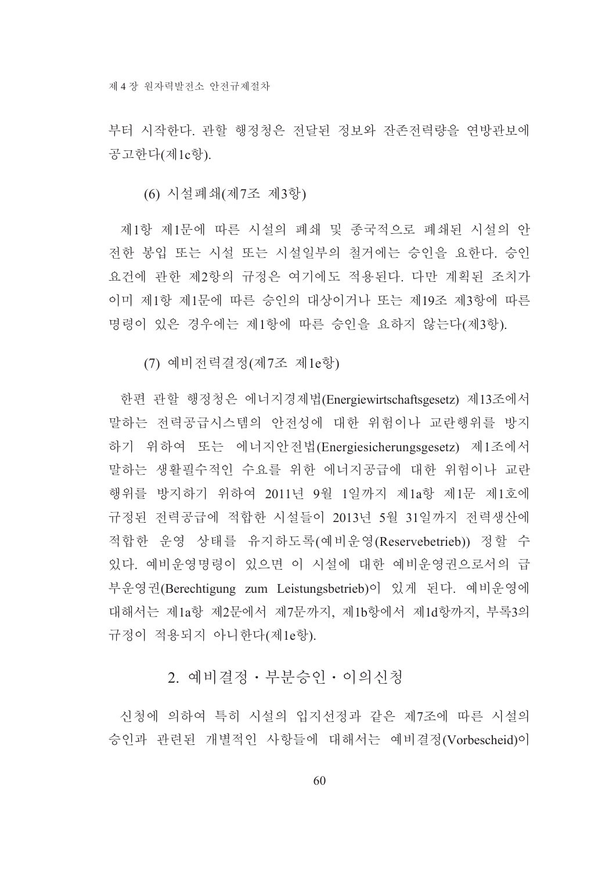부터 시작하다. 과할 행정청은 전달된 정보와 잔존전력량을 연방관보에 공고한다(제1c항).

(6) 시설폐쇄(제7조 제3항)

제1항 제1문에 따른 시설의 폐쇄 및 종국적으로 폐쇄된 시설의 안 전한 봉입 또는 시설 또는 시설일부의 철거에는 승인을 요한다. 승인 요건에 관한 제2항의 규정은 여기에도 적용되다. 다만 계획된 조치가 이미 제1항 제1문에 따른 승인의 대상이거나 또는 제19조 제3항에 따른 명령이 있은 경우에는 제1항에 따른 승인을 요하지 않는다(제3항).

(7) 예비전력결정(제7조 제1e항)

한편 관할 행정청은 에너지경제법(Energiewirtschaftsgesetz) 제13조에서 말하는 전력공급시스템의 안전성에 대한 위험이나 교란행위를 방지 하기 위하여 또는 에너지안전법(Energiesicherungsgesetz) 제1조에서 말하는 생활필수적인 수요를 위한 에너지공급에 대한 위험이나 교란 행위를 방지하기 위하여 2011년 9월 1일까지 제1a항 제1문 제1호에 규정된 전력공급에 적합한 시설들이 2013년 5월 31일까지 전력생산에 적합한 운영 상태를 유지하도록(예비운영(Reservebetrieb)) 정할 수 있다. 예비운영명령이 있으면 이 시설에 대한 예비운영권으로서의 급 부운영권(Berechtigung zum Leistungsbetrieb)이 있게 된다. 예비운영에 대해서는 제1a항 제2문에서 제7문까지, 제1b항에서 제1d항까지, 부록3의 규정이 적용되지 아니한다(제1e항).

## 2. 예비결정 · 부분승인 · 이의신청

신청에 의하여 특히 시설의 입지선정과 같은 제7조에 따른 시설의 승인과 관련된 개별적인 사항들에 대해서는 예비결정(Vorbescheid)이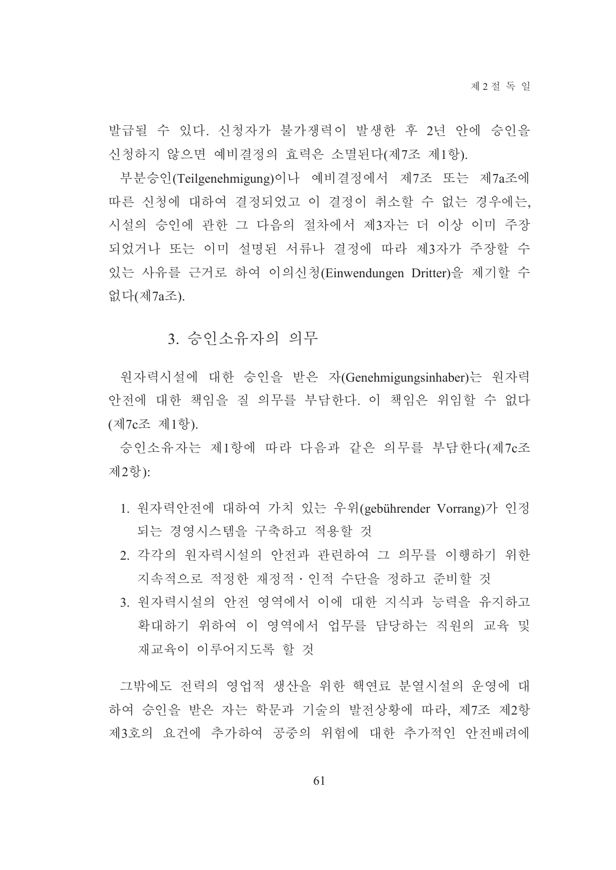발급될 수 있다. 신청자가 불가쟁력이 발생한 후 2년 안에 승인을 신청하지 않으면 예비결정의 효력은 소멸된다(제7조 제1항).

부분승인(Teilgenehmigung)이나 예비결정에서 제7조 또는 제7a조에 따른 신청에 대하여 결정되었고 이 결정이 취소할 수 없는 경우에는, 시설의 승인에 관한 그 다음의 절차에서 제3자는 더 이상 이미 주장 되었거나 또는 이미 설명된 서류나 결정에 따라 제3자가 주장할 수 있는 사유를 근거로 하여 이의신청(Einwendungen Dritter)을 제기할 수 없다(제7a조).

#### 3. 승인소유자의 의무

원자력시설에 대한 승인을 받은 자(Genehmigungsinhaber)는 원자력 안전에 대한 책임을 질 의무를 부담한다. 이 책임은 위임할 수 없다 (제7c조 제1항).

승인소유자는 제1항에 따라 다음과 같은 의무를 부담한다(제7c조 제2항):

- 1. 원자력안전에 대하여 가치 있는 우위(gebührender Vorrang)가 인정 되는 경영시스템을 구축하고 적용할 것
- 2. 각각의 원자력시설의 안전과 관련하여 그 의무를 이행하기 위한 지속적으로 적정한 재정적 · 인적 수단을 정하고 주비할 것
- 3. 원자력시설의 안전 영역에서 이에 대한 지식과 능력을 유지하고 확대하기 위하여 이 영역에서 업무를 담당하는 직원의 교육 및 재교육이 이루어지도록 할 것

그밖에도 전력의 영업적 생산을 위한 핵연료 분열시설의 운영에 대 하여 승인을 받은 자는 학문과 기술의 발전상황에 따라, 제7조 제2항 제3호의 요건에 추가하여 공중의 위험에 대한 추가적인 안전배려에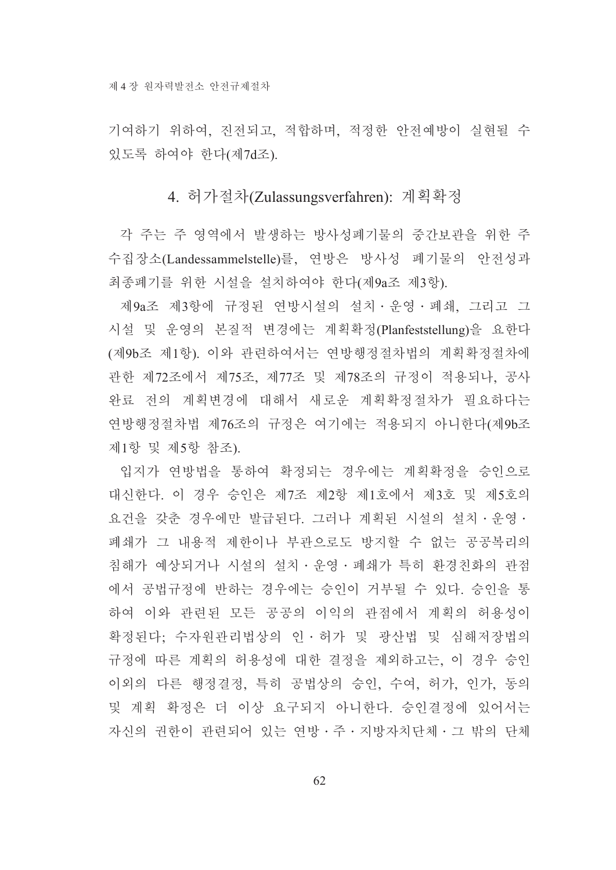기여하기 위하여, 진전되고, 적합하며, 적정한 안전예방이 실현될 수 있도록 하여야 한다(제7d조).

#### 4. 허가절차(Zulassungsverfahren): 계획확정

각 주는 주 영역에서 발생하는 방사성폐기물의 중간보관을 위한 주 수집장소(Landessammelstelle)를, 연방은 방사성 폐기물의 안전성과 최종폐기를 위한 시설을 설치하여야 한다(제9a조 제3항).

제9a조 제3항에 규정된 연방시설의 설치 · 운영 · 폐쇄, 그리고 그 시설 및 운영의 본질적 변경에는 계획확정(Planfeststellung)을 요하다 (제9b조 제1항). 이와 관련하여서는 연방행정절차법의 계획확정절차에 관한 제72조에서 제75조, 제77조 및 제78조의 규정이 적용되나, 공사 완료 전의 계획변경에 대해서 새로운 계획확정절차가 필요하다는 연방행정절차법 제76조의 규정은 여기에는 적용되지 아니한다(제9b조 제1항 및 제5항 참조).

입지가 연방법을 통하여 확정되는 경우에는 계획확정을 승인으로 대신한다. 이 경우 승인은 제7조 제2항 제1호에서 제3호 및 제5호의 요건을 갖춘 경우에만 발급된다. 그러나 계획된 시설의 설치 · 운영 · 폐쇄가 그 내용적 제한이나 부관으로도 방지할 수 없는 공공복리의 침해가 예상되거나 시설의 설치·운영·폐쇄가 특히 환경친화의 관점 에서 공법규정에 반하는 경우에는 승인이 거부될 수 있다. 승인을 통 하여 이와 관련된 모든 공공의 이익의 관점에서 계획의 허용성이 확정된다; 수자원관리법상의 인 · 허가 및 광산법 및 심해저장법의 규정에 따른 계획의 허용성에 대한 결정을 제외하고는, 이 경우 승인 이외의 다른 행정결정, 특히 공법상의 승인, 수여, 허가, 인가, 동의 및 계획 확정은 더 이상 요구되지 아니한다. 승인결정에 있어서는 자신의 권한이 관련되어 있는 연방ㆍ주ㆍ지방자치단체ㆍ그 밖의 단체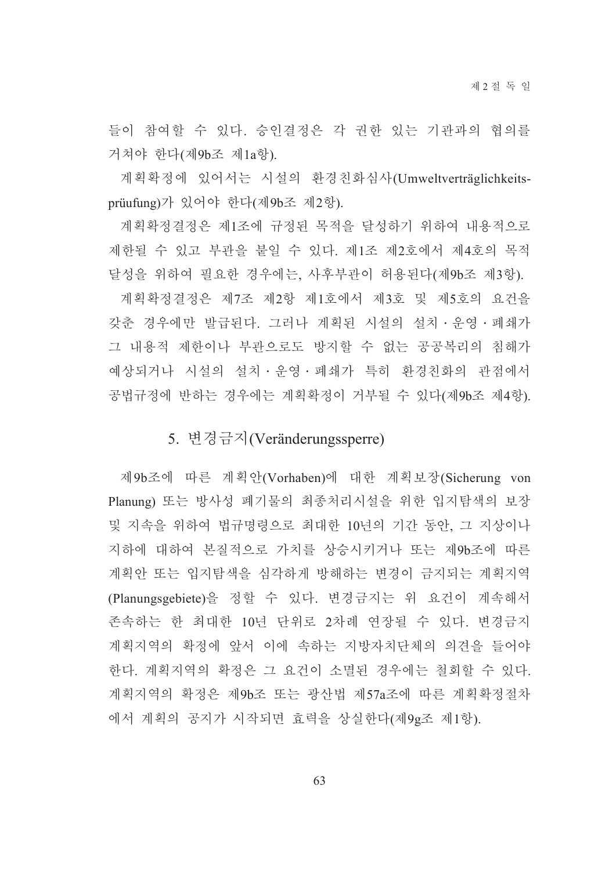들이 참여할 수 있다. 승인결정은 각 권한 있는 기관과의 협의를 거쳐야 한다(제9b조 제1a항).

계획확정에 있어서는 시설의 환경친화심사(Umweltverträglichkeitsprüufung)가 있어야 한다(제9b조 제2항).

계획확정결정은 제1조에 규정된 목적을 달성하기 위하여 내용적으로 제한될 수 있고 부관을 붙일 수 있다. 제1조 제2호에서 제4호의 목적 달성을 위하여 필요한 경우에는, 사후부관이 허용된다(제9b조 제3항).

계획확정결정은 제7조 제2항 제1호에서 제3호 및 제5호의 요건을 갖춘 경우에만 발급된다. 그러나 계획된 시설의 설치 · 운영 · 폐쇄가 그 내용적 제한이나 부관으로도 방지할 수 없는 공공복리의 침해가 예상되거나 시설의 설치 · 운영 · 폐쇄가 특히 환경친화의 관점에서 공법규정에 반하는 경우에는 계획확정이 거부될 수 있다(제9b조 제4항).

## 5. 변경금지(Veränderungssperre)

제9b조에 따른 계획안(Vorhaben)에 대한 계획보장(Sicherung von Planung) 또는 방사성 폐기물의 최종처리시설을 위한 입지탐색의 보장 및 지속을 위하여 법규명령으로 최대한 10년의 기간 동안, 그 지상이나 지하에 대하여 본질적으로 가치를 상승시키거나 또는 제9b조에 따른 계획안 또는 입지탐색을 심각하게 방해하는 변경이 금지되는 계획지역 (Planungsgebiete)을 정할 수 있다. 변경금지는 위 요건이 계속해서 존속하는 한 최대한 10년 단위로 2차례 연장될 수 있다. 변경금지 계획지역의 확정에 앞서 이에 속하는 지방자치단체의 의견을 들어야 한다. 계획지역의 확정은 그 요건이 소멸된 경우에는 철회할 수 있다. 계획지역의 확정은 제9b조 또는 광산법 제57a조에 따른 계획확정절차 에서 계획의 공지가 시작되면 효력을 상실한다(제9g조 제1항).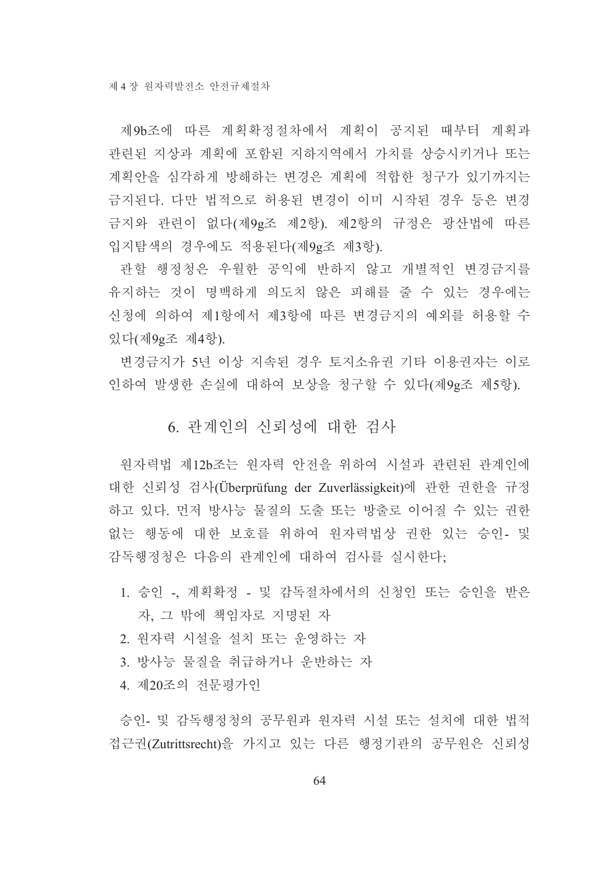제9b조에 따른 계획확정절차에서 계획이 공지된 때부터 계획과 관련된 지상과 계획에 포함된 지하지역에서 가치를 상승시키거나 또는 계획안을 심각하게 방해하는 변경은 계획에 적합한 청구가 있기까지는 금지된다. 다만 법적으로 허용된 변경이 이미 시작된 경우 등은 변경 금지와 관련이 없다(제9g조 제2항). 제2항의 규정은 광산법에 따른 입지탐색의 경우에도 적용된다(제9g조 제3항).

관할 행정청은 우월한 공익에 반하지 않고 개별적인 변경금지를 유지하는 것이 명백하게 의도치 않은 피해를 줄 수 있는 경우에는 신청에 의하여 제1항에서 제3항에 따른 변경금지의 예외를 허용할 수 있다(제9g조 제4항).

변경금지가 5년 이상 지속된 경우 토지소유권 기타 이용권자는 이로 인하여 발생한 손실에 대하여 보상을 청구할 수 있다(제9g조 제5항).

## 6. 관계인의 신뢰성에 대한 검사

워자력법 제12b조는 워자력 안전을 위하여 시설과 관련된 관계인에 대한 신뢰성 검사(Überprüfung der Zuverlässigkeit)에 관한 권한을 규정 하고 있다. 먼저 방사능 물질의 도출 또는 방출로 이어질 수 있는 권한 없는 행동에 대한 보호를 위하여 원자력법상 권한 있는 승인- 및 감독행정청은 다음의 관계인에 대하여 검사를 실시한다.

- 1. 승인 -, 계획확정 및 감독절차에서의 신청인 또는 승인을 받은 자, 그 밖에 책임자로 지명된 자
- 2. 원자력 시설을 설치 또는 운영하는 자
- 3. 방사능 물질을 취급하거나 우반하는 자
- 4. 제20조의 전문평가인

승인- 및 감독행정청의 공무워과 워자력 시설 또는 설치에 대한 법적 접근권(Zutrittsrecht)을 가지고 있는 다른 행정기관의 공무원은 신뢰성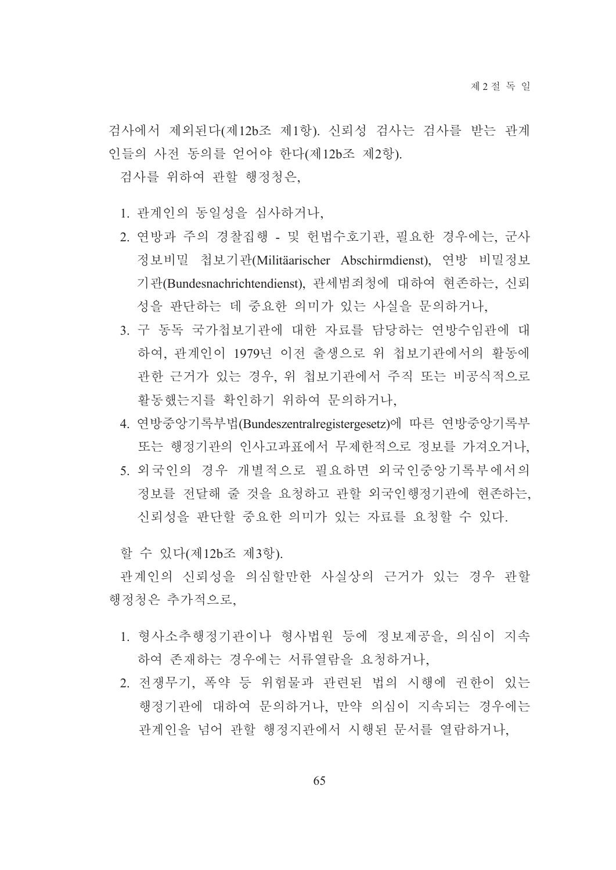검사에서 제외된다(제12b조 제1항). 신뢰성 검사는 검사를 받는 관계 인들의 사전 동의를 얻어야 한다(제12b조 제2항).

검사를 위하여 관할 행정청은.

- 1. 관계인의 동일성을 심사하거나.
- 2. 연방과 주의 경찰집행 및 헌법수호기관, 필요한 경우에는, 군사 정보비밀 첩보기관(Militäarischer Abschirmdienst), 연방 비밀정보 기관(Bundesnachrichtendienst), 관세범죄청에 대하여 현존하는, 신뢰 성을 판단하는 데 중요한 의미가 있는 사실을 문의하거나,
- 3. 구 동독 국가첩보기관에 대한 자료를 담당하는 연방수임관에 대 하여, 관계인이 1979년 이전 출생으로 위 첩보기관에서의 활동에 관한 근거가 있는 경우, 위 첩보기관에서 주직 또는 비공식적으로 활동했는지를 확인하기 위하여 문의하거나,
- 4. 연방중앙기록부법(Bundeszentralregistergesetz)에 따른 연방중앙기록부 또는 행정기관의 인사고과표에서 무제한적으로 정보를 가져오거나.
- 5. 외국인의 경우 개별적으로 필요하면 외국인중앙기록부에서의 정보를 전달해 줄 것을 요청하고 관할 외국인행정기관에 현존하는, 신뢰성을 판단할 중요한 의미가 있는 자료를 요청할 수 있다.

할 수 있다(제12b조 제3항).

관계인의 신뢰성을 의심할만한 사실상의 근거가 있는 경우 관할 행정청은 추가적으로,

- 1. 형사소추행정기관이나 형사법원 등에 정보제공을, 의심이 지속 하여 존재하는 경우에는 서류열람을 요청하거나,
- 2. 전쟁무기, 폭약 등 위험물과 관련된 법의 시행에 권한이 있는 행정기관에 대하여 문의하거나, 만약 의심이 지속되는 경우에는 관계인을 넘어 관할 행정지관에서 시행된 문서를 열람하거나,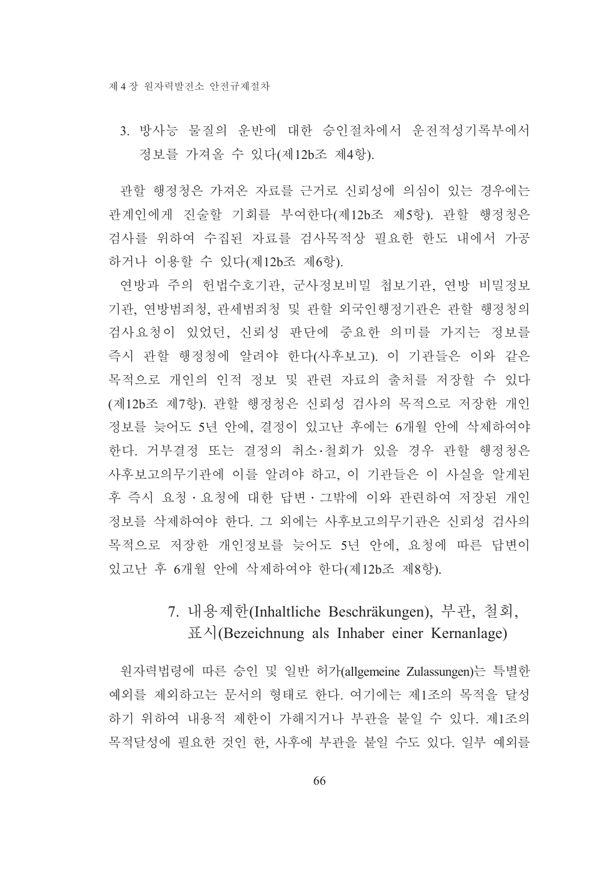3. 방사능 물질의 운반에 대한 승인절차에서 운전적성기록부에서 정보를 가져올 수 있다(제12b조 제4항).

관할 행정청은 가져온 자료를 근거로 신뢰성에 의심이 있는 경우에는 관계인에게 진술할 기회를 부여한다(제12b조 제5항). 관할 행정청은 검사를 위하여 수집된 자료를 검사목적상 필요한 한도 내에서 가공 하거나 이용할 수 있다(제12b조 제6항).

연방과 주의 헌법수호기관, 군사정보비밀 첩보기관, 연방 비밀정보 기관, 연방범죄청, 관세범죄청 및 관할 외국인행정기관은 관할 행정청의 검사요청이 있었던, 신뢰성 판단에 중요한 의미를 가지는 정보를 즉시 관할 행정청에 알려야 한다(사후보고). 이 기관들은 이와 같은 목적으로 개인의 인적 정보 및 관련 자료의 출처를 저장할 수 있다 (제12b조 제7항). 관할 행정청은 신뢰성 검사의 목적으로 저장한 개인 정보를 늦어도 5년 안에, 결정이 있고난 후에는 6개월 안에 삭제하여야 한다. 거부결정 또는 결정의 취소 철회가 있을 경우 관할 행정청은 사후보고의무기관에 이를 알려야 하고, 이 기관들은 이 사실을 알게된 후 즉시 요청 · 요청에 대한 답변 · 그밖에 이와 관련하여 저장된 개인 정보를 삭제하여야 한다. 그 외에는 사후보고의무기관은 신뢰성 검사의 목적으로 저장한 개인정보를 늦어도 5년 안에, 요청에 따른 답변이 있고난 후 6개월 안에 삭제하여야 한다(제12b조 제8항).

## 7. 내용제한(Inhaltliche Beschräkungen), 부관, 철회,  $\mathbb{H}^{\lambda}$  (Bezeichnung als Inhaber einer Kernanlage)

원자력법령에 따른 승인 및 일반 허가(allgemeine Zulassungen)는 특별한 예외를 제외하고는 문서의 형태로 하다. 여기에는 제1조의 목적을 달성 하기 위하여 내용적 제한이 가해지거나 부관을 붙일 수 있다. 제1조의 목적달성에 필요한 것인 한 사후에 부관을 붙일 수도 있다. 일부 예외를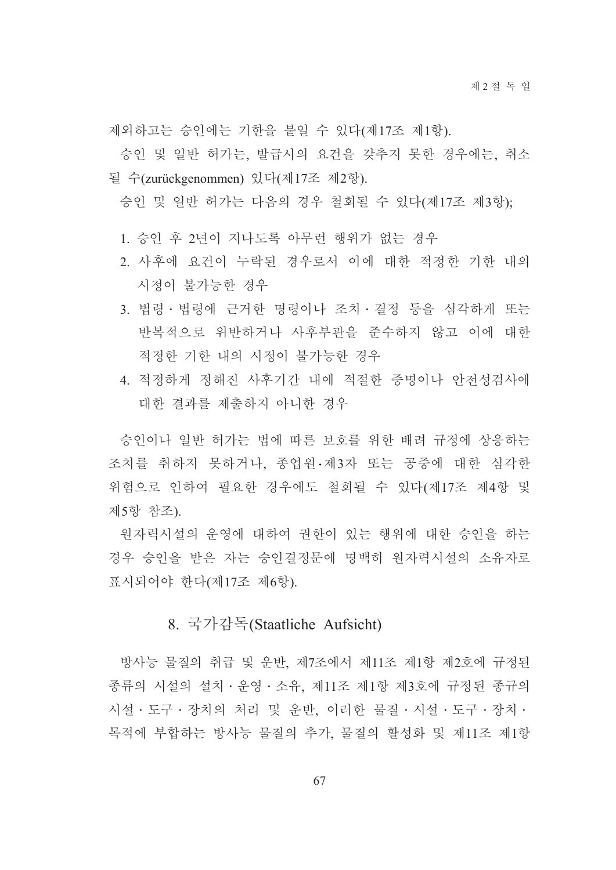제외하고는 승인에는 기한을 붙일 수 있다(제17조 제1항).

승인 및 일반 허가는, 발급시의 요건을 갖추지 못한 경우에는, 취소 될 수(zurückgenommen) 있다(제17조 제2항).

승인 및 일반 허가는 다음의 경우 철회될 수 있다(제17조 제3항);

- 1. 승인 후 2년이 지나도록 아무런 행위가 없는 경우
- 2. 사후에 요건이 누락된 경우로서 이에 대한 적정한 기한 내의 시정이 불가능한 경우
- 3. 법령·법령에 근거한 명령이나 조치·결정 등을 심각하게 또는 반복적으로 위반하거나 사후부관을 준수하지 않고 이에 대한 적정한 기한 내의 시정이 불가능한 경우
- 4. 적정하게 정해진 사후기간 내에 적절한 증명이나 안전성검사에 대한 결과를 제출하지 아니한 경우

승인이나 일반 허가는 법에 따른 보호를 위한 배려 규정에 상응하는 조치를 취하지 못하거나, 종업원·제3자 또는 공중에 대한 심각한 위험으로 인하여 필요한 경우에도 철회될 수 있다(제17조 제4항 및 제5항 참조).

원자력시설의 운영에 대하여 권한이 있는 행위에 대한 승인을 하는 경우 승인을 받은 자는 승인결정문에 명백히 원자력시설의 소유자로 표시되어야 한다(제17조 제6항).

#### 8. 국가감독(Staatliche Aufsicht)

방사능 물질의 취급 및 운반, 제7조에서 제11조 제1항 제2호에 규정된 종류의 시설의 설치 · 운영 · 소유, 제11조 제1항 제3호에 규정된 종규의 시설 · 도구 · 장치의 처리 및 운반 이러한 물질 · 시설 · 도구 · 장치 · 목적에 부합하는 방사능 물질의 추가, 물질의 활성화 및 제11조 제1항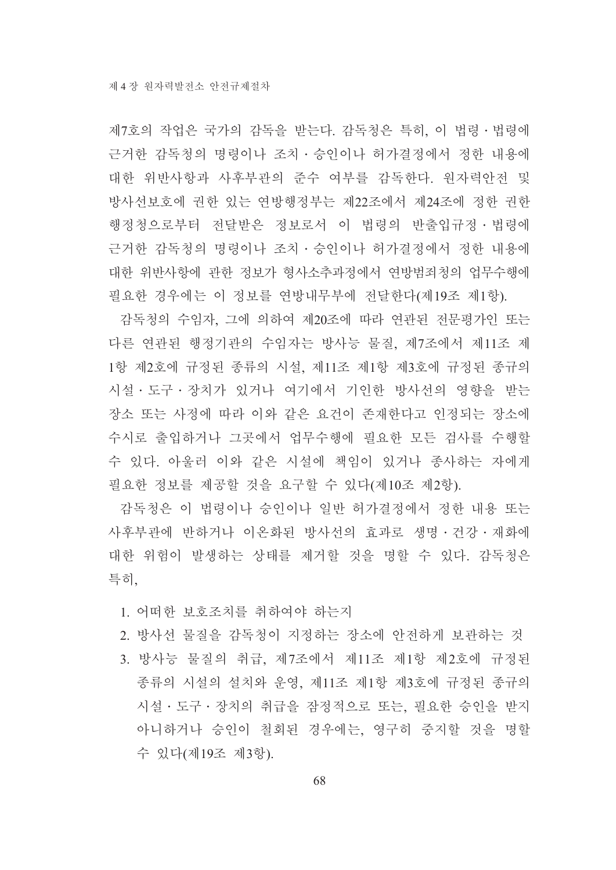제7호의 작업은 국가의 감독을 받는다. 감독청은 특히, 이 법령 · 법령에 근거한 감독청의 명령이나 조치 • 승인이나 허가결정에서 정한 내용에 대한 위반사항과 사후부관의 준수 여부를 감독한다. 원자력안전 및 방사선보호에 권한 있는 연방행정부는 제22조에서 제24조에 정한 권한 행정청으로부터 전달받은 정보로서 이 법령의 반출입규정 · 법령에 근거한 감독청의 명령이나 조치ㆍ승인이나 허가결정에서 정한 내용에 대한 위반사항에 관한 정보가 형사소추과정에서 연방범죄청의 업무수행에 필요한 경우에는 이 정보를 연방내무부에 전달한다(제19조 제1항).

감독청의 수임자, 그에 의하여 제20조에 따라 연관된 전문평가인 또는 다른 연관된 행정기관의 수임자는 방사능 물질, 제7조에서 제11조 제 1항 제2호에 규정된 종류의 시설, 제11조 제1항 제3호에 규정된 종규의 시설 • 도구 • 장치가 있거나 여기에서 기인한 방사선의 영향을 받는 장소 또는 사정에 따라 이와 같은 요건이 존재한다고 인정되는 장소에 수시로 출입하거나 그곳에서 업무수행에 필요한 모든 검사를 수행할 수 있다. 아울러 이와 같은 시설에 책임이 있거나 종사하는 자에게 필요한 정보를 제공할 것을 요구할 수 있다(제10조 제2항).

감독청은 이 법령이나 승인이나 일반 허가결정에서 정한 내용 또는 사후부관에 반하거나 이온화된 방사선의 효과로 생명 · 건강 · 재화에 대한 위험이 발생하는 상태를 제거할 것을 명할 수 있다. 감독청은 특히,

- 1. 어떠한 보호조치를 취하여야 하는지
- 2. 방사선 물질을 감독청이 지정하는 장소에 안전하게 보관하는 것
- 3. 방사능 물질의 취급, 제7조에서 제11조 제1항 제2호에 규정된 종류의 시설의 설치와 운영, 제11조 제1항 제3호에 규정된 종규의 시설 · 도구 · 장치의 취급을 잠정적으로 또는, 필요한 승인을 받지 아니하거나 승인이 철회된 경우에는, 영구히 중지할 것을 명할 수 있다(제19조 제3항).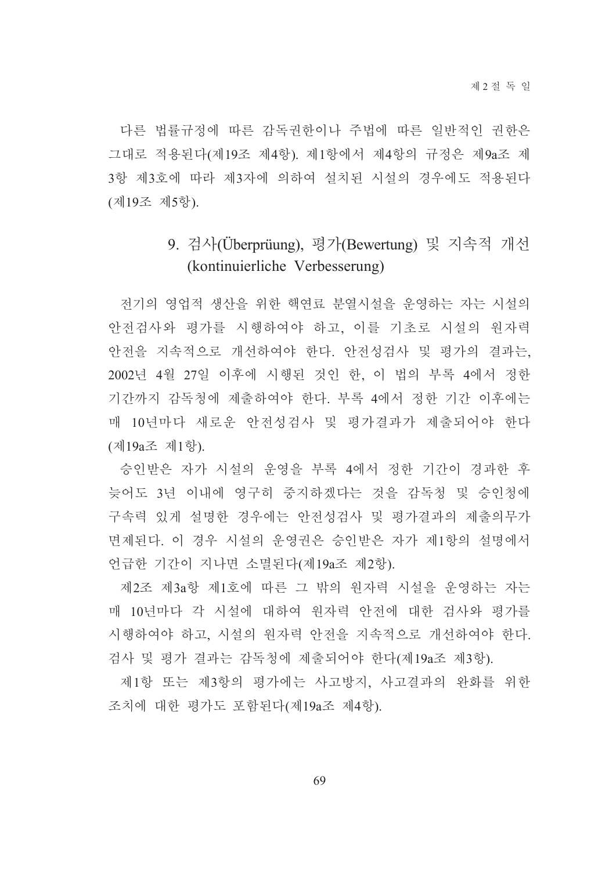다른 법률규정에 따른 감독권한이나 주법에 따른 일반적인 권한은 그대로 적용된다(제19조 제4항). 제1항에서 제4항의 규정은 제9a조 제 3항 제3호에 따라 제3자에 의하여 설치된 시설의 경우에도 적용된다 (제19조 제5항).

## 9. 검사(Überprüung), 평가(Bewertung) 및 지속적 개선 (kontinuierliche Verbesserung)

전기의 영업적 생산을 위한 핵연료 분열시설을 운영하는 자는 시설의 안전검사와 평가를 시행하여야 하고, 이를 기초로 시설의 워자력 안전을 지속적으로 개선하여야 한다. 안전성검사 및 평가의 결과는, 2002년 4월 27일 이후에 시행된 것인 한, 이 법의 부록 4에서 정한 기간까지 감독청에 제출하여야 한다. 부록 4에서 정한 기간 이후에는 매 10년마다 새로운 안전성검사 및 평가결과가 제출되어야 한다 (제19a조 제1항).

승인받은 자가 시설의 우영을 부록 4에서 정한 기간이 경과한 후 늦어도 3년 이내에 영구히 중지하겠다는 것을 감독청 및 승인청에 구속력 있게 설명한 경우에는 안전성검사 및 평가결과의 제출의무가 면제된다. 이 경우 시설의 운영권은 승인받은 자가 제1항의 설명에서 언급한 기간이 지나면 소멸된다(제19a조 제2항).

제2조 제3a항 제1호에 따른 그 밖의 워자력 시설을 운영하는 자는 매 10년마다 각 시설에 대하여 워자력 안전에 대한 검사와 평가를 시행하여야 하고, 시설의 원자력 안전을 지속적으로 개선하여야 한다. 검사 및 평가 결과는 감독청에 제출되어야 한다(제19a조 제3항).

제1항 또는 제3항의 평가에는 사고방지, 사고결과의 완화를 위한 조치에 대한 평가도 포함된다(제19a조 제4항).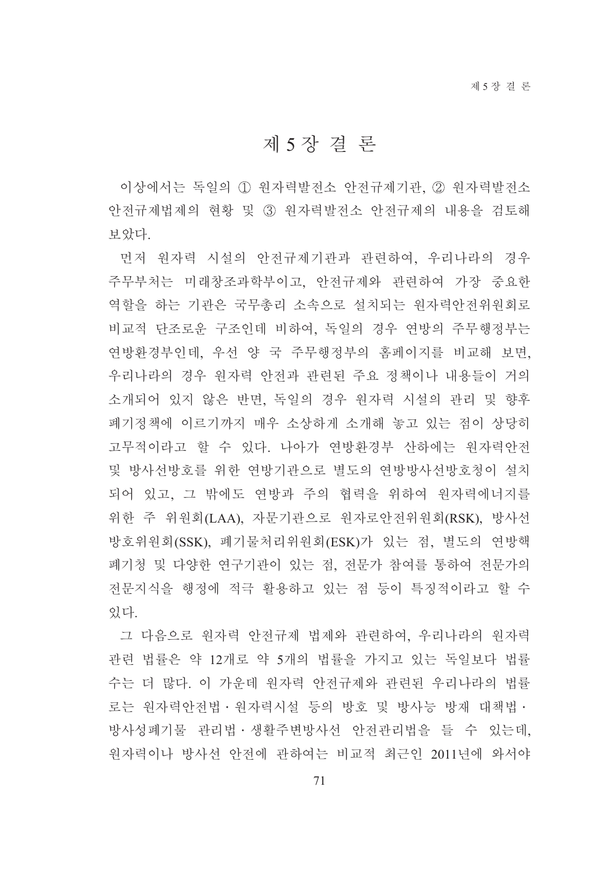## 제5장결론

이상에서는 독일의 ① 원자력발전소 안전규제기관, ② 원자력발전소 안전규제법제의 현황 및 3) 워자력발전소 안전규제의 내용을 검토해 보았다.

먼저 원자력 시설의 안전규제기관과 관련하여, 우리나라의 경우 주무부처는 미래창조과학부이고, 안전규제와 관련하여 가장 중요한 역할을 하는 기관은 국무총리 소속으로 설치되는 워자력안전위워회로 비교적 단조로운 구조인데 비하여, 독일의 경우 연방의 주무행정부는 연방환경부인데, 우선 양 국 주무행정부의 홈페이지를 비교해 보면, 우리나라의 경우 원자력 안전과 관련된 주요 정책이나 내용들이 거의 소개되어 있지 않은 반면, 독일의 경우 원자력 시설의 관리 및 향후 폐기정책에 이르기까지 매우 소상하게 소개해 놓고 있는 점이 상당히 고무적이라고 할 수 있다. 나아가 여방화경부 산하에는 워자력안전 및 방사선방호를 위한 연방기관으로 별도의 연방방사선방호청이 설치 되어 있고, 그 밖에도 연방과 주의 협력을 위하여 워자력에너지를 위한 주 위원회(LAA), 자문기관으로 원자로안전위원회(RSK), 방사선 방호위워회(SSK). 폐기물처리위워회(ESK)가 있는 점. 별도의 여방핵 폐기청 및 다양한 연구기관이 있는 점. 전문가 참여를 통하여 전문가의 전문지식을 행정에 적극 활용하고 있는 점 등이 특징적이라고 할 수 있다.

그 다음으로 워자력 안전규제 법제와 관련하여. 우리나라의 워자력 관련 법률은 약 12개로 약 5개의 법률을 가지고 있는 독일보다 법률 수는 더 많다. 이 가운데 원자력 안전규제와 관련된 우리나라의 법률 로는 원자력안전법ㆍ원자력시설 등의 방호 및 방사능 방재 대책법ㆍ 방사성폐기물 관리법 · 생활주변방사선 안전관리법을 들 수 있는데, 원자력이나 방사선 안전에 관하여는 비교적 최근인 2011년에 와서야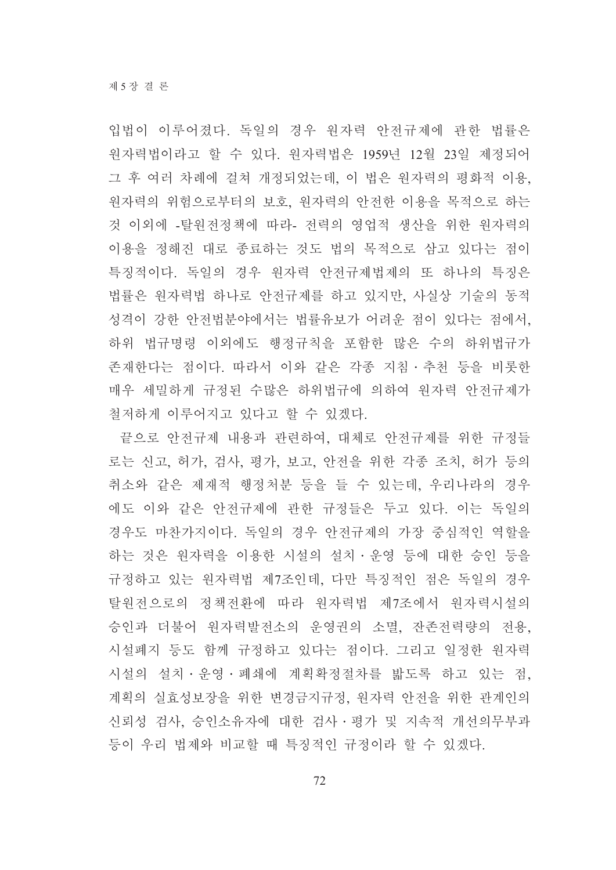입법이 이루어졌다. 독일의 경우 워자력 안전규제에 관한 법률은 원자력법이라고 할 수 있다. 원자력법은 1959년 12월 23일 제정되어 그 후 여러 차례에 걸쳐 개정되었는데, 이 법은 워자력의 평화적 이용, 원자력의 위험으로부터의 보호, 원자력의 안전한 이용을 목적으로 하는 것 이외에 -탈워전정책에 따라- 전력의 영업적 생산을 위한 워자력의 이용을 정해진 대로 종료하는 것도 법의 목적으로 삼고 있다는 점이 특징적이다. 독일의 경우 워자력 안전규제법제의 또 하나의 특징은 법률은 원자력법 하나로 안전규제를 하고 있지만, 사실상 기술의 동적 성격이 강한 안전법분야에서는 법률유보가 어려운 점이 있다는 점에서, 하위 법규명령 이외에도 행정규칙을 포함한 많은 수의 하위법규가 존재한다는 점이다. 따라서 이와 같은 각종 지침 • 추천 등을 비롯한 매우 세밀하게 규정된 수많은 하위법규에 의하여 원자력 안전규제가 철저하게 이루어지고 있다고 할 수 있겠다.

끝으로 안전규제 내용과 관련하여, 대체로 안전규제를 위한 규정들 로는 신고, 허가, 검사, 평가, 보고, 안전을 위한 각종 조치, 허가 등의 취소와 같은 제재적 행정처분 등을 들 수 있는데, 우리나라의 경우 에도 이와 같은 안전규제에 관한 규정들은 두고 있다. 이는 독일의 경우도 마찬가지이다. 독일의 경우 안전규제의 가장 중심적인 역할을 하는 것은 원자력을 이용한 시설의 설치·운영 등에 대한 승인 등을 규정하고 있는 원자력법 제7조인데, 다만 특징적인 점은 독일의 경우 탈원전으로의 정책전환에 따라 원자력법 제7조에서 원자력시설의 승인과 더불어 워자력발전소의 운영권의 소멸, 잔존전력량의 전용, 시설폐지 등도 함께 규정하고 있다는 점이다. 그리고 일정한 원자력 시설의 설치 · 우영 · 폐쇄에 계획확정절차를 밟도록 하고 있는 점. 계획의 실효성보장을 위한 변경금지규정, 원자력 안전을 위한 관계인의 신뢰성 검사, 승인소유자에 대한 검사 • 평가 및 지속적 개선의무부과 등이 우리 법제와 비교할 때 특징적인 규정이라 할 수 있겠다.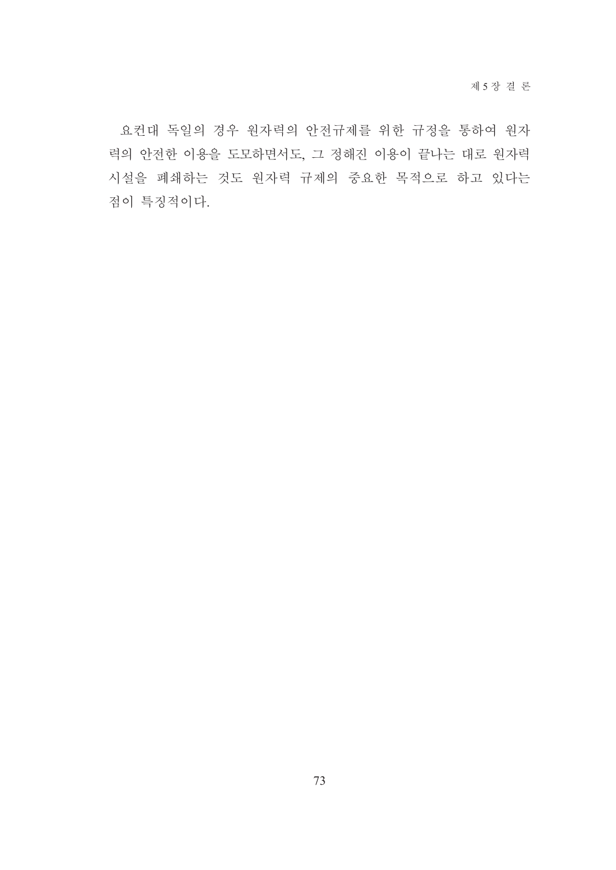요컨대 독일의 경우 원자력의 안전규제를 위한 규정을 통하여 원자 력의 안전한 이용을 도모하면서도, 그 정해진 이용이 끝나는 대로 원자력 시설을 폐쇄하는 것도 원자력 규제의 중요한 목적으로 하고 있다는 점이 특징적이다.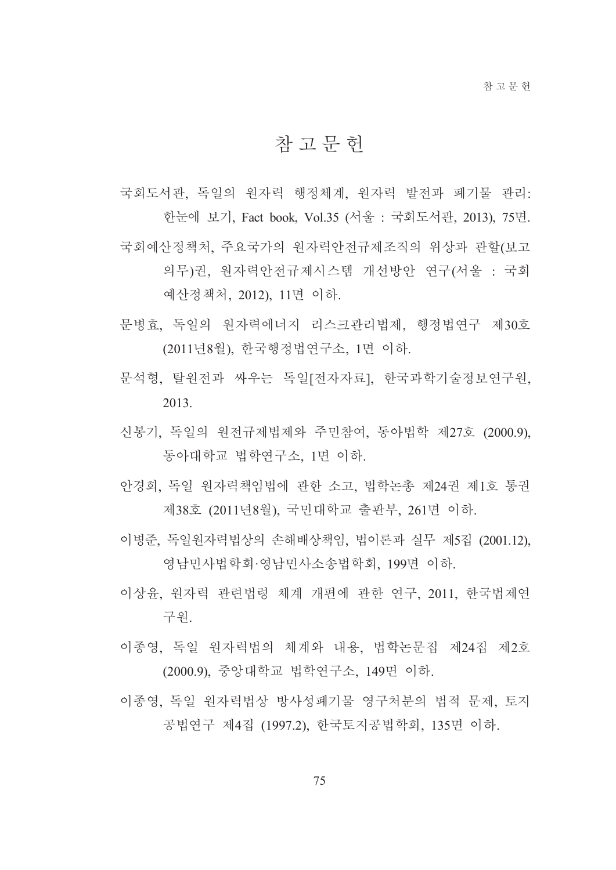## 참 고 무 헌

국회도서관, 독일의 워자력 행정체계, 워자력 발전과 폐기물 관리: 한눈에 보기, Fact book, Vol.35 (서울 : 국회도서관, 2013), 75면. 국회예산정책처. 주요국가의 워자력안전규제조직의 위상과 관할(보고 의무)권, 원자력안전규제시스템 개선방안 연구(서울 : 국회 예산정책처, 2012), 11면 이하.

- 문병효. 독일의 워자력에너지 리스크관리법제. 행정법연구 제30호 (2011년8월), 한국행정법연구소, 1면 이하.
- 문석형, 탈원전과 싸우는 독일[전자자료], 한국과학기술정보연구원, 2013
- 신봉기, 독일의 원전규제법제와 주민참여, 동아법학 제27호 (2000.9), 동아대학교 법학연구소, 1면 이하.
- 안경희, 독일 워자력책임법에 관한 소고, 법학논총 제24권 제1호 통권 제38호 (2011년8월), 국민대학교 출판부, 261면 이하.
- 이병준, 독일원자력법상의 손해배상책임, 법이론과 실무 제5집 (2001.12), 영남민사법학회·영남민사소송법학회, 199면 이하.
- 이상유 워자력 관련법령 체계 개편에 관한 연구 2011 한국법제연 구워.
- 이종영, 독일 원자력법의 체계와 내용, 법학논문집 제24집 제2호 (2000.9), 중앙대학교 법학연구소, 149면 이하.
- 이종영. 독일 워자력법상 방사성폐기물 영구처분의 법적 문제, 토지 공법연구 제4집 (1997.2), 한국토지공법학회, 135면 이하.